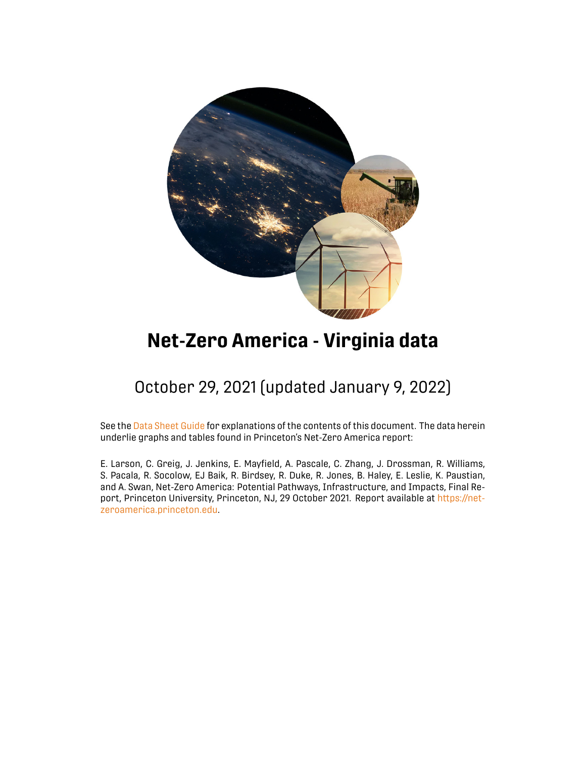

# **Net-Zero America - Virginia data**

## October 29, 2021 (updated January 9, 2022)

See the [Data Sheet Guide](https://netzeroamerica.princeton.edu/data-sheets) for explanations of the contents of this document. The data herein underlie graphs and tables found in Princeton's Net-Zero America report:

E. Larson, C. Greig, J. Jenkins, E. Mayfield, A. Pascale, C. Zhang, J. Drossman, R. Williams, S. Pacala, R. Socolow, EJ Baik, R. Birdsey, R. Duke, R. Jones, B. Haley, E. Leslie, K. Paustian, and A. Swan, Net-Zero America: Potential Pathways, Infrastructure, and Impacts, Final Report, Princeton University, Princeton, NJ, 29 October 2021. Report available at [https://net](https://netzeroamerica.princeton.edu)[zeroamerica.princeton.edu.](https://netzeroamerica.princeton.edu)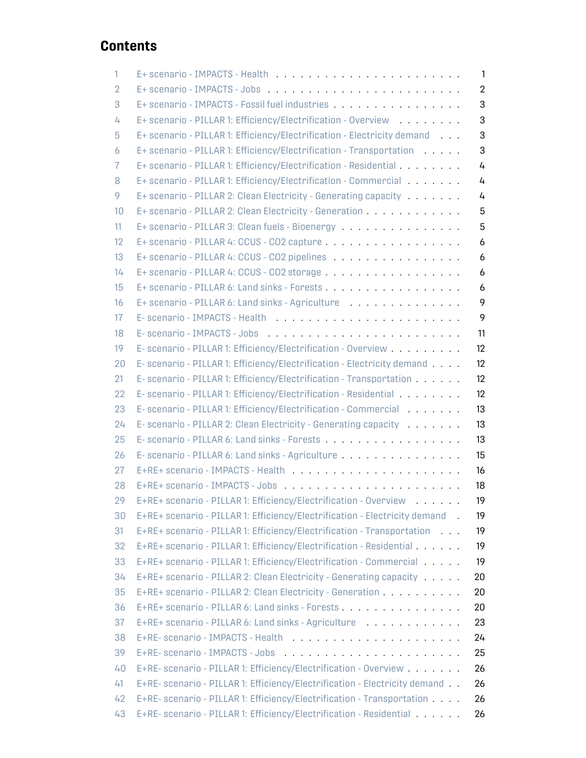## **Contents**

| 1              |                                                                            | 1              |
|----------------|----------------------------------------------------------------------------|----------------|
| $\overline{2}$ |                                                                            | $\overline{2}$ |
| 3              | E+ scenario - IMPACTS - Fossil fuel industries                             | 3              |
| 4              | E+ scenario - PILLAR 1: Efficiency/Electrification - Overview              | 3              |
| 5              | E+ scenario - PILLAR 1: Efficiency/Electrification - Electricity demand    | 3              |
| 6              | E+ scenario - PILLAR 1: Efficiency/Electrification - Transportation        | 3              |
| 7              | E+ scenario - PILLAR 1: Efficiency/Electrification - Residential           | 4              |
| 8              | E+ scenario - PILLAR 1: Efficiency/Electrification - Commercial            | 4              |
| 9              | E+ scenario - PILLAR 2: Clean Electricity - Generating capacity            | 4              |
| 10             | E+ scenario - PILLAR 2: Clean Electricity - Generation                     | 5              |
| 11             | E+ scenario - PILLAR 3: Clean fuels - Bioenergy                            | 5              |
| 12             |                                                                            | 6              |
| 13             | E+ scenario - PILLAR 4: CCUS - CO2 pipelines                               | 6              |
| 14             |                                                                            | 6              |
| 15             |                                                                            | 6              |
| 16             | E+ scenario - PILLAR 6: Land sinks - Agriculture                           | 9              |
| 17             |                                                                            | 9              |
| 18             |                                                                            | 11             |
| 19             | E- scenario - PILLAR 1: Efficiency/Electrification - Overview              | 12             |
| 20             | E- scenario - PILLAR 1: Efficiency/Electrification - Electricity demand    | 12             |
| 21             | E- scenario - PILLAR 1: Efficiency/Electrification - Transportation        | 12             |
| 22             | E- scenario - PILLAR 1: Efficiency/Electrification - Residential           | 12             |
| 23             | E- scenario - PILLAR 1: Efficiency/Electrification - Commercial            | 13             |
| 24             | E- scenario - PILLAR 2: Clean Electricity - Generating capacity            | 13             |
| 25             |                                                                            | 13             |
| 26             | E-scenario - PILLAR 6: Land sinks - Agriculture                            | 15             |
| 27             |                                                                            | 16             |
| 28             |                                                                            | 18             |
| 29             | E+RE+ scenario - PILLAR 1: Efficiency/Electrification - Overview           | 19             |
| 30             | E+RE+ scenario - PILLAR 1: Efficiency/Electrification - Electricity demand | 19             |
| 31             | E+RE+ scenario - PILLAR 1: Efficiency/Electrification - Transportation     | 19             |
| 32             | E+RE+ scenario - PILLAR 1: Efficiency/Electrification - Residential        | 19             |
| 33             | E+RE+ scenario - PILLAR 1: Efficiency/Electrification - Commercial         | 19             |
| 34             | E+RE+ scenario - PILLAR 2: Clean Electricity - Generating capacity         | 20             |
| 35             | E+RE+ scenario - PILLAR 2: Clean Electricity - Generation                  | 20             |
| 36             |                                                                            | 20             |
| 37             | E+RE+ scenario - PILLAR 6: Land sinks - Agriculture                        | 23             |
| 38             |                                                                            | 24             |
| 39             |                                                                            | 25             |
| 40             | E+RE- scenario - PILLAR 1: Efficiency/Electrification - Overview           | 26             |
| 41             | E+RE- scenario - PILLAR 1: Efficiency/Electrification - Electricity demand | 26             |
| 42             | E+RE- scenario - PILLAR 1: Efficiency/Electrification - Transportation     | 26             |
| 43             | E+RE- scenario - PILLAR 1: Efficiency/Electrification - Residential        | 26             |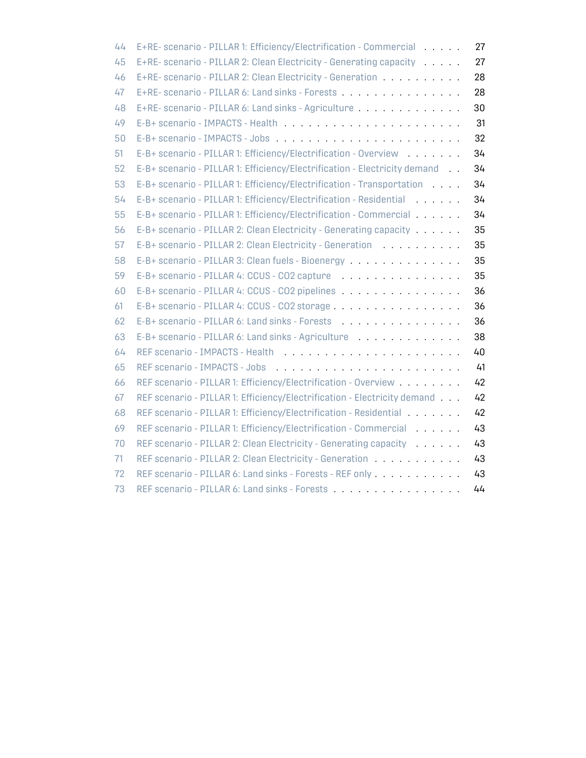| 44 | E+RE- scenario - PILLAR 1: Efficiency/Electrification - Commercial        | 27 |
|----|---------------------------------------------------------------------------|----|
| 45 | E+RE- scenario - PILLAR 2: Clean Electricity - Generating capacity        | 27 |
| 46 | E+RE- scenario - PILLAR 2: Clean Electricity - Generation                 | 28 |
| 47 | E+RE- scenario - PILLAR 6: Land sinks - Forests                           | 28 |
| 48 | E+RE- scenario - PILLAR 6: Land sinks - Agriculture                       | 30 |
| 49 | E-B+ scenario - IMPACTS - Health                                          | 31 |
| 50 |                                                                           | 32 |
| 51 | E-B+ scenario - PILLAR 1: Efficiency/Electrification - Overview           | 34 |
| 52 | E-B+ scenario - PILLAR 1: Efficiency/Electrification - Electricity demand | 34 |
| 53 | E-B+ scenario - PILLAR 1: Efficiency/Electrification - Transportation     | 34 |
| 54 | E-B+ scenario - PILLAR 1: Efficiency/Electrification - Residential        | 34 |
| 55 | E-B+ scenario - PILLAR 1: Efficiency/Electrification - Commercial         | 34 |
| 56 | E-B+ scenario - PILLAR 2: Clean Electricity - Generating capacity         | 35 |
| 57 | E-B+ scenario - PILLAR 2: Clean Electricity - Generation                  | 35 |
| 58 | E-B+ scenario - PILLAR 3: Clean fuels - Bioenergy                         | 35 |
| 59 | E-B+ scenario - PILLAR 4: CCUS - CO2 capture                              | 35 |
| 60 | E-B+ scenario - PILLAR 4: CCUS - CO2 pipelines                            | 36 |
| 61 | E-B+ scenario - PILLAR 4: CCUS - CO2 storage                              | 36 |
| 62 | E-B+ scenario - PILLAR 6: Land sinks - Forests                            | 36 |
| 63 |                                                                           | 38 |
| 64 |                                                                           | 40 |
| 65 |                                                                           | 41 |
| 66 | REF scenario - PILLAR 1: Efficiency/Electrification - Overview            | 42 |
| 67 | REF scenario - PILLAR 1: Efficiency/Electrification - Electricity demand  | 42 |
| 68 | REF scenario - PILLAR 1: Efficiency/Electrification - Residential         | 42 |
| 69 | REF scenario - PILLAR 1: Efficiency/Electrification - Commercial          | 43 |
| 70 | REF scenario - PILLAR 2: Clean Electricity - Generating capacity          | 43 |
| 71 | REF scenario - PILLAR 2: Clean Electricity - Generation                   | 43 |
| 72 | REF scenario - PILLAR 6: Land sinks - Forests - REF only                  | 43 |
| 73 | REF scenario - PILLAR 6: Land sinks - Forests                             | 44 |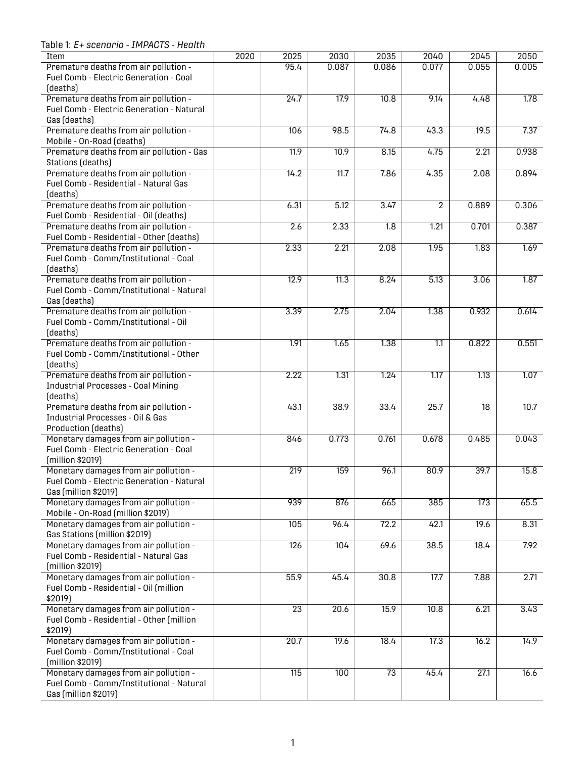<span id="page-3-0"></span>Table 1: *E+ scenario - IMPACTS - Health*

| Item                                               | 2020 | 2025             | 2030              | 2035             | 2040             | 2045             | 2050              |
|----------------------------------------------------|------|------------------|-------------------|------------------|------------------|------------------|-------------------|
| Premature deaths from air pollution -              |      | 95.4             | 0.087             | 0.086            | 0.077            | 0.055            | 0.005             |
| Fuel Comb - Electric Generation - Coal             |      |                  |                   |                  |                  |                  |                   |
| (deaths)                                           |      |                  |                   |                  |                  |                  |                   |
| Premature deaths from air pollution -              |      | 24.7             | $\overline{17.9}$ | 10.8             | 9.14             | 4.48             | 1.78              |
| Fuel Comb - Electric Generation - Natural          |      |                  |                   |                  |                  |                  |                   |
| Gas (deaths)                                       |      |                  |                   |                  |                  |                  |                   |
| Premature deaths from air pollution -              |      | 106              | 98.5              | 74.8             | 43.3             | 19.5             | 7.37              |
| Mobile - On-Road (deaths)                          |      |                  |                   |                  |                  |                  |                   |
| Premature deaths from air pollution - Gas          |      | 11.9             | $\overline{10.9}$ | 8.15             | 4.75             | 2.21             | 0.938             |
| Stations (deaths)                                  |      |                  |                   |                  |                  |                  |                   |
| Premature deaths from air pollution -              |      | 14.2             | 11.7              | 7.86             | 4.35             | 2.08             | 0.894             |
| Fuel Comb - Residential - Natural Gas              |      |                  |                   |                  |                  |                  |                   |
| (deaths)                                           |      |                  |                   |                  |                  |                  |                   |
| Premature deaths from air pollution -              |      | 6.31             | 5.12              | 3.47             | $\overline{2}$   | 0.889            | 0.306             |
| Fuel Comb - Residential - Oil (deaths)             |      |                  |                   |                  |                  |                  |                   |
| Premature deaths from air pollution -              |      | 2.6              | 2.33              | $\overline{1.8}$ | 1.21             | 0.701            | 0.387             |
| Fuel Comb - Residential - Other (deaths)           |      |                  |                   |                  |                  |                  |                   |
| Premature deaths from air pollution -              |      | 2.33             | 2.21              | 2.08             | 1.95             | 1.83             | 1.69              |
| Fuel Comb - Comm/Institutional - Coal              |      |                  |                   |                  |                  |                  |                   |
| (deaths)                                           |      |                  |                   |                  |                  |                  |                   |
| Premature deaths from air pollution -              |      | 12.9             | 11.3              | 8.24             | 5.13             | 3.06             | 1.87              |
| Fuel Comb - Comm/Institutional - Natural           |      |                  |                   |                  |                  |                  |                   |
| Gas (deaths)                                       |      |                  |                   |                  |                  |                  |                   |
| Premature deaths from air pollution -              |      | 3.39             | 2.75              | 2.04             | 1.38             | 0.932            | 0.614             |
| Fuel Comb - Comm/Institutional - Oil               |      |                  |                   |                  |                  |                  |                   |
| (deaths)                                           |      |                  |                   |                  |                  |                  | 0.551             |
| Premature deaths from air pollution -              |      | 1.91             | 1.65              | 1.38             | $\overline{1.1}$ | 0.822            |                   |
| Fuel Comb - Comm/Institutional - Other<br>(deaths) |      |                  |                   |                  |                  |                  |                   |
| Premature deaths from air pollution -              |      | 2.22             | 1.31              | 1.24             | 1.17             | 1.13             | 1.07              |
| <b>Industrial Processes - Coal Mining</b>          |      |                  |                   |                  |                  |                  |                   |
| (deaths)                                           |      |                  |                   |                  |                  |                  |                   |
| Premature deaths from air pollution -              |      | 43.1             | 38.9              | 33.4             | 25.7             | $\overline{18}$  | $\overline{10.7}$ |
| Industrial Processes - Oil & Gas                   |      |                  |                   |                  |                  |                  |                   |
| Production (deaths)                                |      |                  |                   |                  |                  |                  |                   |
| Monetary damages from air pollution -              |      | 846              | 0.773             | 0.761            | 0.678            | 0.485            | 0.043             |
| Fuel Comb - Electric Generation - Coal             |      |                  |                   |                  |                  |                  |                   |
| (million \$2019)                                   |      |                  |                   |                  |                  |                  |                   |
| Monetary damages from air pollution -              |      | 219              | 159               | 96.1             | 80.9             | 39.7             | 15.8              |
| Fuel Comb - Electric Generation - Natural          |      |                  |                   |                  |                  |                  |                   |
| Gas (million \$2019)                               |      |                  |                   |                  |                  |                  |                   |
| Monetary damages from air pollution -              |      | 939              | 876               | 665              | 385              | $\overline{173}$ | 65.5              |
| Mobile - On-Road (million \$2019)                  |      |                  |                   |                  |                  |                  |                   |
| Monetary damages from air pollution -              |      | 105              | 96.4              | 72.2             | 42.1             | 19.6             | 8.31              |
| Gas Stations (million \$2019)                      |      |                  |                   |                  |                  |                  |                   |
| Monetary damages from air pollution -              |      | $\overline{126}$ | 104               | 69.6             | 38.5             | 18.4             | 7.92              |
| Fuel Comb - Residential - Natural Gas              |      |                  |                   |                  |                  |                  |                   |
| (million \$2019)                                   |      |                  |                   |                  |                  |                  |                   |
| Monetary damages from air pollution -              |      | 55.9             | 45.4              | 30.8             | 17.7             | 7.88             | 2.71              |
| Fuel Comb - Residential - Oil (million             |      |                  |                   |                  |                  |                  |                   |
| \$2019)                                            |      |                  |                   |                  |                  |                  |                   |
| Monetary damages from air pollution -              |      | $\overline{23}$  | 20.6              | 15.9             | 10.8             | 6.21             | 3.43              |
| Fuel Comb - Residential - Other (million           |      |                  |                   |                  |                  |                  |                   |
| \$2019)                                            |      |                  |                   |                  |                  |                  |                   |
| Monetary damages from air pollution -              |      | 20.7             | 19.6              | 18.4             | 17.3             | 16.2             | 14.9              |
| Fuel Comb - Comm/Institutional - Coal              |      |                  |                   |                  |                  |                  |                   |
| (million \$2019)                                   |      |                  |                   |                  |                  |                  |                   |
| Monetary damages from air pollution -              |      | $\overline{115}$ | 100               | $\overline{73}$  | 45.4             | 27.1             | 16.6              |
| Fuel Comb - Comm/Institutional - Natural           |      |                  |                   |                  |                  |                  |                   |
| Gas (million \$2019)                               |      |                  |                   |                  |                  |                  |                   |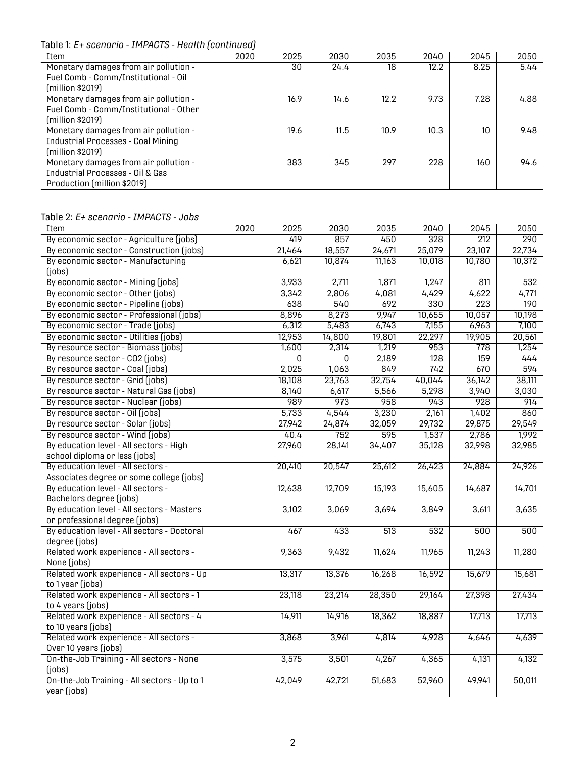Table 1: *E+ scenario - IMPACTS - Health (continued)*

| Item                                      | 2020 | 2025 | 2030 | 2035 | 2040 | 2045 | 2050 |
|-------------------------------------------|------|------|------|------|------|------|------|
| Monetary damages from air pollution -     |      | 30   | 24.4 | 18   | 12.2 | 8.25 | 5.44 |
| Fuel Comb - Comm/Institutional - Oil      |      |      |      |      |      |      |      |
| (million \$2019)                          |      |      |      |      |      |      |      |
| Monetary damages from air pollution -     |      | 16.9 | 14.6 | 12.2 | 9.73 | 7.28 | 4.88 |
| Fuel Comb - Comm/Institutional - Other    |      |      |      |      |      |      |      |
| (million \$2019)                          |      |      |      |      |      |      |      |
| Monetary damages from air pollution -     |      | 19.6 | 11.5 | 10.9 | 10.3 | 10   | 9.48 |
| <b>Industrial Processes - Coal Mining</b> |      |      |      |      |      |      |      |
| (million \$2019)                          |      |      |      |      |      |      |      |
| Monetary damages from air pollution -     |      | 383  | 345  | 297  | 228  | 160  | 94.6 |
| Industrial Processes - Oil & Gas          |      |      |      |      |      |      |      |
| Production (million \$2019)               |      |      |      |      |      |      |      |

### <span id="page-4-0"></span>Table 2: *E+ scenario - IMPACTS - Jobs*

| Item                                        | 2020 | 2025           | 2030   | 2035             | 2040   | 2045             | 2050             |
|---------------------------------------------|------|----------------|--------|------------------|--------|------------------|------------------|
| By economic sector - Agriculture (jobs)     |      | 419            | 857    | 450              | 328    | $\overline{212}$ | $\overline{290}$ |
| By economic sector - Construction (jobs)    |      | 21,464         | 18,557 | 24,671           | 25,079 | 23,107           | 22,734           |
| By economic sector - Manufacturing          |      | 6,621          | 10,874 | 11,163           | 10,018 | 10,780           | 10,372           |
| (jobs)                                      |      |                |        |                  |        |                  |                  |
| By economic sector - Mining (jobs)          |      | 3,933          | 2,711  | 1,871            | 1,247  | 811              | 532              |
| By economic sector - Other (jobs)           |      | 3,342          | 2,806  | 4,081            | 4,429  | 4,622            | 4,771            |
| By economic sector - Pipeline (jobs)        |      | 638            | 540    | 692              | 330    | $\overline{223}$ | $\overline{190}$ |
| By economic sector - Professional (jobs)    |      | 8,896          | 8,273  | 9,947            | 10,655 | 10,057           | 10,198           |
| By economic sector - Trade (jobs)           |      | 6,312          | 5,483  | 6,743            | 7,155  | 6,963            | 7,100            |
| By economic sector - Utilities (jobs)       |      | 12,953         | 14,800 | 19,801           | 22,297 | 19,905           | 20,561           |
| By resource sector - Biomass (jobs)         |      | 1,600          | 2,314  | 1,219            | 953    | 778              | 1,254            |
| By resource sector - CO2 (jobs)             |      | $\overline{0}$ | 0      | 2,189            | 128    | $\overline{159}$ | 444              |
| By resource sector - Coal (jobs)            |      | 2,025          | 1,063  | 849              | 742    | 670              | 594              |
| By resource sector - Grid (jobs)            |      | 18,108         | 23,763 | 32,754           | 40,044 | 36,142           | 38,111           |
| By resource sector - Natural Gas (jobs)     |      | 8,140          | 6,617  | 5,566            | 5,298  | 3,940            | 3,030            |
| By resource sector - Nuclear (jobs)         |      | 989            | 973    | 958              | 943    | 928              | 914              |
| By resource sector - Oil (jobs)             |      | 5,733          | 4,544  | 3,230            | 2,161  | 1,402            | 860              |
| By resource sector - Solar (jobs)           |      | 27,942         | 24,874 | 32,059           | 29,732 | 29,875           | 29,549           |
| By resource sector - Wind (jobs)            |      | 40.4           | 752    | 595              | 1,537  | 2,786            | 1,992            |
| By education level - All sectors - High     |      | 27,960         | 28,141 | 34,407           | 35,128 | 32,998           | 32,985           |
| school diploma or less (jobs)               |      |                |        |                  |        |                  |                  |
| By education level - All sectors -          |      | 20,410         | 20,547 | 25,612           | 26,423 | 24,884           | 24,926           |
| Associates degree or some college (jobs)    |      |                |        |                  |        |                  |                  |
| By education level - All sectors -          |      | 12,638         | 12,709 | 15,193           | 15,605 | 14,687           | 14,701           |
| Bachelors degree (jobs)                     |      |                |        |                  |        |                  |                  |
| By education level - All sectors - Masters  |      | 3,102          | 3,069  | 3,694            | 3,849  | 3,611            | 3,635            |
| or professional degree (jobs)               |      |                |        |                  |        |                  |                  |
| By education level - All sectors - Doctoral |      | 467            | 433    | $\overline{513}$ | 532    | 500              | 500              |
| degree (jobs)                               |      |                |        |                  |        |                  |                  |
| Related work experience - All sectors -     |      | 9,363          | 9,432  | 11,624           | 11,965 | 11,243           | 11,280           |
| None (jobs)                                 |      |                |        |                  |        |                  |                  |
| Related work experience - All sectors - Up  |      | 13,317         | 13,376 | 16,268           | 16,592 | 15,679           | 15,681           |
| to 1 year (jobs)                            |      |                |        |                  |        |                  |                  |
| Related work experience - All sectors - 1   |      | 23,118         | 23,214 | 28,350           | 29,164 | 27,398           | 27,434           |
| to 4 years (jobs)                           |      |                |        |                  |        |                  |                  |
| Related work experience - All sectors - 4   |      | 14,911         | 14,916 | 18,362           | 18,887 | 17,713           | 17,713           |
| to 10 years (jobs)                          |      |                |        |                  |        |                  |                  |
| Related work experience - All sectors -     |      | 3,868          | 3,961  | 4,814            | 4,928  | 4,646            | 4,639            |
| Over 10 years (jobs)                        |      |                |        |                  |        |                  |                  |
| On-the-Job Training - All sectors - None    |      | 3,575          | 3,501  | 4,267            | 4,365  | 4,131            | 4,132            |
| (iobs)                                      |      |                |        |                  |        |                  |                  |
| On-the-Job Training - All sectors - Up to 1 |      | 42,049         | 42,721 | 51,683           | 52,960 | 49,941           | 50,011           |
| year (jobs)                                 |      |                |        |                  |        |                  |                  |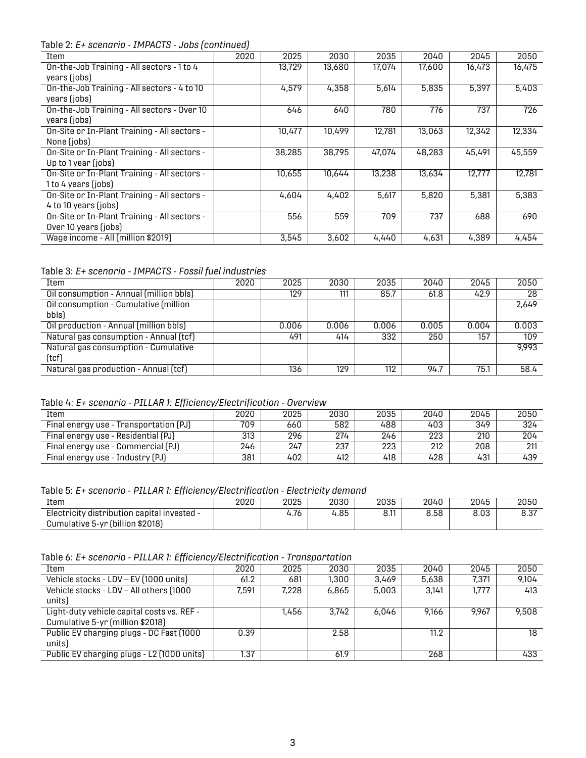Table 2: *E+ scenario - IMPACTS - Jobs (continued)*

| Item                                         | 2020 | 2025   | 2030   | 2035   | 2040   | 2045   | 2050   |  |  |  |  |
|----------------------------------------------|------|--------|--------|--------|--------|--------|--------|--|--|--|--|
| On-the-Job Training - All sectors - 1 to 4   |      | 13,729 | 13,680 | 17,074 | 17,600 | 16,473 | 16,475 |  |  |  |  |
| years (jobs)                                 |      |        |        |        |        |        |        |  |  |  |  |
| On-the-Job Training - All sectors - 4 to 10  |      | 4,579  | 4.358  | 5,614  | 5.835  | 5.397  | 5,403  |  |  |  |  |
| years (jobs)                                 |      |        |        |        |        |        |        |  |  |  |  |
| On-the-Job Training - All sectors - Over 10  |      | 646    | 640    | 780    | 776    | 737    | 726    |  |  |  |  |
| years (jobs)                                 |      |        |        |        |        |        |        |  |  |  |  |
| On-Site or In-Plant Training - All sectors - |      | 10,477 | 10.499 | 12,781 | 13,063 | 12,342 | 12,334 |  |  |  |  |
| None (jobs)                                  |      |        |        |        |        |        |        |  |  |  |  |
| On-Site or In-Plant Training - All sectors - |      | 38,285 | 38,795 | 47,074 | 48,283 | 45.491 | 45,559 |  |  |  |  |
| Up to $1$ year (jobs)                        |      |        |        |        |        |        |        |  |  |  |  |
| On-Site or In-Plant Training - All sectors - |      | 10,655 | 10.644 | 13,238 | 13,634 | 12.777 | 12,781 |  |  |  |  |
| 1 to 4 years (jobs)                          |      |        |        |        |        |        |        |  |  |  |  |
| On-Site or In-Plant Training - All sectors - |      | 4,604  | 4,402  | 5,617  | 5,820  | 5,381  | 5,383  |  |  |  |  |
| 4 to 10 years (jobs)                         |      |        |        |        |        |        |        |  |  |  |  |
| On-Site or In-Plant Training - All sectors - |      | 556    | 559    | 709    | 737    | 688    | 690    |  |  |  |  |
| Over 10 years (jobs)                         |      |        |        |        |        |        |        |  |  |  |  |
| Wage income - All (million \$2019)           |      | 3,545  | 3,602  | 4,440  | 4,631  | 4.389  | 4.454  |  |  |  |  |

<span id="page-5-0"></span>Table 3: *E+ scenario - IMPACTS - Fossil fuel industries*

| Item                                    | 2020 | 2025  | 2030  | 2035  | 2040  | 2045  | 2050  |
|-----------------------------------------|------|-------|-------|-------|-------|-------|-------|
| Oil consumption - Annual (million bbls) |      | 129   | 111   | 85.7  | 61.8  | 42.9  | 28    |
| Oil consumption - Cumulative (million   |      |       |       |       |       |       | 2,649 |
| bbls)                                   |      |       |       |       |       |       |       |
| Oil production - Annual (million bbls)  |      | 0.006 | 0.006 | 0.006 | 0.005 | 0.004 | 0.003 |
| Natural gas consumption - Annual (tcf)  |      | 491   | 414   | 332   | 250   | 157   | 109   |
| Natural gas consumption - Cumulative    |      |       |       |       |       |       | 9.993 |
| (tcf)                                   |      |       |       |       |       |       |       |
| Natural gas production - Annual (tcf)   |      | 136   | 129   | 112   | 94.7  | 75.1  | 58.4  |

<span id="page-5-1"></span>Table 4: *E+ scenario - PILLAR 1: Efficiency/Electrification - Overview*

| Item                                   | 2020 | 2025 | 2030 | 2035 | 2040 | 2045 | 2050 |  |  |  |  |
|----------------------------------------|------|------|------|------|------|------|------|--|--|--|--|
| Final energy use - Transportation (PJ) | 709  | 660  | 582  | 488  | 403  | 349  | 324  |  |  |  |  |
| Final energy use - Residential (PJ)    | 313  | 296  | 274  | 246  | 223  | 210  | 204  |  |  |  |  |
| Final energy use - Commercial (PJ)     | 246  | 247  | 237  | 223  | 212  | 208  | 211  |  |  |  |  |
| Final energy use - Industry (PJ)       | 381  | 402  | 412  | 418  | 428  | 431  | 439  |  |  |  |  |

<span id="page-5-2"></span>Table 5: *E+ scenario - PILLAR 1: Efficiency/Electrification - Electricity demand*

| Item                                        | 2020 | 2025 | 2030 | 2035 | 2040 | 2045 | 2050        |
|---------------------------------------------|------|------|------|------|------|------|-------------|
| Electricity distribution capital invested - |      | 4.76 | 4.85 | 8.11 | 8.58 | 8.03 | ດ ດາ<br>o.o |
| Cumulative 5-yr (billion \$2018)            |      |      |      |      |      |      |             |

<span id="page-5-3"></span>Table 6: *E+ scenario - PILLAR 1: Efficiency/Electrification - Transportation*

<span id="page-5-4"></span>

| Item                                                                           | 2020  | 2025  | 2030  | 2035  | 2040  | 2045  | 2050  |
|--------------------------------------------------------------------------------|-------|-------|-------|-------|-------|-------|-------|
| Vehicle stocks - LDV - EV (1000 units)                                         | 61.2  | 681   | 1,300 | 3.469 | 5,638 | 7,371 | 9.104 |
| Vehicle stocks - LDV - All others (1000<br>units)                              | 7.591 | 7.228 | 6,865 | 5.003 | 3.141 | 1,777 | 413   |
| Light-duty vehicle capital costs vs. REF -<br>Cumulative 5-yr (million \$2018) |       | 1.456 | 3.742 | 6.046 | 9.166 | 9.967 | 9.508 |
| Public EV charging plugs - DC Fast (1000<br>units)                             | 0.39  |       | 2.58  |       | 11.2  |       | 18    |
| Public EV charging plugs - L2 (1000 units)                                     | 1.37  |       | 61.9  |       | 268   |       | 433   |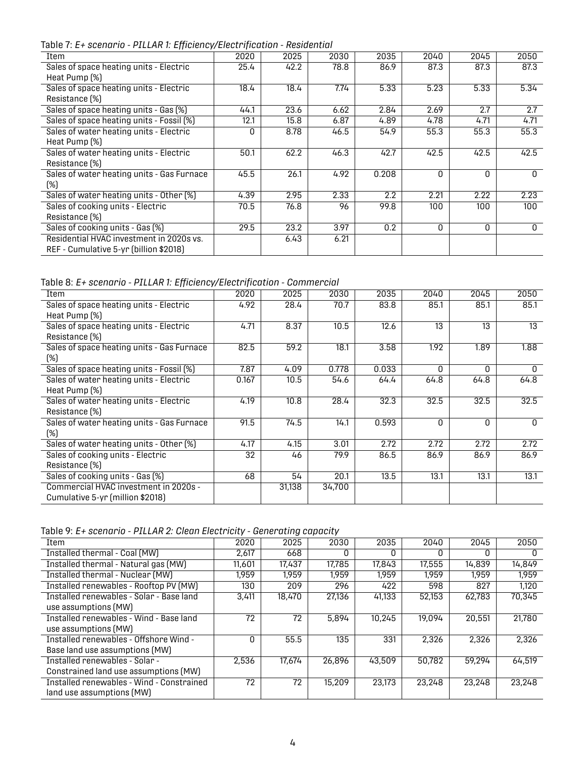Table 7: *E+ scenario - PILLAR 1: Efficiency/Electrification - Residential*

| Item                                       | 2020 | 2025 | 2030 | 2035  | 2040     | 2045     | 2050         |
|--------------------------------------------|------|------|------|-------|----------|----------|--------------|
| Sales of space heating units - Electric    | 25.4 | 42.2 | 78.8 | 86.9  | 87.3     | 87.3     | 87.3         |
| Heat Pump (%)                              |      |      |      |       |          |          |              |
| Sales of space heating units - Electric    | 18.4 | 18.4 | 7.74 | 5.33  | 5.23     | 5.33     | 5.34         |
| Resistance (%)                             |      |      |      |       |          |          |              |
| Sales of space heating units - Gas (%)     | 44.1 | 23.6 | 6.62 | 2.84  | 2.69     | 2.7      | 2.7          |
| Sales of space heating units - Fossil (%)  | 12.1 | 15.8 | 6.87 | 4.89  | 4.78     | 4.71     | 4.71         |
| Sales of water heating units - Electric    | O    | 8.78 | 46.5 | 54.9  | 55.3     | 55.3     | 55.3         |
| Heat Pump (%)                              |      |      |      |       |          |          |              |
| Sales of water heating units - Electric    | 50.1 | 62.2 | 46.3 | 42.7  | 42.5     | 42.5     | 42.5         |
| Resistance [%]                             |      |      |      |       |          |          |              |
| Sales of water heating units - Gas Furnace | 45.5 | 26.1 | 4.92 | 0.208 | $\Omega$ | $\Omega$ | $\Omega$     |
| (%)                                        |      |      |      |       |          |          |              |
| Sales of water heating units - Other [%]   | 4.39 | 2.95 | 2.33 | 2.2   | 2.21     | 2.22     | 2.23         |
| Sales of cooking units - Electric          | 70.5 | 76.8 | 96   | 99.8  | 100      | 100      | 100          |
| Resistance [%]                             |      |      |      |       |          |          |              |
| Sales of cooking units - Gas (%)           | 29.5 | 23.2 | 3.97 | 0.2   | $\Omega$ | 0        | $\mathbf{0}$ |
| Residential HVAC investment in 2020s vs.   |      | 6.43 | 6.21 |       |          |          |              |
| REF - Cumulative 5-yr (billion \$2018)     |      |      |      |       |          |          |              |

<span id="page-6-0"></span>Table 8: *E+ scenario - PILLAR 1: Efficiency/Electrification - Commercial*

| Item                                       | 2020  | 2025   | 2030   | 2035  | 2040 | 2045     | 2050     |
|--------------------------------------------|-------|--------|--------|-------|------|----------|----------|
| Sales of space heating units - Electric    | 4.92  | 28.4   | 70.7   | 83.8  | 85.1 | 85.1     | 85.1     |
| Heat Pump (%)                              |       |        |        |       |      |          |          |
| Sales of space heating units - Electric    | 4.71  | 8.37   | 10.5   | 12.6  | 13   | 13       | 13       |
| Resistance (%)                             |       |        |        |       |      |          |          |
| Sales of space heating units - Gas Furnace | 82.5  | 59.2   | 18.1   | 3.58  | 1.92 | 1.89     | 1.88     |
| (%)                                        |       |        |        |       |      |          |          |
| Sales of space heating units - Fossil (%)  | 7.87  | 4.09   | 0.778  | 0.033 | 0    | 0        | 0        |
| Sales of water heating units - Electric    | 0.167 | 10.5   | 54.6   | 64.4  | 64.8 | 64.8     | 64.8     |
| Heat Pump (%)                              |       |        |        |       |      |          |          |
| Sales of water heating units - Electric    | 4.19  | 10.8   | 28.4   | 32.3  | 32.5 | 32.5     | 32.5     |
| Resistance (%)                             |       |        |        |       |      |          |          |
| Sales of water heating units - Gas Furnace | 91.5  | 74.5   | 14.1   | 0.593 | 0    | $\Omega$ | $\Omega$ |
| (%)                                        |       |        |        |       |      |          |          |
| Sales of water heating units - Other [%]   | 4.17  | 4.15   | 3.01   | 2.72  | 2.72 | 2.72     | 2.72     |
| Sales of cooking units - Electric          | 32    | 46     | 79.9   | 86.5  | 86.9 | 86.9     | 86.9     |
| Resistance (%)                             |       |        |        |       |      |          |          |
| Sales of cooking units - Gas (%)           | 68    | 54     | 20.1   | 13.5  | 13.1 | 13.1     | 13.1     |
| Commercial HVAC investment in 2020s -      |       | 31,138 | 34,700 |       |      |          |          |
| Cumulative 5-yr (million \$2018)           |       |        |        |       |      |          |          |

<span id="page-6-1"></span>Table 9: *E+ scenario - PILLAR 2: Clean Electricity - Generating capacity*

| Item                                      | 2020   | 2025   | 2030   | 2035   | 2040   | 2045   | 2050   |
|-------------------------------------------|--------|--------|--------|--------|--------|--------|--------|
| Installed thermal - Coal (MW)             | 2,617  | 668    | O      | O      | O      | O      | O      |
| Installed thermal - Natural gas (MW)      | 11,601 | 17,437 | 17,785 | 17,843 | 17,555 | 14,839 | 14,849 |
| Installed thermal - Nuclear (MW)          | 1.959  | 1.959  | 1.959  | 1.959  | 1.959  | 1.959  | 1.959  |
| Installed renewables - Rooftop PV (MW)    | 130    | 209    | 296    | 422    | 598    | 827    | 1.120  |
| Installed renewables - Solar - Base land  | 3,411  | 18,470 | 27,136 | 41.133 | 52,153 | 62.783 | 70,345 |
| use assumptions (MW)                      |        |        |        |        |        |        |        |
| Installed renewables - Wind - Base land   | 72     | 72     | 5.894  | 10.245 | 19.094 | 20.551 | 21,780 |
| use assumptions (MW)                      |        |        |        |        |        |        |        |
| Installed renewables - Offshore Wind -    | O      | 55.5   | 135    | 331    | 2.326  | 2.326  | 2.326  |
| Base land use assumptions (MW)            |        |        |        |        |        |        |        |
| Installed renewables - Solar -            | 2.536  | 17.674 | 26,896 | 43,509 | 50.782 | 59.294 | 64.519 |
| Constrained land use assumptions (MW)     |        |        |        |        |        |        |        |
| Installed renewables - Wind - Constrained | 72     | 72     | 15,209 | 23,173 | 23.248 | 23.248 | 23.248 |
| land use assumptions (MW)                 |        |        |        |        |        |        |        |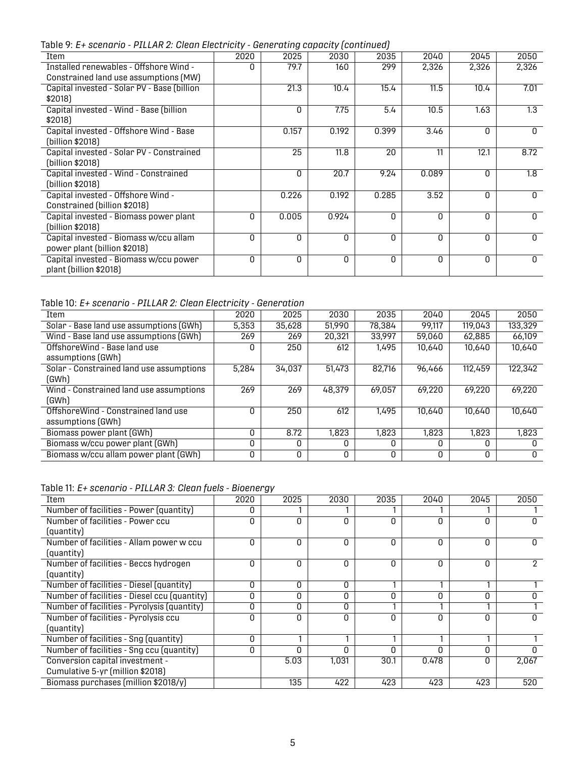Table 9: *E+ scenario - PILLAR 2: Clean Electricity - Generating capacity (continued)*

| abio 7. E / 0001101 10 - 1 1 L 1 1 1 L 1 010011 L 10001 1010 1 |      | adhorathig capacity roomthiacal |       |       |       |          |          |
|----------------------------------------------------------------|------|---------------------------------|-------|-------|-------|----------|----------|
| Item                                                           | 2020 | 2025                            | 2030  | 2035  | 2040  | 2045     | 2050     |
| Installed renewables - Offshore Wind -                         | n    | 79.7                            | 160   | 299   | 2,326 | 2,326    | 2,326    |
| Constrained land use assumptions (MW)                          |      |                                 |       |       |       |          |          |
| Capital invested - Solar PV - Base (billion                    |      | 21.3                            | 10.4  | 15.4  | 11.5  | 10.4     | 7.01     |
| \$2018)                                                        |      |                                 |       |       |       |          |          |
| Capital invested - Wind - Base (billion                        |      | 0                               | 7.75  | 5.4   | 10.5  | 1.63     | 1.3      |
| \$2018)                                                        |      |                                 |       |       |       |          |          |
| Capital invested - Offshore Wind - Base                        |      | 0.157                           | 0.192 | 0.399 | 3.46  | 0        | 0        |
| (billion \$2018)                                               |      |                                 |       |       |       |          |          |
| Capital invested - Solar PV - Constrained                      |      | 25                              | 11.8  | 20    | 11    | 12.1     | 8.72     |
| (billion \$2018)                                               |      |                                 |       |       |       |          |          |
| Capital invested - Wind - Constrained                          |      | 0                               | 20.7  | 9.24  | 0.089 | 0        | 1.8      |
| (billion \$2018)                                               |      |                                 |       |       |       |          |          |
| Capital invested - Offshore Wind -                             |      | 0.226                           | 0.192 | 0.285 | 3.52  | $\Omega$ | $\Omega$ |
| Constrained (billion \$2018)                                   |      |                                 |       |       |       |          |          |
| Capital invested - Biomass power plant                         | 0    | 0.005                           | 0.924 | 0     | O     | 0        | $\Omega$ |
| (billion \$2018)                                               |      |                                 |       |       |       |          |          |
| Capital invested - Biomass w/ccu allam                         | O    | 0                               | 0     | 0     | 0     | 0        | $\Omega$ |
| power plant (billion \$2018)                                   |      |                                 |       |       |       |          |          |
| Capital invested - Biomass w/ccu power                         | 0    | 0                               | 0     | 0     | 0     | 0        | $\Omega$ |
| plant (billion \$2018)                                         |      |                                 |       |       |       |          |          |

### <span id="page-7-0"></span>Table 10: *E+ scenario - PILLAR 2: Clean Electricity - Generation*

| Item                                                     | 2020  | 2025   | 2030   | 2035   | 2040   | 2045    | 2050    |
|----------------------------------------------------------|-------|--------|--------|--------|--------|---------|---------|
| Solar - Base land use assumptions (GWh)                  | 5.353 | 35.628 | 51,990 | 78,384 | 99,117 | 119.043 | 133,329 |
| Wind - Base land use assumptions (GWh)                   | 269   | 269    | 20,321 | 33,997 | 59,060 | 62,885  | 66,109  |
| Offshore Wind - Base land use<br>assumptions (GWh)       |       | 250    | 612    | 1.495  | 10.640 | 10,640  | 10,640  |
| Solar - Constrained land use assumptions<br>(GWh)        | 5,284 | 34,037 | 51,473 | 82,716 | 96.466 | 112,459 | 122,342 |
| Wind - Constrained land use assumptions<br>(GWh)         | 269   | 269    | 48,379 | 69.057 | 69.220 | 69,220  | 69.220  |
| OffshoreWind - Constrained land use<br>assumptions (GWh) |       | 250    | 612    | 1.495  | 10.640 | 10.640  | 10.640  |
| Biomass power plant (GWh)                                |       | 8.72   | 1.823  | 1.823  | 1,823  | 1,823   | 1,823   |
| Biomass w/ccu power plant (GWh)                          | O     | O      | n      | U      |        | n       |         |
| Biomass w/ccu allam power plant (GWh)                    | 0     | 0      | ٥      | O      | O      | O       | 0       |

<span id="page-7-1"></span>

| Table 11: E+ scenario - PILLAR 3: Clean fuels - Bioenergy |  |  |  |  |  |  |
|-----------------------------------------------------------|--|--|--|--|--|--|
|-----------------------------------------------------------|--|--|--|--|--|--|

<span id="page-7-2"></span>

| Item                                         | 2020 | 2025 | 2030         | 2035 | 2040  | 2045     | 2050  |
|----------------------------------------------|------|------|--------------|------|-------|----------|-------|
| Number of facilities - Power (quantity)      | O    |      |              |      |       |          |       |
| Number of facilities - Power ccu             |      | O    | n            | O    | U     | U        |       |
| (quantity)                                   |      |      |              |      |       |          |       |
| Number of facilities - Allam power w ccu     | N    | O    | O            | O    | U     | $\Omega$ | n     |
| (quantity)                                   |      |      |              |      |       |          |       |
| Number of facilities - Beccs hydrogen        | U    | O    | <sup>0</sup> | O    | U     | O        | 2     |
| (quantity)                                   |      |      |              |      |       |          |       |
| Number of facilities - Diesel (quantity)     | U    | O    | U            |      |       |          |       |
| Number of facilities - Diesel ccu (quantity) |      | O    | O            | O    |       | ŋ        |       |
| Number of facilities - Pyrolysis (quantity)  | O    | 0    | O            |      |       |          |       |
| Number of facilities - Pyrolysis ccu         | U    | O    | O            | O    | O     | O        |       |
| (quantity)                                   |      |      |              |      |       |          |       |
| Number of facilities - Sng (quantity)        | U    |      |              |      |       |          |       |
| Number of facilities - Sng ccu (quantity)    | O    | O    | O            | O    | O     | O        |       |
| Conversion capital investment -              |      | 5.03 | 1,031        | 30.1 | 0.478 | O        | 2,067 |
| Cumulative 5-yr (million \$2018)             |      |      |              |      |       |          |       |
| Biomass purchases (million \$2018/y)         |      | 135  | 422          | 423  | 423   | 423      | 520   |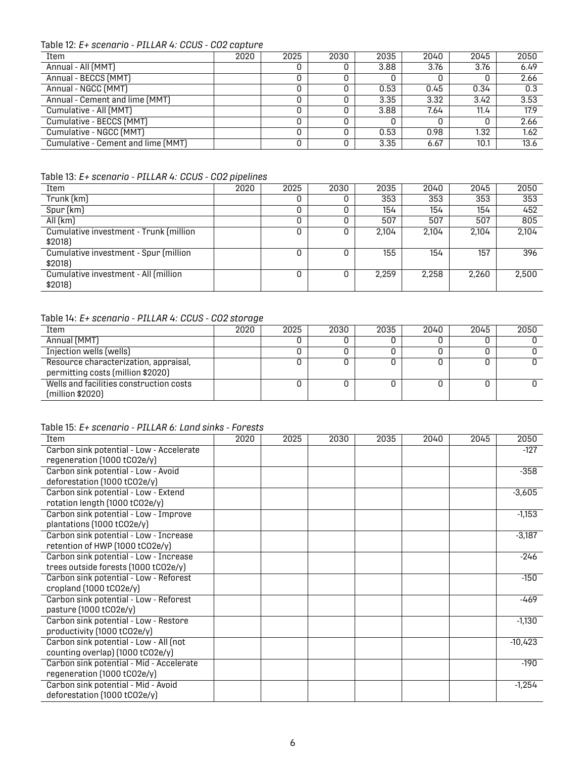#### Table 12: *E+ scenario - PILLAR 4: CCUS - CO2 capture*

| Item                               | 2020 | 2025 | 2030 | 2035 | 2040 | 2045 | 2050 |
|------------------------------------|------|------|------|------|------|------|------|
| Annual - All (MMT)                 |      | υ    |      | 3.88 | 3.76 | 3.76 | 6.49 |
| Annual - BECCS (MMT)               |      |      |      |      |      |      | 2.66 |
| Annual - NGCC (MMT)                |      |      |      | 0.53 | 0.45 | 0.34 | 0.3  |
| Annual - Cement and lime (MMT)     |      |      |      | 3.35 | 3.32 | 3.42 | 3.53 |
| Cumulative - All (MMT)             |      |      |      | 3.88 | 7.64 | 11.4 | 17.9 |
| Cumulative - BECCS (MMT)           |      |      |      |      |      |      | 2.66 |
| Cumulative - NGCC (MMT)            |      |      |      | 0.53 | 0.98 | 1.32 | 1.62 |
| Cumulative - Cement and lime (MMT) |      |      |      | 3.35 | 6.67 | 10.1 | 13.6 |

#### <span id="page-8-0"></span>Table 13: *E+ scenario - PILLAR 4: CCUS - CO2 pipelines*

| Item                                              | 2020 | 2025 | 2030 | 2035  | 2040  | 2045  | 2050  |
|---------------------------------------------------|------|------|------|-------|-------|-------|-------|
| Trunk (km)                                        |      | υ    |      | 353   | 353   | 353   | 353   |
| Spur (km)                                         |      | υ    |      | 154   | 154   | 154   | 452   |
| All(km)                                           |      | 0    |      | 507   | 507   | 507   | 805   |
| Cumulative investment - Trunk (million<br>\$2018) |      | 0    | 0    | 2.104 | 2.104 | 2.104 | 2,104 |
| Cumulative investment - Spur (million<br>\$2018)  |      | 0    |      | 155   | 154   | 157   | 396   |
| Cumulative investment - All (million<br>\$2018)   |      | 0    |      | 2.259 | 2,258 | 2,260 | 2,500 |

#### <span id="page-8-1"></span>Table 14: *E+ scenario - PILLAR 4: CCUS - CO2 storage*

| Item                                                                       | 2020 | 2025 | 2030 | 2035 | 2040 | 2045 | 2050 |
|----------------------------------------------------------------------------|------|------|------|------|------|------|------|
| Annual (MMT)                                                               |      |      |      |      |      |      |      |
| Injection wells (wells)                                                    |      |      |      |      |      |      |      |
| Resource characterization, appraisal,<br>permitting costs (million \$2020) |      |      |      |      |      |      |      |
| Wells and facilities construction costs<br>(million \$2020)                |      |      |      |      |      |      |      |

#### <span id="page-8-2"></span>Table 15: *E+ scenario - PILLAR 6: Land sinks - Forests*

| Item                                     | 2020 | 2025 | 2030 | 2035 | 2040 | 2045 | 2050      |
|------------------------------------------|------|------|------|------|------|------|-----------|
| Carbon sink potential - Low - Accelerate |      |      |      |      |      |      | $-127$    |
| regeneration (1000 tCO2e/y)              |      |      |      |      |      |      |           |
| Carbon sink potential - Low - Avoid      |      |      |      |      |      |      | $-358$    |
| deforestation (1000 tCO2e/y)             |      |      |      |      |      |      |           |
| Carbon sink potential - Low - Extend     |      |      |      |      |      |      | $-3,605$  |
| rotation length (1000 tCO2e/y)           |      |      |      |      |      |      |           |
| Carbon sink potential - Low - Improve    |      |      |      |      |      |      | $-1,153$  |
| plantations (1000 tCO2e/y)               |      |      |      |      |      |      |           |
| Carbon sink potential - Low - Increase   |      |      |      |      |      |      | $-3,187$  |
| retention of HWP (1000 tCO2e/y)          |      |      |      |      |      |      |           |
| Carbon sink potential - Low - Increase   |      |      |      |      |      |      | $-246$    |
| trees outside forests (1000 tCO2e/y)     |      |      |      |      |      |      |           |
| Carbon sink potential - Low - Reforest   |      |      |      |      |      |      | $-150$    |
| cropland (1000 tCO2e/y)                  |      |      |      |      |      |      |           |
| Carbon sink potential - Low - Reforest   |      |      |      |      |      |      | -469      |
| pasture (1000 tCO2e/y)                   |      |      |      |      |      |      |           |
| Carbon sink potential - Low - Restore    |      |      |      |      |      |      | $-1,130$  |
| productivity (1000 tCO2e/y)              |      |      |      |      |      |      |           |
| Carbon sink potential - Low - All (not   |      |      |      |      |      |      | $-10,423$ |
| counting overlap) (1000 tCO2e/y)         |      |      |      |      |      |      |           |
| Carbon sink potential - Mid - Accelerate |      |      |      |      |      |      | $-190$    |
| regeneration (1000 tCO2e/y)              |      |      |      |      |      |      |           |
| Carbon sink potential - Mid - Avoid      |      |      |      |      |      |      | $-1,254$  |
| deforestation (1000 tCO2e/y)             |      |      |      |      |      |      |           |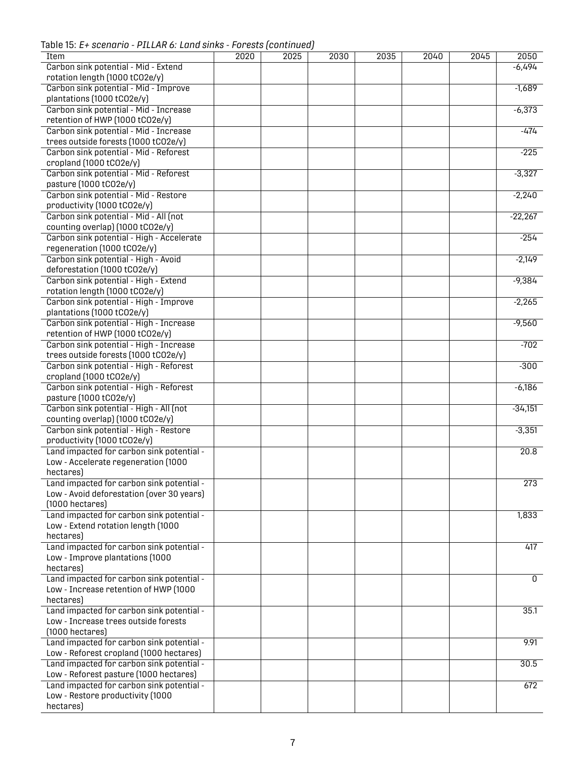Table 15: *E+ scenario - PILLAR 6: Land sinks - Forests (continued)*

| Item                                      | 2020 | 2025 | 2030 | 2035 | 2040 | 2045 | 2050      |
|-------------------------------------------|------|------|------|------|------|------|-----------|
| Carbon sink potential - Mid - Extend      |      |      |      |      |      |      | $-6,494$  |
|                                           |      |      |      |      |      |      |           |
| rotation length (1000 tCO2e/y)            |      |      |      |      |      |      |           |
| Carbon sink potential - Mid - Improve     |      |      |      |      |      |      | $-1,689$  |
| plantations (1000 tCO2e/y)                |      |      |      |      |      |      |           |
| Carbon sink potential - Mid - Increase    |      |      |      |      |      |      | $-6,373$  |
| retention of HWP (1000 tCO2e/y)           |      |      |      |      |      |      |           |
| Carbon sink potential - Mid - Increase    |      |      |      |      |      |      | $-474$    |
|                                           |      |      |      |      |      |      |           |
| trees outside forests (1000 tCO2e/y)      |      |      |      |      |      |      |           |
| Carbon sink potential - Mid - Reforest    |      |      |      |      |      |      | $-225$    |
| cropland (1000 tCO2e/y)                   |      |      |      |      |      |      |           |
| Carbon sink potential - Mid - Reforest    |      |      |      |      |      |      | $-3,327$  |
| pasture (1000 tCO2e/y)                    |      |      |      |      |      |      |           |
| Carbon sink potential - Mid - Restore     |      |      |      |      |      |      | $-2,240$  |
|                                           |      |      |      |      |      |      |           |
| productivity (1000 tCO2e/y)               |      |      |      |      |      |      |           |
| Carbon sink potential - Mid - All (not    |      |      |      |      |      |      | $-22,267$ |
| counting overlap) (1000 tCO2e/y)          |      |      |      |      |      |      |           |
| Carbon sink potential - High - Accelerate |      |      |      |      |      |      | $-254$    |
| regeneration (1000 tCO2e/y)               |      |      |      |      |      |      |           |
| Carbon sink potential - High - Avoid      |      |      |      |      |      |      | $-2,149$  |
|                                           |      |      |      |      |      |      |           |
| deforestation (1000 tCO2e/y)              |      |      |      |      |      |      |           |
| Carbon sink potential - High - Extend     |      |      |      |      |      |      | $-9,384$  |
| rotation length (1000 tCO2e/y)            |      |      |      |      |      |      |           |
| Carbon sink potential - High - Improve    |      |      |      |      |      |      | $-2,265$  |
| plantations (1000 tCO2e/y)                |      |      |      |      |      |      |           |
| Carbon sink potential - High - Increase   |      |      |      |      |      |      | $-9,560$  |
|                                           |      |      |      |      |      |      |           |
| retention of HWP (1000 tCO2e/y)           |      |      |      |      |      |      |           |
| Carbon sink potential - High - Increase   |      |      |      |      |      |      | $-702$    |
| trees outside forests (1000 tCO2e/y)      |      |      |      |      |      |      |           |
| Carbon sink potential - High - Reforest   |      |      |      |      |      |      | $-300$    |
| cropland (1000 tCO2e/y)                   |      |      |      |      |      |      |           |
| Carbon sink potential - High - Reforest   |      |      |      |      |      |      | $-6,186$  |
|                                           |      |      |      |      |      |      |           |
| pasture (1000 tC02e/y)                    |      |      |      |      |      |      |           |
| Carbon sink potential - High - All (not   |      |      |      |      |      |      | $-34,151$ |
| counting overlap) (1000 tCO2e/y)          |      |      |      |      |      |      |           |
| Carbon sink potential - High - Restore    |      |      |      |      |      |      | $-3,351$  |
| productivity (1000 tCO2e/y)               |      |      |      |      |      |      |           |
| Land impacted for carbon sink potential - |      |      |      |      |      |      | 20.8      |
|                                           |      |      |      |      |      |      |           |
| Low - Accelerate regeneration (1000       |      |      |      |      |      |      |           |
| hectares)                                 |      |      |      |      |      |      |           |
| Land impacted for carbon sink potential - |      |      |      |      |      |      | 273       |
| Low - Avoid deforestation (over 30 years) |      |      |      |      |      |      |           |
| $(1000$ hectares)                         |      |      |      |      |      |      |           |
| Land impacted for carbon sink potential - |      |      |      |      |      |      |           |
|                                           |      |      |      |      |      |      | 1,833     |
| Low - Extend rotation length (1000        |      |      |      |      |      |      |           |
| hectares)                                 |      |      |      |      |      |      |           |
| Land impacted for carbon sink potential - |      |      |      |      |      |      | 417       |
| Low - Improve plantations (1000           |      |      |      |      |      |      |           |
| hectares)                                 |      |      |      |      |      |      |           |
| Land impacted for carbon sink potential - |      |      |      |      |      |      | 0         |
|                                           |      |      |      |      |      |      |           |
| Low - Increase retention of HWP (1000     |      |      |      |      |      |      |           |
| hectares)                                 |      |      |      |      |      |      |           |
| Land impacted for carbon sink potential - |      |      |      |      |      |      | 35.1      |
| Low - Increase trees outside forests      |      |      |      |      |      |      |           |
| $(1000$ hectares)                         |      |      |      |      |      |      |           |
|                                           |      |      |      |      |      |      |           |
| Land impacted for carbon sink potential - |      |      |      |      |      |      | 9.91      |
| Low - Reforest cropland (1000 hectares)   |      |      |      |      |      |      |           |
| Land impacted for carbon sink potential - |      |      |      |      |      |      | 30.5      |
| Low - Reforest pasture (1000 hectares)    |      |      |      |      |      |      |           |
| Land impacted for carbon sink potential - |      |      |      |      |      |      | 672       |
| Low - Restore productivity (1000          |      |      |      |      |      |      |           |
|                                           |      |      |      |      |      |      |           |
| hectares)                                 |      |      |      |      |      |      |           |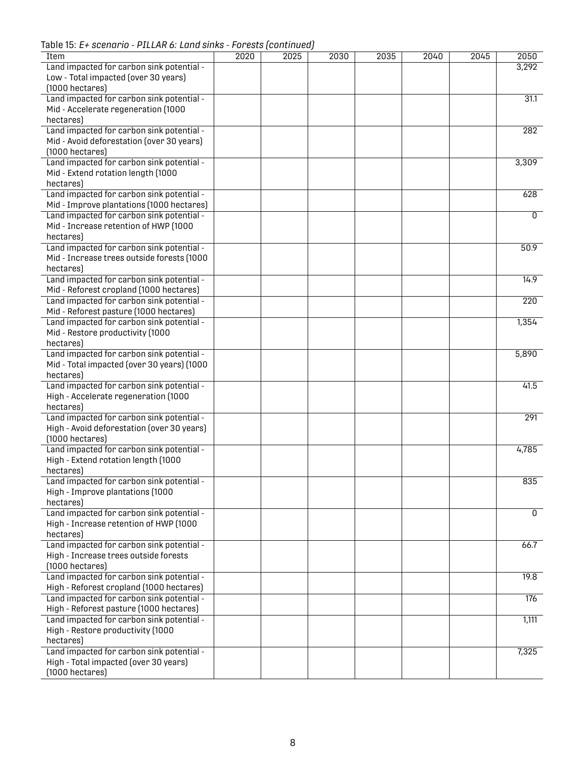Table 15: *E+ scenario - PILLAR 6: Land sinks - Forests (continued)*

<span id="page-10-0"></span>

| Item                                       | 2020 | 2025 | 2030 | 2035 | 2040 | 2045 | 2050           |
|--------------------------------------------|------|------|------|------|------|------|----------------|
| Land impacted for carbon sink potential -  |      |      |      |      |      |      | 3,292          |
| Low - Total impacted (over 30 years)       |      |      |      |      |      |      |                |
| $(1000$ hectares)                          |      |      |      |      |      |      |                |
| Land impacted for carbon sink potential -  |      |      |      |      |      |      | 31.1           |
| Mid - Accelerate regeneration (1000        |      |      |      |      |      |      |                |
| hectares)                                  |      |      |      |      |      |      |                |
| Land impacted for carbon sink potential -  |      |      |      |      |      |      | 282            |
| Mid - Avoid deforestation (over 30 years)  |      |      |      |      |      |      |                |
| $(1000$ hectares)                          |      |      |      |      |      |      |                |
| Land impacted for carbon sink potential -  |      |      |      |      |      |      | 3,309          |
| Mid - Extend rotation length (1000         |      |      |      |      |      |      |                |
| hectares)                                  |      |      |      |      |      |      |                |
| Land impacted for carbon sink potential -  |      |      |      |      |      |      | 628            |
| Mid - Improve plantations (1000 hectares)  |      |      |      |      |      |      |                |
|                                            |      |      |      |      |      |      |                |
| Land impacted for carbon sink potential -  |      |      |      |      |      |      | $\overline{0}$ |
| Mid - Increase retention of HWP (1000      |      |      |      |      |      |      |                |
| hectares)                                  |      |      |      |      |      |      |                |
| Land impacted for carbon sink potential -  |      |      |      |      |      |      | 50.9           |
| Mid - Increase trees outside forests (1000 |      |      |      |      |      |      |                |
| hectares)                                  |      |      |      |      |      |      |                |
| Land impacted for carbon sink potential -  |      |      |      |      |      |      | 14.9           |
| Mid - Reforest cropland (1000 hectares)    |      |      |      |      |      |      |                |
| Land impacted for carbon sink potential -  |      |      |      |      |      |      | 220            |
| Mid - Reforest pasture (1000 hectares)     |      |      |      |      |      |      |                |
| Land impacted for carbon sink potential -  |      |      |      |      |      |      | 1,354          |
| Mid - Restore productivity (1000           |      |      |      |      |      |      |                |
| hectares)                                  |      |      |      |      |      |      |                |
| Land impacted for carbon sink potential -  |      |      |      |      |      |      | 5,890          |
| Mid - Total impacted (over 30 years) (1000 |      |      |      |      |      |      |                |
| hectares)                                  |      |      |      |      |      |      |                |
| Land impacted for carbon sink potential -  |      |      |      |      |      |      | 41.5           |
| High - Accelerate regeneration (1000       |      |      |      |      |      |      |                |
|                                            |      |      |      |      |      |      |                |
| hectares)                                  |      |      |      |      |      |      |                |
| Land impacted for carbon sink potential -  |      |      |      |      |      |      | 291            |
| High - Avoid deforestation (over 30 years) |      |      |      |      |      |      |                |
| $(1000$ hectares)                          |      |      |      |      |      |      |                |
| Land impacted for carbon sink potential -  |      |      |      |      |      |      | 4,785          |
| High - Extend rotation length (1000        |      |      |      |      |      |      |                |
| hectares)                                  |      |      |      |      |      |      |                |
| Land impacted for carbon sink potential -  |      |      |      |      |      |      | 835            |
| High - Improve plantations (1000           |      |      |      |      |      |      |                |
| hectares)                                  |      |      |      |      |      |      |                |
| Land impacted for carbon sink potential -  |      |      |      |      |      |      | 0              |
| High - Increase retention of HWP (1000     |      |      |      |      |      |      |                |
| hectares)                                  |      |      |      |      |      |      |                |
| Land impacted for carbon sink potential -  |      |      |      |      |      |      | 66.7           |
| High - Increase trees outside forests      |      |      |      |      |      |      |                |
| $(1000$ hectares)                          |      |      |      |      |      |      |                |
| Land impacted for carbon sink potential -  |      |      |      |      |      |      | 19.8           |
| High - Reforest cropland (1000 hectares)   |      |      |      |      |      |      |                |
| Land impacted for carbon sink potential -  |      |      |      |      |      |      | 176            |
| High - Reforest pasture (1000 hectares)    |      |      |      |      |      |      |                |
|                                            |      |      |      |      |      |      |                |
| Land impacted for carbon sink potential -  |      |      |      |      |      |      | 1,111          |
| High - Restore productivity (1000          |      |      |      |      |      |      |                |
| hectares)                                  |      |      |      |      |      |      |                |
| Land impacted for carbon sink potential -  |      |      |      |      |      |      | 7,325          |
| High - Total impacted (over 30 years)      |      |      |      |      |      |      |                |
| $(1000$ hectares)                          |      |      |      |      |      |      |                |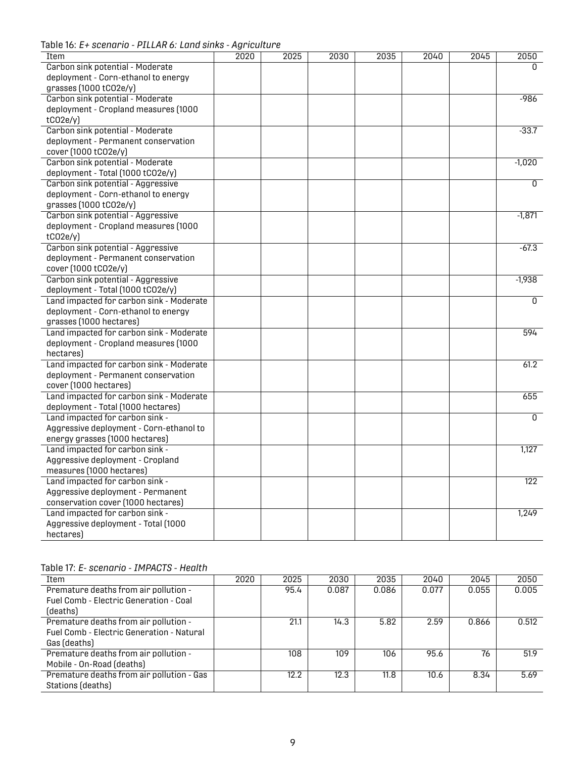Table 16: *E+ scenario - PILLAR 6: Land sinks - Agriculture*

| Item                                     | 2020 | 2025 | 2030 | 2035 | 2040 | 2045 | 2050           |
|------------------------------------------|------|------|------|------|------|------|----------------|
| Carbon sink potential - Moderate         |      |      |      |      |      |      | $\Omega$       |
| deployment - Corn-ethanol to energy      |      |      |      |      |      |      |                |
| grasses (1000 tC02e/y)                   |      |      |      |      |      |      |                |
| Carbon sink potential - Moderate         |      |      |      |      |      |      | $-986$         |
| deployment - Cropland measures (1000     |      |      |      |      |      |      |                |
| tCO2e/y                                  |      |      |      |      |      |      |                |
| Carbon sink potential - Moderate         |      |      |      |      |      |      | $-33.7$        |
| deployment - Permanent conservation      |      |      |      |      |      |      |                |
| cover (1000 tCO2e/y)                     |      |      |      |      |      |      |                |
| Carbon sink potential - Moderate         |      |      |      |      |      |      | $-1,020$       |
| deployment - Total (1000 tCO2e/y)        |      |      |      |      |      |      |                |
| Carbon sink potential - Aggressive       |      |      |      |      |      |      | $\overline{0}$ |
| deployment - Corn-ethanol to energy      |      |      |      |      |      |      |                |
| grasses (1000 tCO2e/y)                   |      |      |      |      |      |      |                |
| Carbon sink potential - Aggressive       |      |      |      |      |      |      | $-1,871$       |
| deployment - Cropland measures (1000     |      |      |      |      |      |      |                |
| tCO2e/y                                  |      |      |      |      |      |      |                |
| Carbon sink potential - Aggressive       |      |      |      |      |      |      | $-67.3$        |
| deployment - Permanent conservation      |      |      |      |      |      |      |                |
| cover (1000 tCO2e/y)                     |      |      |      |      |      |      |                |
| Carbon sink potential - Aggressive       |      |      |      |      |      |      | $-1,938$       |
| deployment - Total (1000 tCO2e/y)        |      |      |      |      |      |      |                |
| Land impacted for carbon sink - Moderate |      |      |      |      |      |      | 0              |
| deployment - Corn-ethanol to energy      |      |      |      |      |      |      |                |
| grasses (1000 hectares)                  |      |      |      |      |      |      |                |
| Land impacted for carbon sink - Moderate |      |      |      |      |      |      | 594            |
| deployment - Cropland measures (1000     |      |      |      |      |      |      |                |
| hectares)                                |      |      |      |      |      |      |                |
| Land impacted for carbon sink - Moderate |      |      |      |      |      |      | 61.2           |
| deployment - Permanent conservation      |      |      |      |      |      |      |                |
| cover (1000 hectares)                    |      |      |      |      |      |      |                |
| Land impacted for carbon sink - Moderate |      |      |      |      |      |      | 655            |
| deployment - Total (1000 hectares)       |      |      |      |      |      |      |                |
| Land impacted for carbon sink -          |      |      |      |      |      |      | $\Omega$       |
| Aggressive deployment - Corn-ethanol to  |      |      |      |      |      |      |                |
| energy grasses (1000 hectares)           |      |      |      |      |      |      |                |
| Land impacted for carbon sink -          |      |      |      |      |      |      | 1,127          |
| Aggressive deployment - Cropland         |      |      |      |      |      |      |                |
| measures (1000 hectares)                 |      |      |      |      |      |      |                |
| Land impacted for carbon sink -          |      |      |      |      |      |      | 122            |
| Aggressive deployment - Permanent        |      |      |      |      |      |      |                |
| conservation cover (1000 hectares)       |      |      |      |      |      |      |                |
| Land impacted for carbon sink -          |      |      |      |      |      |      | 1,249          |
| Aggressive deployment - Total (1000      |      |      |      |      |      |      |                |
| hectares)                                |      |      |      |      |      |      |                |

#### <span id="page-11-0"></span>Table 17: *E- scenario - IMPACTS - Health*

| Item                                             | 2020 | 2025 | 2030  | 2035  | 2040  | 2045  | 2050  |
|--------------------------------------------------|------|------|-------|-------|-------|-------|-------|
| Premature deaths from air pollution -            |      | 95.4 | 0.087 | 0.086 | 0.077 | 0.055 | 0.005 |
| Fuel Comb - Electric Generation - Coal           |      |      |       |       |       |       |       |
| (deaths)                                         |      |      |       |       |       |       |       |
| Premature deaths from air pollution -            |      | 21.1 | 14.3  | 5.82  | 2.59  | 0.866 | 0.512 |
| <b>Fuel Comb - Electric Generation - Natural</b> |      |      |       |       |       |       |       |
| Gas (deaths)                                     |      |      |       |       |       |       |       |
| Premature deaths from air pollution -            |      | 108  | 109   | 106   | 95.6  | 76    | 51.9  |
| Mobile - On-Road (deaths)                        |      |      |       |       |       |       |       |
| Premature deaths from air pollution - Gas        |      | 12.2 | 12.3  | 11.8  | 10.6  | 8.34  | 5.69  |
| Stations (deaths)                                |      |      |       |       |       |       |       |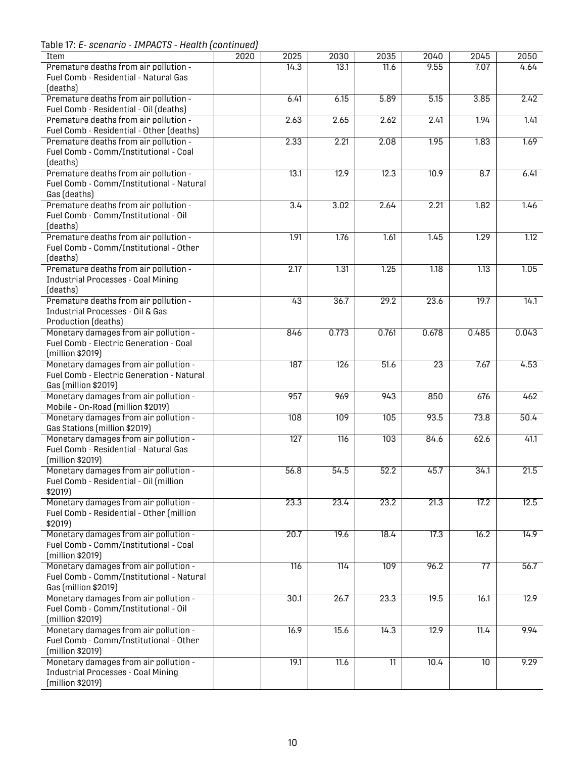Table 17: *E- scenario - IMPACTS - Health (continued)*

| Item                                                                               | 2020 | 2025 | 2030             | 2035            | 2040            | 2045            | 2050  |
|------------------------------------------------------------------------------------|------|------|------------------|-----------------|-----------------|-----------------|-------|
| Premature deaths from air pollution -                                              |      | 14.3 | 13.1             | 11.6            | 9.55            | 7.07            | 4.64  |
| Fuel Comb - Residential - Natural Gas                                              |      |      |                  |                 |                 |                 |       |
| (deaths)                                                                           |      |      |                  |                 |                 |                 |       |
| Premature deaths from air pollution -                                              |      | 6.41 | 6.15             | 5.89            | 5.15            | 3.85            | 2.42  |
| Fuel Comb - Residential - Oil (deaths)                                             |      |      |                  |                 |                 |                 |       |
| Premature deaths from air pollution -                                              |      | 2.63 | 2.65             | 2.62            | 2.41            | 1.94            | 1.41  |
| Fuel Comb - Residential - Other (deaths)                                           |      |      |                  |                 |                 |                 |       |
| Premature deaths from air pollution -                                              |      | 2.33 | 2.21             | 2.08            | 1.95            | 1.83            | 1.69  |
| Fuel Comb - Comm/Institutional - Coal                                              |      |      |                  |                 |                 |                 |       |
| (deaths)                                                                           |      |      |                  |                 |                 |                 |       |
| Premature deaths from air pollution -                                              |      | 13.1 | 12.9             | 12.3            | 10.9            | 8.7             | 6.41  |
| Fuel Comb - Comm/Institutional - Natural                                           |      |      |                  |                 |                 |                 |       |
| Gas (deaths)                                                                       |      |      |                  |                 |                 |                 |       |
| Premature deaths from air pollution -                                              |      | 3.4  | 3.02             | 2.64            | 2.21            | 1.82            | 1.46  |
| Fuel Comb - Comm/Institutional - Oil                                               |      |      |                  |                 |                 |                 |       |
| (deaths)                                                                           |      |      |                  |                 |                 |                 |       |
| Premature deaths from air pollution -                                              |      | 1.91 | 1.76             | 1.61            | 1.45            | 1.29            | 1.12  |
| Fuel Comb - Comm/Institutional - Other                                             |      |      |                  |                 |                 |                 |       |
| (deaths)                                                                           |      |      |                  | 1.25            |                 |                 | 1.05  |
| Premature deaths from air pollution -<br><b>Industrial Processes - Coal Mining</b> |      | 2.17 | 1.31             |                 | 1.18            | 1.13            |       |
| (deaths)                                                                           |      |      |                  |                 |                 |                 |       |
| Premature deaths from air pollution -                                              |      | 43   | 36.7             | 29.2            | 23.6            | 19.7            | 14.1  |
| <b>Industrial Processes - Oil &amp; Gas</b>                                        |      |      |                  |                 |                 |                 |       |
| Production (deaths)                                                                |      |      |                  |                 |                 |                 |       |
| Monetary damages from air pollution -                                              |      | 846  | 0.773            | 0.761           | 0.678           | 0.485           | 0.043 |
| Fuel Comb - Electric Generation - Coal                                             |      |      |                  |                 |                 |                 |       |
| (million \$2019)                                                                   |      |      |                  |                 |                 |                 |       |
| Monetary damages from air pollution -                                              |      | 187  | $\overline{126}$ | 51.6            | $\overline{23}$ | 7.67            | 4.53  |
| Fuel Comb - Electric Generation - Natural                                          |      |      |                  |                 |                 |                 |       |
| Gas (million \$2019)                                                               |      |      |                  |                 |                 |                 |       |
| Monetary damages from air pollution -                                              |      | 957  | 969              | 943             | 850             | 676             | 462   |
| Mobile - On-Road (million \$2019)                                                  |      |      |                  |                 |                 |                 |       |
| Monetary damages from air pollution -                                              |      | 108  | 109              | 105             | 93.5            | 73.8            | 50.4  |
| Gas Stations (million \$2019)                                                      |      |      |                  |                 |                 |                 |       |
| Monetary damages from air pollution -                                              |      | 127  | 116              | 103             | 84.6            | 62.6            | 41.1  |
| Fuel Comb - Residential - Natural Gas                                              |      |      |                  |                 |                 |                 |       |
| (million \$2019)                                                                   |      |      |                  |                 |                 |                 |       |
| Monetary damages from air pollution -                                              |      | 56.8 | 54.5             | 52.2            | 45.7            | 34.1            | 21.5  |
| Fuel Comb - Residential - Oil (million                                             |      |      |                  |                 |                 |                 |       |
| \$2019)                                                                            |      |      |                  |                 |                 |                 |       |
| Monetary damages from air pollution -                                              |      | 23.3 | 23.4             | 23.2            | 21.3            | 17.2            | 12.5  |
| Fuel Comb - Residential - Other (million                                           |      |      |                  |                 |                 |                 |       |
| \$2019)                                                                            |      |      |                  |                 |                 |                 |       |
| Monetary damages from air pollution -                                              |      | 20.7 | 19.6             | 18.4            | 17.3            | 16.2            | 14.9  |
| Fuel Comb - Comm/Institutional - Coal                                              |      |      |                  |                 |                 |                 |       |
| (million \$2019)                                                                   |      |      |                  |                 |                 |                 |       |
| Monetary damages from air pollution -                                              |      | 116  | 114              | 109             | 96.2            | $\overline{77}$ | 56.7  |
| Fuel Comb - Comm/Institutional - Natural<br>Gas (million \$2019)                   |      |      |                  |                 |                 |                 |       |
| Monetary damages from air pollution -                                              |      | 30.1 | 26.7             |                 | 19.5            | 16.1            | 12.9  |
| Fuel Comb - Comm/Institutional - Oil                                               |      |      |                  | 23.3            |                 |                 |       |
| (million \$2019)                                                                   |      |      |                  |                 |                 |                 |       |
| Monetary damages from air pollution -                                              |      | 16.9 | 15.6             | 14.3            | 12.9            | 11.4            | 9.94  |
| Fuel Comb - Comm/Institutional - Other                                             |      |      |                  |                 |                 |                 |       |
| (million \$2019)                                                                   |      |      |                  |                 |                 |                 |       |
| Monetary damages from air pollution -                                              |      | 19.1 | 11.6             | $\overline{11}$ | 10.4            | $\overline{10}$ | 9.29  |
| <b>Industrial Processes - Coal Mining</b>                                          |      |      |                  |                 |                 |                 |       |
| (million \$2019)                                                                   |      |      |                  |                 |                 |                 |       |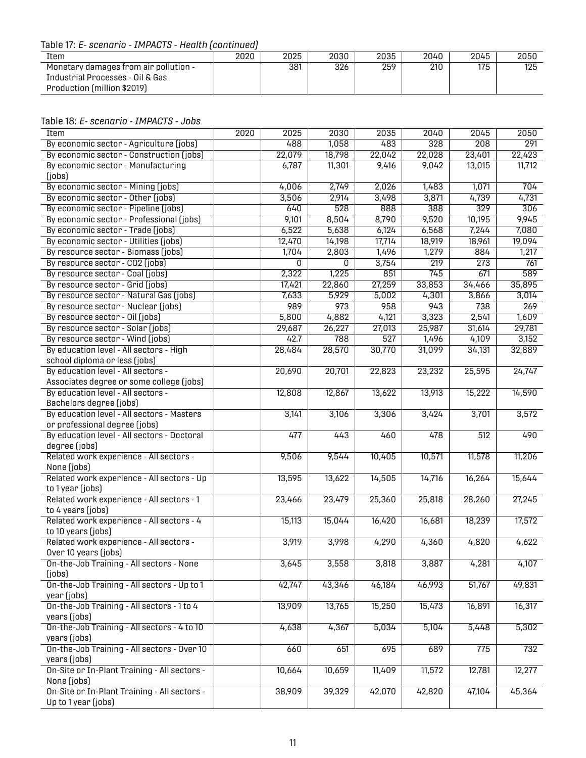Table 17: *E- scenario - IMPACTS - Health (continued)*

| Item                                                                      | 2020 | 2025 | 2030 | 2035 | 2040 | 2045 | 2050 |
|---------------------------------------------------------------------------|------|------|------|------|------|------|------|
| Monetary damages from air pollution -<br>Industrial Processes - Oil & Gas |      | 381  | 326  | 259  | 210  | 175  | 125  |
| Production (million \$2019)                                               |      |      |      |      |      |      |      |

<span id="page-13-0"></span>

| Table 18: E- scenario - IMPACTS - Jobs |  |  |
|----------------------------------------|--|--|
|----------------------------------------|--|--|

| Item                                         | 2020 | 2025   | 2030   | 2035   | 2040             | 2045             | 2050   |
|----------------------------------------------|------|--------|--------|--------|------------------|------------------|--------|
| By economic sector - Agriculture (jobs)      |      | 488    | 1,058  | 483    | $\overline{328}$ | $\frac{208}{ }$  | 291    |
| By economic sector - Construction (jobs)     |      | 22,079 | 18,798 | 22,042 | 22,028           | 23,401           | 22,423 |
| By economic sector - Manufacturing           |      | 6,787  | 11,301 | 9,416  | 9,042            | 13,015           | 11,712 |
| (jobs)                                       |      |        |        |        |                  |                  |        |
| By economic sector - Mining (jobs)           |      | 4,006  | 2,749  | 2,026  | 1,483            | 1,071            | 704    |
| By economic sector - Other (jobs)            |      | 3,506  | 2,914  | 3,498  | 3,871            | 4,739            | 4,731  |
| By economic sector - Pipeline (jobs)         |      | 640    | 528    | 888    | 388              | 329              | 306    |
| By economic sector - Professional (jobs)     |      | 9,101  | 8,504  | 8,790  | 9,520            | 10,195           | 9,945  |
| By economic sector - Trade (jobs)            |      | 6,522  | 5,638  | 6,124  | 6,568            | 7,244            | 7,080  |
| By economic sector - Utilities (jobs)        |      | 12,470 | 14,198 | 17,714 | 18,919           | 18,961           | 19,094 |
| By resource sector - Biomass (jobs)          |      | 1,704  | 2,803  | 1,496  | 1,279            | 884              | 1,217  |
| By resource sector - CO2 (jobs)              |      | 0      | 0      | 3,754  | $\overline{219}$ | $\overline{273}$ | 761    |
| By resource sector - Coal (jobs)             |      | 2,322  | 1,225  | 851    | 745              | 671              | 589    |
| By resource sector - Grid (jobs)             |      | 17,421 | 22,860 | 27,259 | 33,853           | 34,466           | 35,895 |
| By resource sector - Natural Gas (jobs)      |      | 7,633  | 5,929  | 5,002  | 4,301            | 3,866            | 3,014  |
| By resource sector - Nuclear (jobs)          |      | 989    | 973    | 958    | 943              | 738              | 269    |
| By resource sector - Oil (jobs)              |      | 5,800  | 4,882  | 4,121  | 3,323            | 2,541            | 1,609  |
| By resource sector - Solar (jobs)            |      | 29,687 | 26,227 | 27,013 | 25,987           | 31,614           | 29,781 |
| By resource sector - Wind (jobs)             |      | 42.7   | 788    | 527    | 1,496            | 4,109            | 3,152  |
| By education level - All sectors - High      |      | 28,484 | 28,570 | 30,770 | 31,099           | 34,131           | 32,889 |
| school diploma or less (jobs)                |      |        |        |        |                  |                  |        |
| By education level - All sectors -           |      | 20,690 | 20,701 | 22,823 | 23,232           | 25,595           | 24,747 |
| Associates degree or some college (jobs)     |      |        |        |        |                  |                  |        |
| By education level - All sectors -           |      | 12,808 | 12,867 | 13,622 | 13,913           | 15,222           | 14,590 |
| Bachelors degree (jobs)                      |      |        |        |        |                  |                  |        |
| By education level - All sectors - Masters   |      | 3,141  | 3,106  | 3,306  | 3,424            | 3,701            | 3,572  |
| or professional degree (jobs)                |      |        |        |        |                  |                  |        |
| By education level - All sectors - Doctoral  |      | 477    | 443    | 460    | 478              | 512              | 490    |
| degree (jobs)                                |      |        |        |        |                  |                  |        |
| Related work experience - All sectors -      |      | 9,506  | 9,544  | 10,405 | 10,571           | 11,578           | 11,206 |
| None (jobs)                                  |      |        |        |        |                  |                  |        |
| Related work experience - All sectors - Up   |      | 13,595 | 13,622 | 14,505 | 14,716           | 16,264           | 15,644 |
| to 1 year (jobs)                             |      |        |        |        |                  |                  |        |
| Related work experience - All sectors - 1    |      | 23,466 | 23,479 | 25,360 | 25,818           | 28,260           | 27,245 |
| to 4 years (jobs)                            |      |        |        |        |                  |                  |        |
| Related work experience - All sectors - 4    |      | 15,113 | 15,044 | 16,420 | 16,681           | 18,239           | 17,572 |
| to 10 years (jobs)                           |      |        |        |        |                  |                  |        |
| Related work experience - All sectors -      |      | 3,919  | 3,998  | 4,290  | 4,360            | 4,820            | 4,622  |
| Over 10 years (jobs)                         |      |        |        |        |                  |                  |        |
| On-the-Job Training - All sectors - None     |      | 3,645  | 3,558  | 3,818  | 3,887            | 4,281            | 4,107  |
| ( jobs)                                      |      |        |        |        |                  |                  |        |
| On-the-Job Training - All sectors - Up to 1  |      | 42,747 | 43,346 | 46,184 | 46,993           | 51,767           | 49,831 |
| year (jobs)                                  |      |        |        |        |                  |                  |        |
| On-the-Job Training - All sectors - 1 to 4   |      | 13,909 | 13,765 | 15,250 | 15,473           | 16,891           | 16,317 |
| years (jobs)                                 |      |        |        |        |                  |                  |        |
| On-the-Job Training - All sectors - 4 to 10  |      | 4,638  | 4,367  | 5,034  | 5,104            | 5,448            | 5,302  |
| years (jobs)                                 |      |        |        |        |                  |                  |        |
| On-the-Job Training - All sectors - Over 10  |      | 660    | 651    | 695    | 689              | 775              | 732    |
| years (jobs)                                 |      |        |        |        |                  |                  |        |
| On-Site or In-Plant Training - All sectors - |      | 10,664 | 10,659 | 11,409 | 11,572           | 12,781           | 12,277 |
| None (jobs)                                  |      |        |        |        |                  |                  |        |
| On-Site or In-Plant Training - All sectors - |      | 38,909 | 39,329 | 42,070 | 42,820           | 47,104           | 45,364 |
| Up to 1 year (jobs)                          |      |        |        |        |                  |                  |        |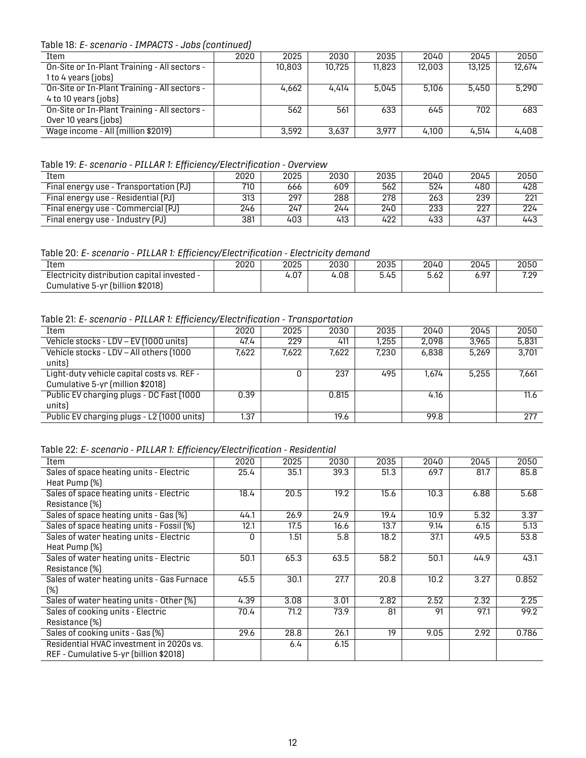Table 18: *E- scenario - IMPACTS - Jobs (continued)*

| Item                                         | 2020 | 2025   | 2030   | 2035   | 2040   | 2045   | 2050   |
|----------------------------------------------|------|--------|--------|--------|--------|--------|--------|
| On-Site or In-Plant Training - All sectors - |      | 10,803 | 10,725 | 11,823 | 12,003 | 13.125 | 12,674 |
| 1 to 4 years (jobs)                          |      |        |        |        |        |        |        |
| On-Site or In-Plant Training - All sectors - |      | 4.662  | 4.414  | 5.045  | 5.106  | 5,450  | 5.290  |
| 4 to 10 years (jobs)                         |      |        |        |        |        |        |        |
| On-Site or In-Plant Training - All sectors - |      | 562    | 561    | 633    | 645    | 702    | 683    |
| Over 10 years (jobs)                         |      |        |        |        |        |        |        |
| Wage income - All (million \$2019)           |      | 3.592  | 3,637  | 3.977  | 4.100  | 4,514  | 4,408  |

<span id="page-14-0"></span>Table 19: *E- scenario - PILLAR 1: Efficiency/Electrification - Overview*

| Item                                   | 2020 | 2025 | 2030 | 2035 | 2040 | 2045 | 2050 |
|----------------------------------------|------|------|------|------|------|------|------|
| Final energy use - Transportation (PJ) | 710  | 666  | 609  | 562  | 524  | 480  | 428  |
| Final energy use - Residential (PJ)    | 313  | 297  | 288  | 278  | 263  | 239  | 221  |
| Final energy use - Commercial (PJ)     | 246  | 247  | 244  | 240  | 233  | 227  | 224  |
| Final energy use - Industry (PJ)       | 381  | 403  | 413  | 422  | 433  | 437  | 443  |

<span id="page-14-1"></span>Table 20: *E- scenario - PILLAR 1: Efficiency/Electrification - Electricity demand*

| Item                                        | 2020 | 2025 | 2030 | 2035                 | 2040 | 2045 | 2050        |
|---------------------------------------------|------|------|------|----------------------|------|------|-------------|
| Electricity distribution capital invested - |      | 4.07 | 4.08 | - <i>'</i> -<br>5.45 | 5.62 | 97.د | 799<br>1.Z/ |
| Cumulative 5-yr (billion \$2018)            |      |      |      |                      |      |      |             |

<span id="page-14-2"></span>Table 21: *E- scenario - PILLAR 1: Efficiency/Electrification - Transportation*

| Item                                       | 2020  | 2025  | 2030  | 2035  | 2040  | 2045  | 2050  |
|--------------------------------------------|-------|-------|-------|-------|-------|-------|-------|
| Vehicle stocks - LDV - EV (1000 units)     | 47.4  | 229   | 411   | .255  | 2,098 | 3,965 | 5,831 |
| Vehicle stocks - LDV - All others (1000    | 7,622 | 7,622 | 7,622 | 7.230 | 6,838 | 5.269 | 3.701 |
| units)                                     |       |       |       |       |       |       |       |
| Light-duty vehicle capital costs vs. REF - |       |       | 237   | 495   | 1.674 | 5.255 | 7,661 |
| Cumulative 5-yr (million \$2018)           |       |       |       |       |       |       |       |
| Public EV charging plugs - DC Fast (1000   | 0.39  |       | 0.815 |       | 4.16  |       | 11.6  |
| units)                                     |       |       |       |       |       |       |       |
| Public EV charging plugs - L2 (1000 units) | 1.37  |       | 19.6  |       | 99.8  |       | 277   |

<span id="page-14-3"></span>Table 22: *E- scenario - PILLAR 1: Efficiency/Electrification - Residential*

<span id="page-14-4"></span>

| Item                                       | 2020 | 2025 | 2030 | 2035 | 2040              | 2045 | 2050  |
|--------------------------------------------|------|------|------|------|-------------------|------|-------|
| Sales of space heating units - Electric    | 25.4 | 35.1 | 39.3 | 51.3 | 69.7              | 81.7 | 85.8  |
| Heat Pump (%)                              |      |      |      |      |                   |      |       |
| Sales of space heating units - Electric    | 18.4 | 20.5 | 19.2 | 15.6 | 10.3              | 6.88 | 5.68  |
| Resistance (%)                             |      |      |      |      |                   |      |       |
| Sales of space heating units - Gas (%)     | 44.1 | 26.9 | 24.9 | 19.4 | 10.9              | 5.32 | 3.37  |
| Sales of space heating units - Fossil (%)  | 12.1 | 17.5 | 16.6 | 13.7 | 9.14              | 6.15 | 5.13  |
| Sales of water heating units - Electric    | U    | 1.51 | 5.8  | 18.2 | 37.1              | 49.5 | 53.8  |
| Heat Pump (%)                              |      |      |      |      |                   |      |       |
| Sales of water heating units - Electric    | 50.1 | 65.3 | 63.5 | 58.2 | 50.1              | 44.9 | 43.1  |
| Resistance (%)                             |      |      |      |      |                   |      |       |
| Sales of water heating units - Gas Furnace | 45.5 | 30.1 | 27.7 | 20.8 | 10.2 <sub>2</sub> | 3.27 | 0.852 |
| (%)                                        |      |      |      |      |                   |      |       |
| Sales of water heating units - Other [%]   | 4.39 | 3.08 | 3.01 | 2.82 | 2.52              | 2.32 | 2.25  |
| Sales of cooking units - Electric          | 70.4 | 71.2 | 73.9 | 81   | 91                | 97.1 | 99.2  |
| Resistance [%]                             |      |      |      |      |                   |      |       |
| Sales of cooking units - Gas (%)           | 29.6 | 28.8 | 26.1 | 19   | 9.05              | 2.92 | 0.786 |
| Residential HVAC investment in 2020s vs.   |      | 6.4  | 6.15 |      |                   |      |       |
| REF - Cumulative 5-yr (billion \$2018)     |      |      |      |      |                   |      |       |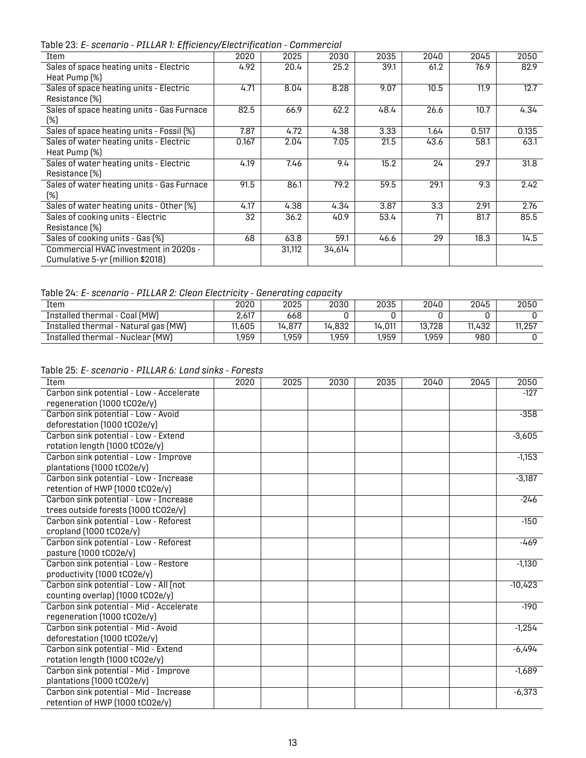Table 23: *E- scenario - PILLAR 1: Efficiency/Electrification - Commercial*

| Item                                       | 2020  | 2025   | 2030   | 2035 | 2040 | 2045  | 2050  |
|--------------------------------------------|-------|--------|--------|------|------|-------|-------|
| Sales of space heating units - Electric    | 4.92  | 20.4   | 25.2   | 39.1 | 61.2 | 76.9  | 82.9  |
| Heat Pump (%)                              |       |        |        |      |      |       |       |
| Sales of space heating units - Electric    | 4.71  | 8.04   | 8.28   | 9.07 | 10.5 | 11.9  | 12.7  |
| Resistance [%]                             |       |        |        |      |      |       |       |
| Sales of space heating units - Gas Furnace | 82.5  | 66.9   | 62.2   | 48.4 | 26.6 | 10.7  | 4.34  |
| (%)                                        |       |        |        |      |      |       |       |
| Sales of space heating units - Fossil (%)  | 7.87  | 4.72   | 4.38   | 3.33 | 1.64 | 0.517 | 0.135 |
| Sales of water heating units - Electric    | 0.167 | 2.04   | 7.05   | 21.5 | 43.6 | 58.1  | 63.1  |
| Heat Pump (%)                              |       |        |        |      |      |       |       |
| Sales of water heating units - Electric    | 4.19  | 7.46   | 9.4    | 15.2 | 24   | 29.7  | 31.8  |
| Resistance [%]                             |       |        |        |      |      |       |       |
| Sales of water heating units - Gas Furnace | 91.5  | 86.1   | 79.2   | 59.5 | 29.1 | 9.3   | 2.42  |
| (%)                                        |       |        |        |      |      |       |       |
| Sales of water heating units - Other [%]   | 4.17  | 4.38   | 4.34   | 3.87 | 3.3  | 2.91  | 2.76  |
| Sales of cooking units - Electric          | 32    | 36.2   | 40.9   | 53.4 | 71   | 81.7  | 85.5  |
| Resistance [%]                             |       |        |        |      |      |       |       |
| Sales of cooking units - Gas (%)           | 68    | 63.8   | 59.1   | 46.6 | 29   | 18.3  | 14.5  |
| Commercial HVAC investment in 2020s -      |       | 31,112 | 34,614 |      |      |       |       |
| Cumulative 5-yr (million \$2018)           |       |        |        |      |      |       |       |

#### <span id="page-15-0"></span>Table 24: *E- scenario - PILLAR 2: Clean Electricity - Generating capacity*

| Item                                 | 2020   | 2025   | 2030   | 2035   | 2040   | 2045   | 2050   |  |  |
|--------------------------------------|--------|--------|--------|--------|--------|--------|--------|--|--|
| Installed thermal - Coal (MW)        | 2.617  | 668    |        |        |        |        |        |  |  |
| Installed thermal - Natural gas (MW) | 11.605 | 14.877 | 14,832 | 14,011 | 13,728 | 11.432 | 11,257 |  |  |
| Installed thermal - Nuclear (MW)     | ,959   | 1,959  | 1,959  | 1,959  | 1,959  | 980    |        |  |  |

#### <span id="page-15-1"></span>Table 25: *E- scenario - PILLAR 6: Land sinks - Forests*

| Item                                     | 2020 | 2025 | 2030 | 2035 | 2040 | 2045 | 2050      |
|------------------------------------------|------|------|------|------|------|------|-----------|
| Carbon sink potential - Low - Accelerate |      |      |      |      |      |      | $-127$    |
| regeneration (1000 tCO2e/y)              |      |      |      |      |      |      |           |
| Carbon sink potential - Low - Avoid      |      |      |      |      |      |      | $-358$    |
| deforestation (1000 tCO2e/y)             |      |      |      |      |      |      |           |
| Carbon sink potential - Low - Extend     |      |      |      |      |      |      | $-3,605$  |
| rotation length (1000 tCO2e/y)           |      |      |      |      |      |      |           |
| Carbon sink potential - Low - Improve    |      |      |      |      |      |      | $-1,153$  |
| plantations (1000 tCO2e/y)               |      |      |      |      |      |      |           |
| Carbon sink potential - Low - Increase   |      |      |      |      |      |      | $-3,187$  |
| retention of HWP (1000 tCO2e/y)          |      |      |      |      |      |      |           |
| Carbon sink potential - Low - Increase   |      |      |      |      |      |      | $-246$    |
| trees outside forests (1000 tCO2e/y)     |      |      |      |      |      |      |           |
| Carbon sink potential - Low - Reforest   |      |      |      |      |      |      | $-150$    |
| cropland (1000 tCO2e/y)                  |      |      |      |      |      |      |           |
| Carbon sink potential - Low - Reforest   |      |      |      |      |      |      | $-469$    |
| pasture (1000 tCO2e/y)                   |      |      |      |      |      |      |           |
| Carbon sink potential - Low - Restore    |      |      |      |      |      |      | $-1,130$  |
| productivity (1000 tCO2e/y)              |      |      |      |      |      |      |           |
| Carbon sink potential - Low - All (not   |      |      |      |      |      |      | $-10,423$ |
| counting overlap) (1000 tCO2e/y)         |      |      |      |      |      |      |           |
| Carbon sink potential - Mid - Accelerate |      |      |      |      |      |      | $-190$    |
| regeneration (1000 tCO2e/y)              |      |      |      |      |      |      |           |
| Carbon sink potential - Mid - Avoid      |      |      |      |      |      |      | $-1,254$  |
| deforestation (1000 tCO2e/y)             |      |      |      |      |      |      |           |
| Carbon sink potential - Mid - Extend     |      |      |      |      |      |      | $-6,494$  |
| rotation length (1000 tCO2e/y)           |      |      |      |      |      |      |           |
| Carbon sink potential - Mid - Improve    |      |      |      |      |      |      | $-1,689$  |
| plantations (1000 tCO2e/y)               |      |      |      |      |      |      |           |
| Carbon sink potential - Mid - Increase   |      |      |      |      |      |      | $-6,373$  |
| retention of HWP (1000 tCO2e/y)          |      |      |      |      |      |      |           |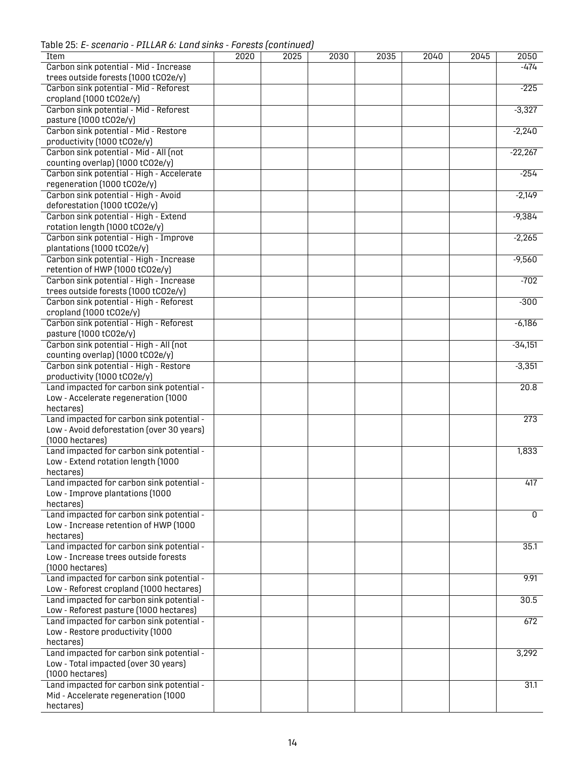Table 25: *E- scenario - PILLAR 6: Land sinks - Forests (continued)*

| <b>Item</b>                               | 2020 | 2025 | 2030 | 2035 | 2040 | 2045 | 2050        |
|-------------------------------------------|------|------|------|------|------|------|-------------|
|                                           |      |      |      |      |      |      |             |
| Carbon sink potential - Mid - Increase    |      |      |      |      |      |      | $-474$      |
| trees outside forests (1000 tCO2e/y)      |      |      |      |      |      |      |             |
| Carbon sink potential - Mid - Reforest    |      |      |      |      |      |      | $-225$      |
| cropland (1000 tCO2e/y)                   |      |      |      |      |      |      |             |
|                                           |      |      |      |      |      |      |             |
| Carbon sink potential - Mid - Reforest    |      |      |      |      |      |      | $-3,327$    |
| pasture (1000 tCO2e/y)                    |      |      |      |      |      |      |             |
| Carbon sink potential - Mid - Restore     |      |      |      |      |      |      | $-2,240$    |
| productivity (1000 tCO2e/y)               |      |      |      |      |      |      |             |
|                                           |      |      |      |      |      |      |             |
| Carbon sink potential - Mid - All (not    |      |      |      |      |      |      | $-22,267$   |
| counting overlap) (1000 tCO2e/y)          |      |      |      |      |      |      |             |
| Carbon sink potential - High - Accelerate |      |      |      |      |      |      | $-254$      |
| regeneration (1000 tCO2e/y)               |      |      |      |      |      |      |             |
|                                           |      |      |      |      |      |      |             |
| Carbon sink potential - High - Avoid      |      |      |      |      |      |      | $-2,149$    |
| deforestation (1000 tCO2e/y)              |      |      |      |      |      |      |             |
| Carbon sink potential - High - Extend     |      |      |      |      |      |      | $-9,384$    |
| rotation length (1000 tCO2e/y)            |      |      |      |      |      |      |             |
|                                           |      |      |      |      |      |      |             |
| Carbon sink potential - High - Improve    |      |      |      |      |      |      | $-2,265$    |
| plantations (1000 tCO2e/y)                |      |      |      |      |      |      |             |
| Carbon sink potential - High - Increase   |      |      |      |      |      |      | $-9,560$    |
| retention of HWP (1000 tCO2e/y)           |      |      |      |      |      |      |             |
|                                           |      |      |      |      |      |      |             |
| Carbon sink potential - High - Increase   |      |      |      |      |      |      | $-702$      |
| trees outside forests (1000 tCO2e/y)      |      |      |      |      |      |      |             |
| Carbon sink potential - High - Reforest   |      |      |      |      |      |      | $-300$      |
| cropland (1000 tCO2e/y)                   |      |      |      |      |      |      |             |
|                                           |      |      |      |      |      |      |             |
| Carbon sink potential - High - Reforest   |      |      |      |      |      |      | $-6,186$    |
| pasture (1000 tCO2e/y)                    |      |      |      |      |      |      |             |
| Carbon sink potential - High - All (not   |      |      |      |      |      |      | $-34,151$   |
| counting overlap) (1000 tCO2e/y)          |      |      |      |      |      |      |             |
|                                           |      |      |      |      |      |      |             |
| Carbon sink potential - High - Restore    |      |      |      |      |      |      | $-3,351$    |
| productivity (1000 tCO2e/y)               |      |      |      |      |      |      |             |
| Land impacted for carbon sink potential - |      |      |      |      |      |      | 20.8        |
| Low - Accelerate regeneration (1000       |      |      |      |      |      |      |             |
|                                           |      |      |      |      |      |      |             |
| hectares)                                 |      |      |      |      |      |      |             |
| Land impacted for carbon sink potential - |      |      |      |      |      |      | 273         |
| Low - Avoid deforestation (over 30 years) |      |      |      |      |      |      |             |
| $(1000$ hectares)                         |      |      |      |      |      |      |             |
|                                           |      |      |      |      |      |      |             |
| Land impacted for carbon sink potential - |      |      |      |      |      |      | 1,833       |
| Low - Extend rotation length (1000        |      |      |      |      |      |      |             |
| hectares)                                 |      |      |      |      |      |      |             |
| Land impacted for carbon sink potential - |      |      |      |      |      |      |             |
|                                           |      |      |      |      |      |      | 417         |
| Low - Improve plantations (1000           |      |      |      |      |      |      |             |
| hectares)                                 |      |      |      |      |      |      |             |
| Land impacted for carbon sink potential - |      |      |      |      |      |      | $\mathbf 0$ |
|                                           |      |      |      |      |      |      |             |
| Low - Increase retention of HWP (1000     |      |      |      |      |      |      |             |
| hectares)                                 |      |      |      |      |      |      |             |
| Land impacted for carbon sink potential - |      |      |      |      |      |      | 35.1        |
| Low - Increase trees outside forests      |      |      |      |      |      |      |             |
| $(1000$ hectares)                         |      |      |      |      |      |      |             |
|                                           |      |      |      |      |      |      |             |
| Land impacted for carbon sink potential - |      |      |      |      |      |      | 9.91        |
| Low - Reforest cropland (1000 hectares)   |      |      |      |      |      |      |             |
| Land impacted for carbon sink potential - |      |      |      |      |      |      | 30.5        |
| Low - Reforest pasture (1000 hectares)    |      |      |      |      |      |      |             |
|                                           |      |      |      |      |      |      |             |
| Land impacted for carbon sink potential - |      |      |      |      |      |      | 672         |
| Low - Restore productivity (1000          |      |      |      |      |      |      |             |
| hectares)                                 |      |      |      |      |      |      |             |
|                                           |      |      |      |      |      |      |             |
| Land impacted for carbon sink potential - |      |      |      |      |      |      | 3,292       |
| Low - Total impacted (over 30 years)      |      |      |      |      |      |      |             |
| $(1000$ hectares)                         |      |      |      |      |      |      |             |
| Land impacted for carbon sink potential - |      |      |      |      |      |      | 31.1        |
| Mid - Accelerate regeneration (1000       |      |      |      |      |      |      |             |
|                                           |      |      |      |      |      |      |             |
| hectares)                                 |      |      |      |      |      |      |             |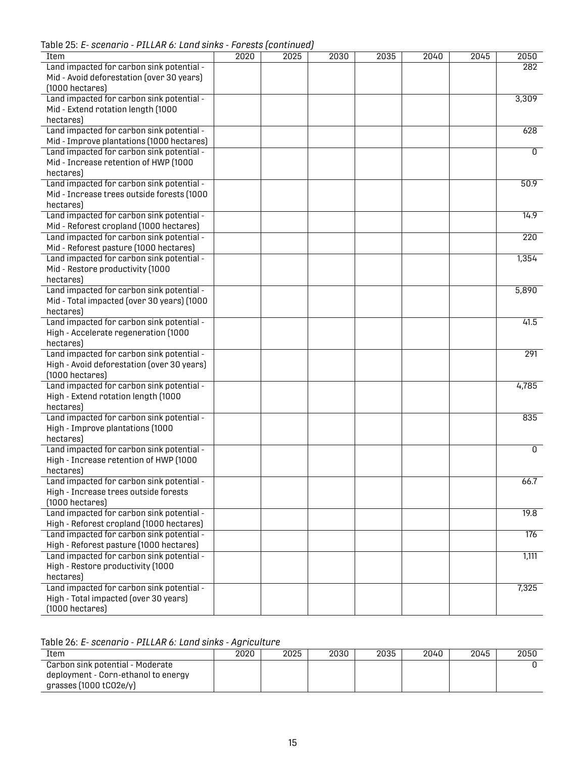Table 25: *E- scenario - PILLAR 6: Land sinks - Forests (continued)*

| Item                                       | 2020 | 2025 | 2030 | 2035 | 2040 | 2045 | 2050             |
|--------------------------------------------|------|------|------|------|------|------|------------------|
| Land impacted for carbon sink potential -  |      |      |      |      |      |      | 282              |
| Mid - Avoid deforestation (over 30 years)  |      |      |      |      |      |      |                  |
| $(1000$ hectares)                          |      |      |      |      |      |      |                  |
| Land impacted for carbon sink potential -  |      |      |      |      |      |      | 3,309            |
| Mid - Extend rotation length (1000         |      |      |      |      |      |      |                  |
| hectares)                                  |      |      |      |      |      |      |                  |
| Land impacted for carbon sink potential -  |      |      |      |      |      |      | 628              |
| Mid - Improve plantations (1000 hectares)  |      |      |      |      |      |      |                  |
| Land impacted for carbon sink potential -  |      |      |      |      |      |      | 0                |
| Mid - Increase retention of HWP (1000      |      |      |      |      |      |      |                  |
| hectares)                                  |      |      |      |      |      |      |                  |
| Land impacted for carbon sink potential -  |      |      |      |      |      |      | 50.9             |
| Mid - Increase trees outside forests (1000 |      |      |      |      |      |      |                  |
| hectares)                                  |      |      |      |      |      |      |                  |
| Land impacted for carbon sink potential -  |      |      |      |      |      |      | 14.9             |
|                                            |      |      |      |      |      |      |                  |
| Mid - Reforest cropland (1000 hectares)    |      |      |      |      |      |      |                  |
| Land impacted for carbon sink potential -  |      |      |      |      |      |      | $\overline{220}$ |
| Mid - Reforest pasture (1000 hectares)     |      |      |      |      |      |      |                  |
| Land impacted for carbon sink potential -  |      |      |      |      |      |      | 1,354            |
| Mid - Restore productivity (1000           |      |      |      |      |      |      |                  |
| hectares)                                  |      |      |      |      |      |      |                  |
| Land impacted for carbon sink potential -  |      |      |      |      |      |      | 5,890            |
| Mid - Total impacted (over 30 years) (1000 |      |      |      |      |      |      |                  |
| hectares)                                  |      |      |      |      |      |      |                  |
| Land impacted for carbon sink potential -  |      |      |      |      |      |      | 41.5             |
| High - Accelerate regeneration (1000       |      |      |      |      |      |      |                  |
| hectares)                                  |      |      |      |      |      |      |                  |
| Land impacted for carbon sink potential -  |      |      |      |      |      |      | 291              |
| High - Avoid deforestation (over 30 years) |      |      |      |      |      |      |                  |
| $(1000$ hectares)                          |      |      |      |      |      |      |                  |
| Land impacted for carbon sink potential -  |      |      |      |      |      |      | 4,785            |
| High - Extend rotation length (1000        |      |      |      |      |      |      |                  |
| hectares)                                  |      |      |      |      |      |      |                  |
| Land impacted for carbon sink potential -  |      |      |      |      |      |      | 835              |
| High - Improve plantations (1000           |      |      |      |      |      |      |                  |
| hectares)                                  |      |      |      |      |      |      |                  |
| Land impacted for carbon sink potential -  |      |      |      |      |      |      | $\overline{0}$   |
| High - Increase retention of HWP (1000     |      |      |      |      |      |      |                  |
| hectares)                                  |      |      |      |      |      |      |                  |
| Land impacted for carbon sink potential -  |      |      |      |      |      |      | 66.7             |
| High - Increase trees outside forests      |      |      |      |      |      |      |                  |
| $(1000$ hectares)                          |      |      |      |      |      |      |                  |
| Land impacted for carbon sink potential -  |      |      |      |      |      |      | 19.8             |
| High - Reforest cropland (1000 hectares)   |      |      |      |      |      |      |                  |
| Land impacted for carbon sink potential -  |      |      |      |      |      |      | 176              |
| High - Reforest pasture (1000 hectares)    |      |      |      |      |      |      |                  |
| Land impacted for carbon sink potential -  |      |      |      |      |      |      | 1,111            |
| High - Restore productivity (1000          |      |      |      |      |      |      |                  |
| hectares)                                  |      |      |      |      |      |      |                  |
| Land impacted for carbon sink potential -  |      |      |      |      |      |      | 7,325            |
| High - Total impacted (over 30 years)      |      |      |      |      |      |      |                  |
| $(1000$ hectares)                          |      |      |      |      |      |      |                  |
|                                            |      |      |      |      |      |      |                  |

<span id="page-17-0"></span>Table 26: *E- scenario - PILLAR 6: Land sinks - Agriculture*

| Item                                                                    | 2020 | 2025 | 2030 | 2035 | 2040 | 2045 | 2050 |
|-------------------------------------------------------------------------|------|------|------|------|------|------|------|
| Carbon sink potential - Moderate<br>deployment - Corn-ethanol to energy |      |      |      |      |      |      |      |
| grasses $(1000$ tCO2e/y)                                                |      |      |      |      |      |      |      |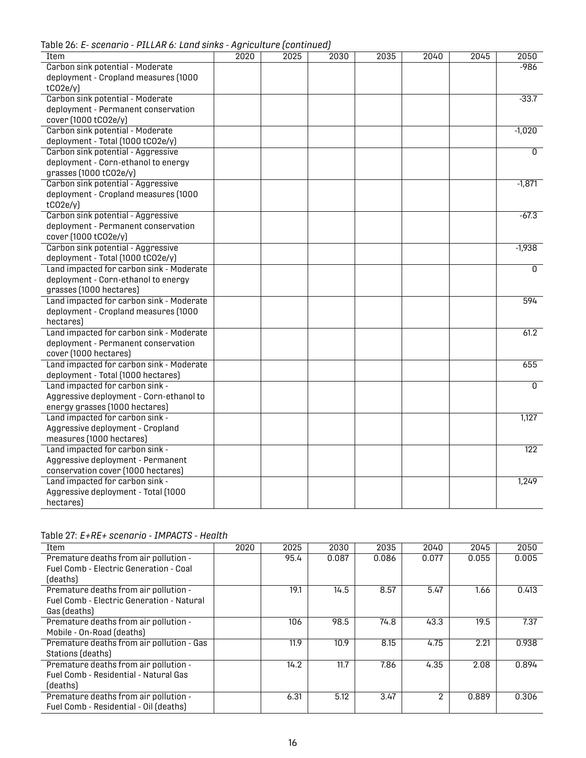Table 26: *E- scenario - PILLAR 6: Land sinks - Agriculture (continued)*

|                                          |      | ignountance pointings |      |      |      |      |                  |
|------------------------------------------|------|-----------------------|------|------|------|------|------------------|
| Item                                     | 2020 | 2025                  | 2030 | 2035 | 2040 | 2045 | 2050             |
| Carbon sink potential - Moderate         |      |                       |      |      |      |      | $-986$           |
| deployment - Cropland measures (1000     |      |                       |      |      |      |      |                  |
| tCO2e/y                                  |      |                       |      |      |      |      |                  |
| Carbon sink potential - Moderate         |      |                       |      |      |      |      | $-33.7$          |
| deployment - Permanent conservation      |      |                       |      |      |      |      |                  |
| cover (1000 tCO2e/y)                     |      |                       |      |      |      |      |                  |
| Carbon sink potential - Moderate         |      |                       |      |      |      |      | $-1,020$         |
| deployment - Total (1000 tCO2e/y)        |      |                       |      |      |      |      |                  |
| Carbon sink potential - Aggressive       |      |                       |      |      |      |      | $\overline{0}$   |
| deployment - Corn-ethanol to energy      |      |                       |      |      |      |      |                  |
| grasses (1000 tCO2e/y)                   |      |                       |      |      |      |      |                  |
| Carbon sink potential - Aggressive       |      |                       |      |      |      |      | $-1,871$         |
| deployment - Cropland measures (1000     |      |                       |      |      |      |      |                  |
| tCO2e/y                                  |      |                       |      |      |      |      |                  |
| Carbon sink potential - Aggressive       |      |                       |      |      |      |      | $-67.3$          |
| deployment - Permanent conservation      |      |                       |      |      |      |      |                  |
| cover (1000 tCO2e/y)                     |      |                       |      |      |      |      |                  |
| Carbon sink potential - Aggressive       |      |                       |      |      |      |      | $-1,938$         |
| deployment - Total (1000 tCO2e/y)        |      |                       |      |      |      |      |                  |
| Land impacted for carbon sink - Moderate |      |                       |      |      |      |      | 0                |
| deployment - Corn-ethanol to energy      |      |                       |      |      |      |      |                  |
| grasses (1000 hectares)                  |      |                       |      |      |      |      |                  |
| Land impacted for carbon sink - Moderate |      |                       |      |      |      |      | 594              |
| deployment - Cropland measures (1000     |      |                       |      |      |      |      |                  |
| hectares)                                |      |                       |      |      |      |      |                  |
| Land impacted for carbon sink - Moderate |      |                       |      |      |      |      | 61.2             |
| deployment - Permanent conservation      |      |                       |      |      |      |      |                  |
| cover (1000 hectares)                    |      |                       |      |      |      |      |                  |
| Land impacted for carbon sink - Moderate |      |                       |      |      |      |      | 655              |
| deployment - Total (1000 hectares)       |      |                       |      |      |      |      |                  |
| Land impacted for carbon sink -          |      |                       |      |      |      |      | $\mathbf{0}$     |
| Aggressive deployment - Corn-ethanol to  |      |                       |      |      |      |      |                  |
| energy grasses (1000 hectares)           |      |                       |      |      |      |      |                  |
| Land impacted for carbon sink -          |      |                       |      |      |      |      | 1,127            |
| Aggressive deployment - Cropland         |      |                       |      |      |      |      |                  |
| measures (1000 hectares)                 |      |                       |      |      |      |      |                  |
| Land impacted for carbon sink -          |      |                       |      |      |      |      | $\overline{122}$ |
|                                          |      |                       |      |      |      |      |                  |
| Aggressive deployment - Permanent        |      |                       |      |      |      |      |                  |
| conservation cover (1000 hectares)       |      |                       |      |      |      |      |                  |
| Land impacted for carbon sink -          |      |                       |      |      |      |      | 1,249            |
| Aggressive deployment - Total (1000      |      |                       |      |      |      |      |                  |
| hectares)                                |      |                       |      |      |      |      |                  |

<span id="page-18-0"></span>

| Table 27: E+RE+ scenario - IMPACTS - Health |  |  |  |  |
|---------------------------------------------|--|--|--|--|
|---------------------------------------------|--|--|--|--|

| Item                                             | 2020 | 2025 | 2030  | 2035  | 2040  | 2045  | 2050  |
|--------------------------------------------------|------|------|-------|-------|-------|-------|-------|
| Premature deaths from air pollution -            |      | 95.4 | 0.087 | 0.086 | 0.077 | 0.055 | 0.005 |
| Fuel Comb - Electric Generation - Coal           |      |      |       |       |       |       |       |
| (deaths)                                         |      |      |       |       |       |       |       |
| Premature deaths from air pollution -            |      | 19.1 | 14.5  | 8.57  | 5.47  | 1.66  | 0.413 |
| <b>Fuel Comb - Electric Generation - Natural</b> |      |      |       |       |       |       |       |
| Gas (deaths)                                     |      |      |       |       |       |       |       |
| Premature deaths from air pollution -            |      | 106  | 98.5  | 74.8  | 43.3  | 19.5  | 7.37  |
| Mobile - On-Road (deaths)                        |      |      |       |       |       |       |       |
| Premature deaths from air pollution - Gas        |      | 11.9 | 10.9  | 8.15  | 4.75  | 2.21  | 0.938 |
| Stations (deaths)                                |      |      |       |       |       |       |       |
| Premature deaths from air pollution -            |      | 14.2 | 11.7  | 7.86  | 4.35  | 2.08  | 0.894 |
| <b>Fuel Comb - Residential - Natural Gas</b>     |      |      |       |       |       |       |       |
| (deaths)                                         |      |      |       |       |       |       |       |
| Premature deaths from air pollution -            |      | 6.31 | 5.12  | 3.47  | 2     | 0.889 | 0.306 |
| Fuel Comb - Residential - Oil (deaths)           |      |      |       |       |       |       |       |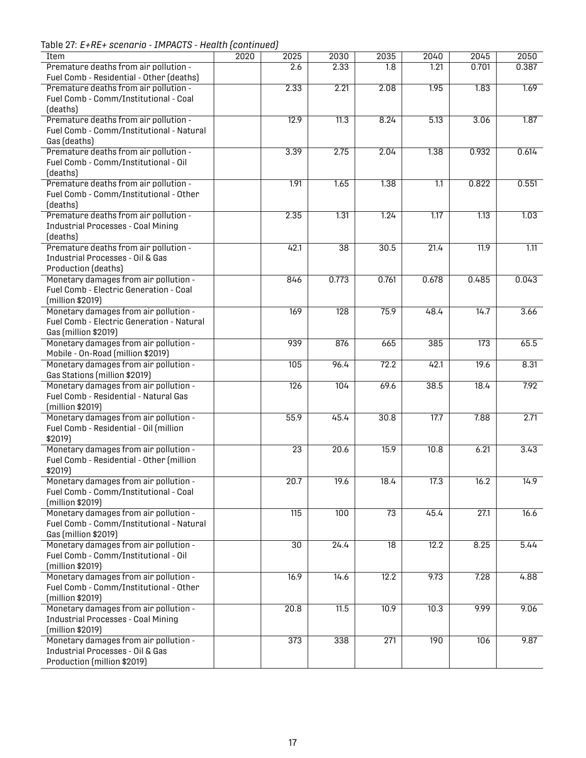Table 27: *E+RE+ scenario - IMPACTS - Health (continued)*

<span id="page-19-0"></span>

| $\frac{1}{2}$                               |                 |                 |                 |       |                  |       |
|---------------------------------------------|-----------------|-----------------|-----------------|-------|------------------|-------|
| 2020<br>Item                                | 2025            | 2030            | 2035            | 2040  | 2045             | 2050  |
| Premature deaths from air pollution -       | 2.6             | 2.33            | 1.8             | 1.21  | 0.701            | 0.387 |
| Fuel Comb - Residential - Other (deaths)    |                 |                 |                 |       |                  |       |
| Premature deaths from air pollution -       | 2.33            | 2.21            | 2.08            | 1.95  | 1.83             | 1.69  |
| Fuel Comb - Comm/Institutional - Coal       |                 |                 |                 |       |                  |       |
| (deaths)                                    |                 |                 |                 |       |                  |       |
| Premature deaths from air pollution -       | 12.9            | 11.3            | 8.24            | 5.13  | 3.06             | 1.87  |
|                                             |                 |                 |                 |       |                  |       |
| Fuel Comb - Comm/Institutional - Natural    |                 |                 |                 |       |                  |       |
| Gas (deaths)                                |                 |                 |                 |       |                  |       |
| Premature deaths from air pollution -       | 3.39            | 2.75            | 2.04            | 1.38  | 0.932            | 0.614 |
| Fuel Comb - Comm/Institutional - Oil        |                 |                 |                 |       |                  |       |
| (deaths)                                    |                 |                 |                 |       |                  |       |
| Premature deaths from air pollution -       | 1.91            | 1.65            | 1.38            | 1.1   | 0.822            | 0.551 |
| Fuel Comb - Comm/Institutional - Other      |                 |                 |                 |       |                  |       |
| (deaths)                                    |                 |                 |                 |       |                  |       |
|                                             | 2.35            | 1.31            | 1.24            |       |                  |       |
| Premature deaths from air pollution -       |                 |                 |                 | 1.17  | 1.13             | 1.03  |
| <b>Industrial Processes - Coal Mining</b>   |                 |                 |                 |       |                  |       |
| (deaths)                                    |                 |                 |                 |       |                  |       |
| Premature deaths from air pollution -       | 42.1            | $\overline{38}$ | 30.5            | 21.4  | 11.9             | 1.11  |
| <b>Industrial Processes - Oil &amp; Gas</b> |                 |                 |                 |       |                  |       |
| Production (deaths)                         |                 |                 |                 |       |                  |       |
| Monetary damages from air pollution -       | 846             | 0.773           | 0.761           | 0.678 | 0.485            | 0.043 |
| Fuel Comb - Electric Generation - Coal      |                 |                 |                 |       |                  |       |
| (million \$2019)                            |                 |                 |                 |       |                  |       |
|                                             |                 |                 |                 |       |                  |       |
| Monetary damages from air pollution -       | 169             | 128             | 75.9            | 48.4  | 14.7             | 3.66  |
| Fuel Comb - Electric Generation - Natural   |                 |                 |                 |       |                  |       |
| Gas (million \$2019)                        |                 |                 |                 |       |                  |       |
| Monetary damages from air pollution -       | 939             | 876             | 665             | 385   | $\overline{173}$ | 65.5  |
| Mobile - On-Road (million \$2019)           |                 |                 |                 |       |                  |       |
| Monetary damages from air pollution -       | 105             | 96.4            | 72.2            | 42.1  | 19.6             | 8.31  |
| Gas Stations (million \$2019)               |                 |                 |                 |       |                  |       |
| Monetary damages from air pollution -       | 126             | 104             | 69.6            | 38.5  | 18.4             | 7.92  |
|                                             |                 |                 |                 |       |                  |       |
| Fuel Comb - Residential - Natural Gas       |                 |                 |                 |       |                  |       |
| (million \$2019)                            |                 |                 |                 |       |                  |       |
| Monetary damages from air pollution -       | 55.9            | 45.4            | 30.8            | 17.7  | 7.88             | 2.71  |
| Fuel Comb - Residential - Oil (million      |                 |                 |                 |       |                  |       |
| \$2019)                                     |                 |                 |                 |       |                  |       |
| Monetary damages from air pollution -       | $\overline{23}$ | 20.6            | 15.9            | 10.8  | 6.21             | 3.43  |
| Fuel Comb - Residential - Other (million    |                 |                 |                 |       |                  |       |
| \$2019)                                     |                 |                 |                 |       |                  |       |
|                                             |                 |                 |                 |       |                  | 14.9  |
| Monetary damages from air pollution -       | 20.7            | 19.6            | 18.4            | 17.3  | 16.2             |       |
| Fuel Comb - Comm/Institutional - Coal       |                 |                 |                 |       |                  |       |
| (million \$2019)                            |                 |                 |                 |       |                  |       |
| Monetary damages from air pollution -       | 115             | 100             | $\overline{73}$ | 45.4  | 27.1             | 16.6  |
| Fuel Comb - Comm/Institutional - Natural    |                 |                 |                 |       |                  |       |
| Gas (million \$2019)                        |                 |                 |                 |       |                  |       |
| Monetary damages from air pollution -       | $\overline{30}$ | 24.4            | $\overline{18}$ | 12.2  | 8.25             | 5.44  |
| Fuel Comb - Comm/Institutional - Oil        |                 |                 |                 |       |                  |       |
| (million \$2019)                            |                 |                 |                 |       |                  |       |
|                                             | 16.9            |                 |                 |       | 7.28             |       |
| Monetary damages from air pollution -       |                 | 14.6            | 12.2            | 9.73  |                  | 4.88  |
| Fuel Comb - Comm/Institutional - Other      |                 |                 |                 |       |                  |       |
| (million \$2019)                            |                 |                 |                 |       |                  |       |
| Monetary damages from air pollution -       | 20.8            | 11.5            | 10.9            | 10.3  | 9.99             | 9.06  |
| <b>Industrial Processes - Coal Mining</b>   |                 |                 |                 |       |                  |       |
| (million \$2019)                            |                 |                 |                 |       |                  |       |
| Monetary damages from air pollution -       | 373             | 338             | 271             | 190   | 106              | 9.87  |
| <b>Industrial Processes - Oil &amp; Gas</b> |                 |                 |                 |       |                  |       |
| Production (million \$2019)                 |                 |                 |                 |       |                  |       |
|                                             |                 |                 |                 |       |                  |       |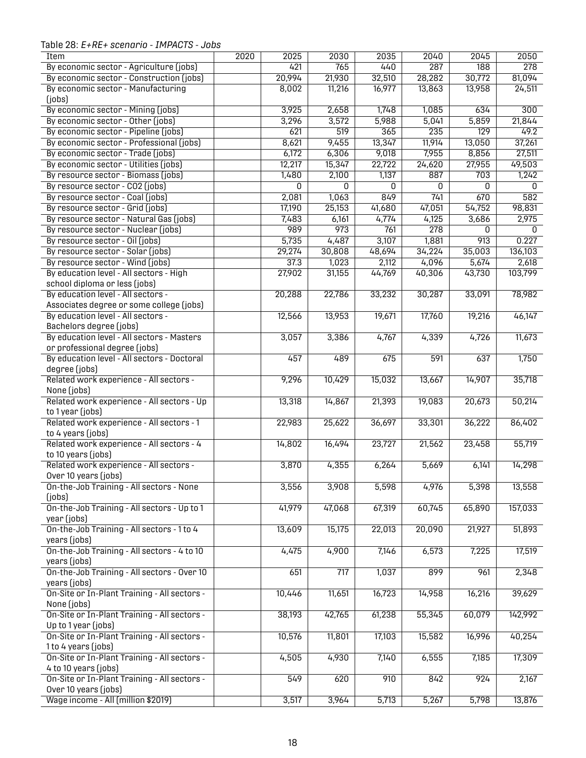Table 28: *E+RE+ scenario - IMPACTS - Jobs*

<span id="page-20-0"></span>

| Item                                         | 2020 | 2025           | 2030             | 2035   | 2040   | 2045             | 2050           |
|----------------------------------------------|------|----------------|------------------|--------|--------|------------------|----------------|
| By economic sector - Agriculture (jobs)      |      | 421            | 765              | 440    | 287    | 188              | 278            |
| By economic sector - Construction (jobs)     |      | 20,994         | 21,930           | 32,510 | 28,282 | 30,772           | 81,094         |
| By economic sector - Manufacturing           |      | 8,002          | 11,216           | 16,977 | 13,863 | 13,958           | 24,511         |
| ( jobs)                                      |      |                |                  |        |        |                  |                |
| By economic sector - Mining (jobs)           |      | 3,925          | 2,658            | 1,748  | 1,085  | 634              | 300            |
| By economic sector - Other (jobs)            |      | 3,296          | 3,572            | 5,988  | 5,041  | 5,859            | 21,844         |
| By economic sector - Pipeline (jobs)         |      | 621            | $\overline{519}$ | 365    | 235    | $\overline{129}$ | 49.2           |
| By economic sector - Professional (jobs)     |      | 8,621          | 9,455            | 13,347 | 11,914 | 13,050           | 37,261         |
| By economic sector - Trade (jobs)            |      | 6,172          | 6,306            | 9,018  | 7,955  | 8,856            | 27,511         |
| By economic sector - Utilities (jobs)        |      | 12,217         | 15,347           | 22,722 | 24,620 | 27,955           | 49,503         |
| By resource sector - Biomass (jobs)          |      | 1,480          | 2,100            | 1,137  | 887    | 703              | 1,242          |
| By resource sector - CO2 (jobs)              |      | $\overline{0}$ | 0                | 0      | 0      | 0                | $\overline{0}$ |
| By resource sector - Coal (jobs)             |      | 2,081          | 1,063            | 849    | 741    | 670              | 582            |
| By resource sector - Grid (jobs)             |      | 17,190         | 25,153           | 41,680 | 47,051 | 54,752           | 98,831         |
| By resource sector - Natural Gas (jobs)      |      | 7,483          | 6,161            | 4,774  | 4,125  | 3,686            | 2,975          |
| By resource sector - Nuclear (jobs)          |      | 989            | 973              | 761    | 278    | 0                | 0              |
| By resource sector - Oil (jobs)              |      | 5,735          | 4,487            | 3,107  | 1,881  | 913              | 0.227          |
| By resource sector - Solar (jobs)            |      | 29,274         | 30,808           | 48,694 | 34,224 | 35,003           | 136,103        |
| By resource sector - Wind (jobs)             |      | 37.3           | 1,023            | 2,112  | 4,096  | 5,674            | 2,618          |
| By education level - All sectors - High      |      | 27,902         | 31,155           | 44,769 | 40,306 | 43,730           | 103,799        |
| school diploma or less (jobs)                |      |                |                  |        |        |                  |                |
| By education level - All sectors -           |      | 20,288         | 22,786           | 33,232 | 30,287 | 33,091           | 78,982         |
| Associates degree or some college (jobs)     |      |                |                  |        |        |                  |                |
|                                              |      |                |                  |        |        |                  |                |
| By education level - All sectors -           |      | 12,566         | 13,953           | 19,671 | 17,760 | 19,216           | 46,147         |
| Bachelors degree (jobs)                      |      |                |                  |        |        |                  |                |
| By education level - All sectors - Masters   |      | 3,057          | 3,386            | 4,767  | 4,339  | 4,726            | 11,673         |
| or professional degree (jobs)                |      |                |                  |        |        |                  |                |
| By education level - All sectors - Doctoral  |      | 457            | 489              | 675    | 591    | 637              | 1,750          |
| degree (jobs)                                |      |                |                  |        |        |                  |                |
| Related work experience - All sectors -      |      | 9,296          | 10,429           | 15,032 | 13,667 | 14,907           | 35,718         |
| None (jobs)                                  |      |                |                  |        |        |                  |                |
| Related work experience - All sectors - Up   |      | 13,318         | 14,867           | 21,393 | 19,083 | 20,673           | 50,214         |
| to 1 year (jobs)                             |      |                |                  |        |        |                  |                |
| Related work experience - All sectors - 1    |      | 22,983         | 25,622           | 36,697 | 33,301 | 36,222           | 86,402         |
| to 4 years (jobs)                            |      |                |                  |        |        |                  |                |
| Related work experience - All sectors - 4    |      | 14,802         | 16,494           | 23,727 | 21,562 | 23,458           | 55,719         |
| to 10 years (jobs)                           |      |                |                  |        |        |                  |                |
| Related work experience - All sectors -      |      | 3,870          | 4,355            | 6,264  | 5,669  | 6,141            | 14,298         |
| Over 10 years (jobs)                         |      |                |                  |        |        |                  |                |
| On-the-Job Training - All sectors - None     |      | 3,556          | 3,908            | 5,598  | 4,976  | 5,398            | 13,558         |
| ( jobs)                                      |      |                |                  |        |        |                  |                |
| On-the-Job Training - All sectors - Up to 1  |      | 41,979         | 47,068           | 67,319 | 60,745 | 65,890           | 157,033        |
| year (jobs)                                  |      |                |                  |        |        |                  |                |
| On-the-Job Training - All sectors - 1 to 4   |      | 13,609         | 15,175           | 22,013 | 20,090 | 21,927           | 51,893         |
| years (jobs)                                 |      |                |                  |        |        |                  |                |
| On-the-Job Training - All sectors - 4 to 10  |      | 4,475          | 4,900            | 7,146  | 6,573  | 7,225            | 17,519         |
| years (jobs)                                 |      |                |                  |        |        |                  |                |
| On-the-Job Training - All sectors - Over 10  |      | 651            | $\overline{717}$ | 1,037  | 899    | 961              | 2,348          |
| years (jobs)                                 |      |                |                  |        |        |                  |                |
| On-Site or In-Plant Training - All sectors - |      | 10,446         | 11,651           | 16,723 | 14,958 | 16,216           | 39,629         |
| None (jobs)                                  |      |                |                  |        |        |                  |                |
| On-Site or In-Plant Training - All sectors - |      | 38,193         | 42,765           | 61,238 | 55,345 | 60,079           | 142,992        |
| Up to 1 year (jobs)                          |      |                |                  |        |        |                  |                |
| On-Site or In-Plant Training - All sectors - |      | 10,576         | 11,801           | 17,103 | 15,582 | 16,996           | 40,254         |
| 1 to 4 years (jobs)                          |      |                |                  |        |        |                  |                |
| On-Site or In-Plant Training - All sectors - |      | 4,505          | 4,930            | 7,140  | 6,555  | 7,185            | 17,309         |
| 4 to 10 years (jobs)                         |      |                |                  |        |        |                  |                |
| On-Site or In-Plant Training - All sectors - |      | 549            | 620              | 910    | 842    | 924              | 2,167          |
| Over 10 years (jobs)                         |      |                |                  |        |        |                  |                |
| Wage income - All (million \$2019)           |      | 3,517          | 3,964            | 5,713  | 5,267  | 5,798            | 13,876         |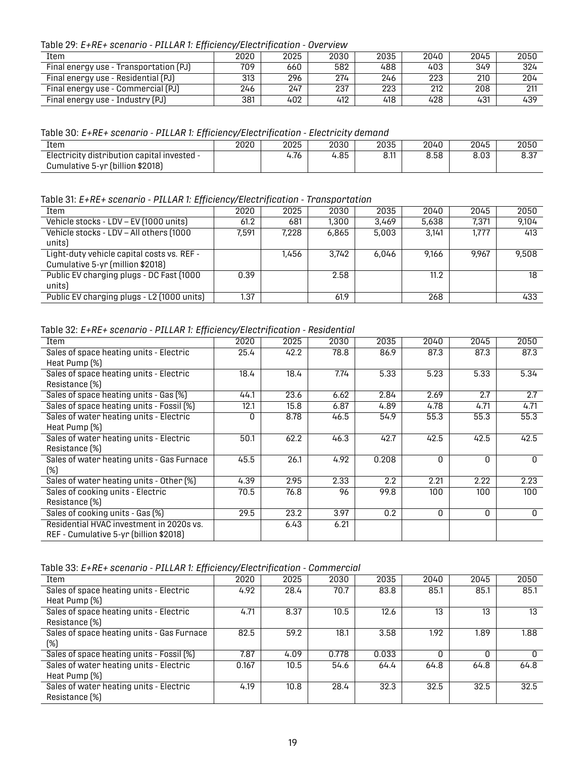Table 29: *E+RE+ scenario - PILLAR 1: Efficiency/Electrification - Overview*

| Item                                   | 2020 | 2025 | 2030 | 2035 | 2040 | 2045 | 2050 |
|----------------------------------------|------|------|------|------|------|------|------|
| Final energy use - Transportation (PJ) | 709  | 660  | 582  | 488  | 403  | 349  | 324  |
| Final energy use - Residential (PJ)    | 313  | 296  | 274  | 246  | 223  | 210  | 204  |
| Final energy use - Commercial (PJ)     | 246  | 247  | 237  | 223  | 212  | 208  | 911  |
| Final energy use - Industry (PJ)       | 381  | 402  | 412  | 418  | 428  | 431  | 439  |

<span id="page-21-0"></span>Table 30: *E+RE+ scenario - PILLAR 1: Efficiency/Electrification - Electricity demand*

| Item                                        | 2020 | 2025 | 2030 | 2035                | 2040 | 2045 | 2050 |
|---------------------------------------------|------|------|------|---------------------|------|------|------|
| Electricity distribution capital invested - |      | .76ء | 4.85 | <b>0.11</b><br>o.ii | 8.58 | 8.03 | 8.37 |
| Cumulative 5-yr (billion \$2018)            |      |      |      |                     |      |      |      |

<span id="page-21-1"></span>Table 31: *E+RE+ scenario - PILLAR 1: Efficiency/Electrification - Transportation*

| Item                                       | 2020  | 2025  | 2030  | 2035  | 2040  | 2045  | 2050  |
|--------------------------------------------|-------|-------|-------|-------|-------|-------|-------|
| Vehicle stocks - LDV - EV (1000 units)     | 61.2  | 681   | 1,300 | 3.469 | 5,638 | 7,371 | 9,104 |
| Vehicle stocks - LDV - All others (1000    | 7,591 | 7.228 | 6,865 | 5,003 | 3.141 | 1.777 | 413   |
| units)                                     |       |       |       |       |       |       |       |
| Light-duty vehicle capital costs vs. REF - |       | 1.456 | 3.742 | 6.046 | 9.166 | 9.967 | 9,508 |
| Cumulative 5-yr (million \$2018)           |       |       |       |       |       |       |       |
| Public EV charging plugs - DC Fast (1000   | 0.39  |       | 2.58  |       | 11.2  |       | 18    |
| units)                                     |       |       |       |       |       |       |       |
| Public EV charging plugs - L2 (1000 units) | 1.37  |       | 61.9  |       | 268   |       | 433   |

<span id="page-21-2"></span>Table 32: *E+RE+ scenario - PILLAR 1: Efficiency/Electrification - Residential*

| Item                                       | 2020 | 2025 | 2030 | 2035  | 2040 | 2045     | 2050 |
|--------------------------------------------|------|------|------|-------|------|----------|------|
| Sales of space heating units - Electric    | 25.4 | 42.2 | 78.8 | 86.9  | 87.3 | 87.3     | 87.3 |
| Heat Pump (%)                              |      |      |      |       |      |          |      |
| Sales of space heating units - Electric    | 18.4 | 18.4 | 7.74 | 5.33  | 5.23 | 5.33     | 5.34 |
| Resistance (%)                             |      |      |      |       |      |          |      |
| Sales of space heating units - Gas (%)     | 44.1 | 23.6 | 6.62 | 2.84  | 2.69 | 2.7      | 2.7  |
| Sales of space heating units - Fossil (%)  | 12.1 | 15.8 | 6.87 | 4.89  | 4.78 | 4.71     | 4.71 |
| Sales of water heating units - Electric    | O    | 8.78 | 46.5 | 54.9  | 55.3 | 55.3     | 55.3 |
| Heat Pump (%)                              |      |      |      |       |      |          |      |
| Sales of water heating units - Electric    | 50.1 | 62.2 | 46.3 | 42.7  | 42.5 | 42.5     | 42.5 |
| Resistance [%]                             |      |      |      |       |      |          |      |
| Sales of water heating units - Gas Furnace | 45.5 | 26.1 | 4.92 | 0.208 | O    | $\Omega$ | 0    |
| $(\%)$                                     |      |      |      |       |      |          |      |
| Sales of water heating units - Other [%]   | 4.39 | 2.95 | 2.33 | 2.2   | 2.21 | 2.22     | 2.23 |
| Sales of cooking units - Electric          | 70.5 | 76.8 | 96   | 99.8  | 100  | 100      | 100  |
| Resistance (%)                             |      |      |      |       |      |          |      |
| Sales of cooking units - Gas (%)           | 29.5 | 23.2 | 3.97 | 0.2   | O    | 0        | 0    |
| Residential HVAC investment in 2020s vs.   |      | 6.43 | 6.21 |       |      |          |      |
| REF - Cumulative 5-yr (billion \$2018)     |      |      |      |       |      |          |      |

<span id="page-21-3"></span>Table 33: *E+RE+ scenario - PILLAR 1: Efficiency/Electrification - Commercial*

| Item                                       | 2020  | 2025 | 2030  | 2035  | 2040 | 2045 | 2050 |
|--------------------------------------------|-------|------|-------|-------|------|------|------|
| Sales of space heating units - Electric    | 4.92  | 28.4 | 70.7  | 83.8  | 85.1 | 85.1 | 85.1 |
| Heat Pump (%)                              |       |      |       |       |      |      |      |
| Sales of space heating units - Electric    | 4.71  | 8.37 | 10.5  | 12.6  | 13   | 13   | 13   |
| Resistance (%)                             |       |      |       |       |      |      |      |
| Sales of space heating units - Gas Furnace | 82.5  | 59.2 | 18.1  | 3.58  | 1.92 | 1.89 | 1.88 |
| (%)                                        |       |      |       |       |      |      |      |
| Sales of space heating units - Fossil (%)  | 7.87  | 4.09 | 0.778 | 0.033 |      |      |      |
| Sales of water heating units - Electric    | 0.167 | 10.5 | 54.6  | 64.4  | 64.8 | 64.8 | 64.8 |
| Heat Pump (%)                              |       |      |       |       |      |      |      |
| Sales of water heating units - Electric    | 4.19  | 10.8 | 28.4  | 32.3  | 32.5 | 32.5 | 32.5 |
| Resistance (%)                             |       |      |       |       |      |      |      |
|                                            |       |      |       |       |      |      |      |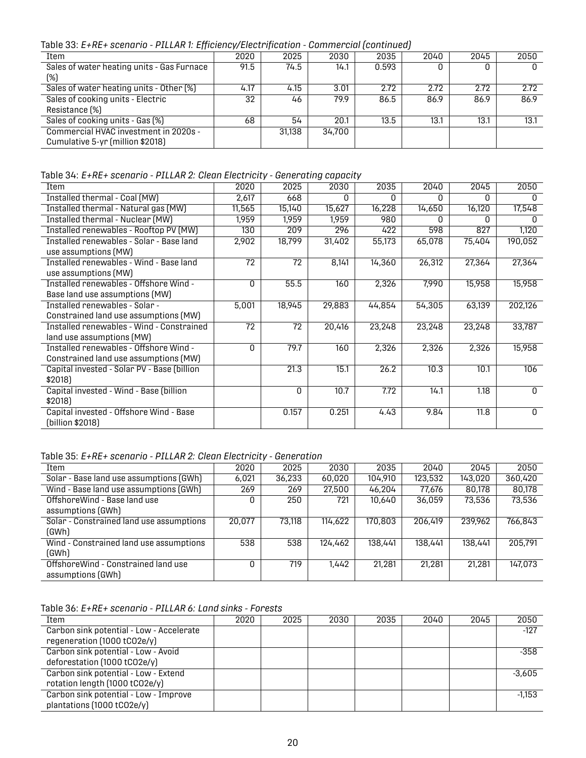Table 33: *E+RE+ scenario - PILLAR 1: Efficiency/Electrification - Commercial (continued)*

| Item                                       | 2020 | 2025   | 2030   | 2035  | 2040 | 2045 | 2050 |
|--------------------------------------------|------|--------|--------|-------|------|------|------|
| Sales of water heating units - Gas Furnace | 91.5 | 74.5   | 14.1   | 0.593 |      |      |      |
| $(\%)$                                     |      |        |        |       |      |      |      |
| Sales of water heating units - Other [%]   | 4.17 | 4.15   | 3.01   | 2.72  | 2.72 | 2.72 | 2.72 |
| Sales of cooking units - Electric          | 32   | 46     | 79.9   | 86.5  | 86.9 | 86.9 | 86.9 |
| Resistance (%)                             |      |        |        |       |      |      |      |
| Sales of cooking units - Gas (%)           | 68   | 54     | 20.1   | 13.5  | 13.1 | 13.1 | 13.1 |
| Commercial HVAC investment in 2020s -      |      | 31.138 | 34,700 |       |      |      |      |
| Cumulative 5-yr (million \$2018)           |      |        |        |       |      |      |      |

<span id="page-22-0"></span>Table 34: *E+RE+ scenario - PILLAR 2: Clean Electricity - Generating capacity*

| Item                                        | 2020     | 2025   | 2030   | 2035   | 2040   | 2045   | 2050         |
|---------------------------------------------|----------|--------|--------|--------|--------|--------|--------------|
| Installed thermal - Coal (MW)               | 2,617    | 668    | O      | O      | O      | O      | 0            |
| Installed thermal - Natural gas (MW)        | 11,565   | 15,140 | 15,627 | 16,228 | 14,650 | 16,120 | 17,548       |
| Installed thermal - Nuclear (MW)            | 1,959    | 1,959  | 1,959  | 980    |        | n      |              |
| Installed renewables - Rooftop PV (MW)      | 130      | 209    | 296    | 422    | 598    | 827    | 1,120        |
| Installed renewables - Solar - Base land    | 2,902    | 18,799 | 31,402 | 55,173 | 65,078 | 75,404 | 190,052      |
| use assumptions (MW)                        |          |        |        |        |        |        |              |
| Installed renewables - Wind - Base land     | 72       | 72     | 8,141  | 14,360 | 26,312 | 27,364 | 27,364       |
| use assumptions (MW)                        |          |        |        |        |        |        |              |
| Installed renewables - Offshore Wind -      | $\Omega$ | 55.5   | 160    | 2,326  | 7,990  | 15,958 | 15,958       |
| Base land use assumptions (MW)              |          |        |        |        |        |        |              |
| Installed renewables - Solar -              | 5,001    | 18,945 | 29,883 | 44,854 | 54,305 | 63,139 | 202,126      |
| Constrained land use assumptions (MW)       |          |        |        |        |        |        |              |
| Installed renewables - Wind - Constrained   | 72       | 72     | 20,416 | 23,248 | 23,248 | 23,248 | 33,787       |
| land use assumptions (MW)                   |          |        |        |        |        |        |              |
| Installed renewables - Offshore Wind -      | 0        | 79.7   | 160    | 2,326  | 2,326  | 2,326  | 15,958       |
| Constrained land use assumptions (MW)       |          |        |        |        |        |        |              |
| Capital invested - Solar PV - Base (billion |          | 21.3   | 15.1   | 26.2   | 10.3   | 10.1   | 106          |
| \$2018]                                     |          |        |        |        |        |        |              |
| Capital invested - Wind - Base (billion     |          | 0      | 10.7   | 7.72   | 14.1   | 1.18   | 0            |
| \$2018)                                     |          |        |        |        |        |        |              |
| Capital invested - Offshore Wind - Base     |          | 0.157  | 0.251  | 4.43   | 9.84   | 11.8   | $\mathbf{0}$ |
| (billion \$2018)                            |          |        |        |        |        |        |              |

<span id="page-22-1"></span>Table 35: *E+RE+ scenario - PILLAR 2: Clean Electricity - Generation*

| Item                                     | 2020   | 2025   | 2030    | 2035    | 2040    | 2045    | 2050    |
|------------------------------------------|--------|--------|---------|---------|---------|---------|---------|
| Solar - Base land use assumptions (GWh)  | 6,021  | 36,233 | 60,020  | 104,910 | 123,532 | 143.020 | 360,420 |
| Wind - Base land use assumptions (GWh)   | 269    | 269    | 27,500  | 46.204  | 77,676  | 80.178  | 80,178  |
| OffshoreWind - Base land use             |        | 250    | 721     | 10.640  | 36.059  | 73,536  | 73,536  |
| assumptions (GWh)                        |        |        |         |         |         |         |         |
| Solar - Constrained land use assumptions | 20.077 | 73,118 | 114,622 | 170,803 | 206.419 | 239.962 | 766,843 |
| (GWh)                                    |        |        |         |         |         |         |         |
| Wind - Constrained land use assumptions  | 538    | 538    | 124,462 | 138,441 | 138,441 | 138,441 | 205.791 |
| (GWh)                                    |        |        |         |         |         |         |         |
| OffshoreWind - Constrained land use      |        | 719    | 1.442   | 21,281  | 21,281  | 21.281  | 147,073 |
| assumptions (GWh)                        |        |        |         |         |         |         |         |

<span id="page-22-2"></span>Table 36: *E+RE+ scenario - PILLAR 6: Land sinks - Forests*

| Item                                     | 2020 | 2025 | 2030 | 2035 | 2040 | 2045 | 2050     |
|------------------------------------------|------|------|------|------|------|------|----------|
| Carbon sink potential - Low - Accelerate |      |      |      |      |      |      | $-127$   |
| regeneration (1000 tCO2e/y)              |      |      |      |      |      |      |          |
| Carbon sink potential - Low - Avoid      |      |      |      |      |      |      | -358     |
| deforestation (1000 tCO2e/y)             |      |      |      |      |      |      |          |
| Carbon sink potential - Low - Extend     |      |      |      |      |      |      | $-3.605$ |
| rotation length (1000 tCO2e/y)           |      |      |      |      |      |      |          |
| Carbon sink potential - Low - Improve    |      |      |      |      |      |      | $-1.153$ |
| plantations (1000 tCO2e/y)               |      |      |      |      |      |      |          |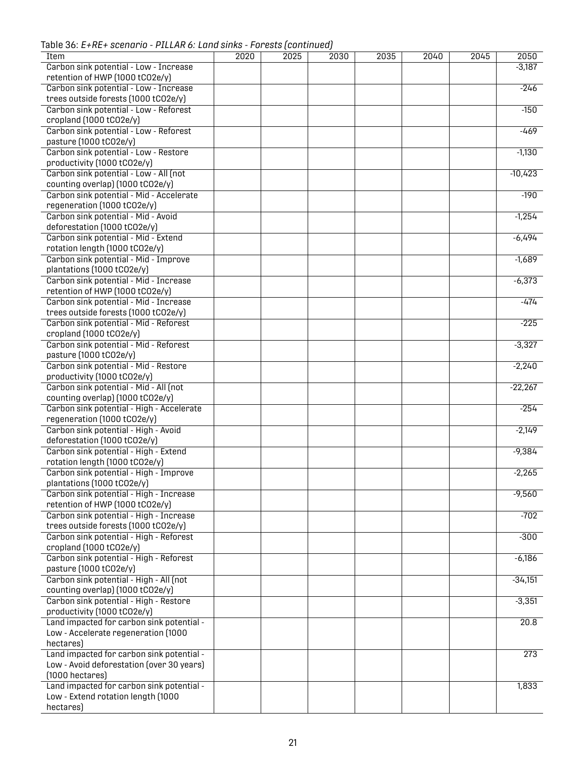Table 36: *E+RE+ scenario - PILLAR 6: Land sinks - Forests (continued)*

| <b>Item</b>                               | 2020 | 2025 | 2030 | 2035 | 2040 | 2045 | 2050      |
|-------------------------------------------|------|------|------|------|------|------|-----------|
| Carbon sink potential - Low - Increase    |      |      |      |      |      |      | $-3,187$  |
| retention of HWP (1000 tCO2e/y)           |      |      |      |      |      |      |           |
| Carbon sink potential - Low - Increase    |      |      |      |      |      |      | $-246$    |
| trees outside forests (1000 tCO2e/y)      |      |      |      |      |      |      |           |
| Carbon sink potential - Low - Reforest    |      |      |      |      |      |      | $-150$    |
|                                           |      |      |      |      |      |      |           |
| cropland (1000 tCO2e/y)                   |      |      |      |      |      |      |           |
| Carbon sink potential - Low - Reforest    |      |      |      |      |      |      | $-469$    |
| pasture (1000 tCO2e/y)                    |      |      |      |      |      |      |           |
| Carbon sink potential - Low - Restore     |      |      |      |      |      |      | $-1,130$  |
| productivity (1000 tCO2e/y)               |      |      |      |      |      |      |           |
| Carbon sink potential - Low - All (not    |      |      |      |      |      |      | $-10,423$ |
| counting overlap) (1000 tCO2e/y)          |      |      |      |      |      |      |           |
| Carbon sink potential - Mid - Accelerate  |      |      |      |      |      |      | $-190$    |
| regeneration (1000 tCO2e/y)               |      |      |      |      |      |      |           |
| Carbon sink potential - Mid - Avoid       |      |      |      |      |      |      | $-1,254$  |
| deforestation (1000 tCO2e/y)              |      |      |      |      |      |      |           |
| Carbon sink potential - Mid - Extend      |      |      |      |      |      |      | $-6,494$  |
| rotation length (1000 tCO2e/y)            |      |      |      |      |      |      |           |
| Carbon sink potential - Mid - Improve     |      |      |      |      |      |      | $-1,689$  |
|                                           |      |      |      |      |      |      |           |
| plantations (1000 tCO2e/y)                |      |      |      |      |      |      |           |
| Carbon sink potential - Mid - Increase    |      |      |      |      |      |      | $-6,373$  |
| retention of HWP (1000 tCO2e/y)           |      |      |      |      |      |      |           |
| Carbon sink potential - Mid - Increase    |      |      |      |      |      |      | $-474$    |
| trees outside forests (1000 tCO2e/y)      |      |      |      |      |      |      |           |
| Carbon sink potential - Mid - Reforest    |      |      |      |      |      |      | $-225$    |
| cropland (1000 tCO2e/y)                   |      |      |      |      |      |      |           |
| Carbon sink potential - Mid - Reforest    |      |      |      |      |      |      | $-3,327$  |
| pasture (1000 tCO2e/y)                    |      |      |      |      |      |      |           |
| Carbon sink potential - Mid - Restore     |      |      |      |      |      |      | $-2,240$  |
| productivity (1000 tCO2e/y)               |      |      |      |      |      |      |           |
| Carbon sink potential - Mid - All (not    |      |      |      |      |      |      | $-22,267$ |
| counting overlap) (1000 tCO2e/y)          |      |      |      |      |      |      |           |
| Carbon sink potential - High - Accelerate |      |      |      |      |      |      | $-254$    |
| regeneration (1000 tCO2e/y)               |      |      |      |      |      |      |           |
| Carbon sink potential - High - Avoid      |      |      |      |      |      |      | $-2,149$  |
| deforestation (1000 tCO2e/y)              |      |      |      |      |      |      |           |
|                                           |      |      |      |      |      |      |           |
| Carbon sink potential - High - Extend     |      |      |      |      |      |      | $-9,384$  |
| rotation length (1000 tCO2e/y)            |      |      |      |      |      |      |           |
| Carbon sink potential - High - Improve    |      |      |      |      |      |      | $-2,265$  |
| plantations (1000 tCO2e/y)                |      |      |      |      |      |      |           |
| Carbon sink potential - High - Increase   |      |      |      |      |      |      | $-9,560$  |
| retention of HWP (1000 tCO2e/y)           |      |      |      |      |      |      |           |
| Carbon sink potential - High - Increase   |      |      |      |      |      |      | $-702$    |
| trees outside forests (1000 tCO2e/y)      |      |      |      |      |      |      |           |
| Carbon sink potential - High - Reforest   |      |      |      |      |      |      | $-300$    |
| cropland (1000 tCO2e/y)                   |      |      |      |      |      |      |           |
| Carbon sink potential - High - Reforest   |      |      |      |      |      |      | $-6,186$  |
| pasture (1000 tCO2e/y)                    |      |      |      |      |      |      |           |
| Carbon sink potential - High - All (not   |      |      |      |      |      |      | $-34,151$ |
| counting overlap) (1000 tCO2e/y)          |      |      |      |      |      |      |           |
| Carbon sink potential - High - Restore    |      |      |      |      |      |      | $-3,351$  |
|                                           |      |      |      |      |      |      |           |
| productivity (1000 tCO2e/y)               |      |      |      |      |      |      |           |
| Land impacted for carbon sink potential - |      |      |      |      |      |      | 20.8      |
| Low - Accelerate regeneration (1000       |      |      |      |      |      |      |           |
| hectares)                                 |      |      |      |      |      |      |           |
| Land impacted for carbon sink potential - |      |      |      |      |      |      | 273       |
| Low - Avoid deforestation (over 30 years) |      |      |      |      |      |      |           |
| $(1000$ hectares)                         |      |      |      |      |      |      |           |
| Land impacted for carbon sink potential - |      |      |      |      |      |      | 1,833     |
| Low - Extend rotation length (1000        |      |      |      |      |      |      |           |
| hectares)                                 |      |      |      |      |      |      |           |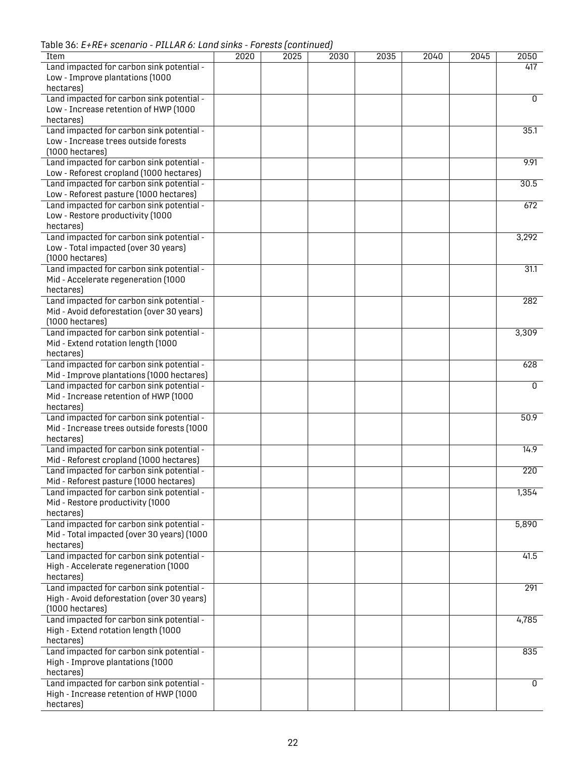Table 36: *E+RE+ scenario - PILLAR 6: Land sinks - Forests (continued)*

| <b>Item</b>                                | 2020 | 2025 | 2030 | 2035 | 2040 | 2045 | 2050             |
|--------------------------------------------|------|------|------|------|------|------|------------------|
| Land impacted for carbon sink potential -  |      |      |      |      |      |      | 417              |
| Low - Improve plantations (1000            |      |      |      |      |      |      |                  |
| hectares)                                  |      |      |      |      |      |      |                  |
| Land impacted for carbon sink potential -  |      |      |      |      |      |      | 0                |
| Low - Increase retention of HWP (1000      |      |      |      |      |      |      |                  |
|                                            |      |      |      |      |      |      |                  |
| hectares)                                  |      |      |      |      |      |      |                  |
| Land impacted for carbon sink potential -  |      |      |      |      |      |      | 35.1             |
| Low - Increase trees outside forests       |      |      |      |      |      |      |                  |
| $(1000$ hectares)                          |      |      |      |      |      |      |                  |
| Land impacted for carbon sink potential -  |      |      |      |      |      |      | 9.91             |
| Low - Reforest cropland (1000 hectares)    |      |      |      |      |      |      |                  |
|                                            |      |      |      |      |      |      |                  |
| Land impacted for carbon sink potential -  |      |      |      |      |      |      | 30.5             |
| Low - Reforest pasture (1000 hectares)     |      |      |      |      |      |      |                  |
| Land impacted for carbon sink potential -  |      |      |      |      |      |      | 672              |
| Low - Restore productivity (1000           |      |      |      |      |      |      |                  |
| hectares)                                  |      |      |      |      |      |      |                  |
| Land impacted for carbon sink potential -  |      |      |      |      |      |      | 3,292            |
|                                            |      |      |      |      |      |      |                  |
| Low - Total impacted (over 30 years)       |      |      |      |      |      |      |                  |
| $(1000$ hectares)                          |      |      |      |      |      |      |                  |
| Land impacted for carbon sink potential -  |      |      |      |      |      |      | 31.1             |
| Mid - Accelerate regeneration (1000        |      |      |      |      |      |      |                  |
| hectares)                                  |      |      |      |      |      |      |                  |
| Land impacted for carbon sink potential -  |      |      |      |      |      |      | 282              |
|                                            |      |      |      |      |      |      |                  |
| Mid - Avoid deforestation (over 30 years)  |      |      |      |      |      |      |                  |
| $(1000$ hectares)                          |      |      |      |      |      |      |                  |
| Land impacted for carbon sink potential -  |      |      |      |      |      |      | 3,309            |
| Mid - Extend rotation length (1000         |      |      |      |      |      |      |                  |
| hectares)                                  |      |      |      |      |      |      |                  |
| Land impacted for carbon sink potential -  |      |      |      |      |      |      | 628              |
| Mid - Improve plantations (1000 hectares)  |      |      |      |      |      |      |                  |
|                                            |      |      |      |      |      |      |                  |
| Land impacted for carbon sink potential -  |      |      |      |      |      |      | $\overline{0}$   |
| Mid - Increase retention of HWP (1000      |      |      |      |      |      |      |                  |
| hectares)                                  |      |      |      |      |      |      |                  |
| Land impacted for carbon sink potential -  |      |      |      |      |      |      | 50.9             |
| Mid - Increase trees outside forests (1000 |      |      |      |      |      |      |                  |
| hectares)                                  |      |      |      |      |      |      |                  |
|                                            |      |      |      |      |      |      |                  |
| Land impacted for carbon sink potential -  |      |      |      |      |      |      | 14.9             |
| Mid - Reforest cropland (1000 hectares)    |      |      |      |      |      |      |                  |
| Land impacted for carbon sink potential -  |      |      |      |      |      |      | $\overline{220}$ |
| Mid - Reforest pasture (1000 hectares)     |      |      |      |      |      |      |                  |
| Land impacted for carbon sink potential -  |      |      |      |      |      |      | 1,354            |
| Mid - Restore productivity (1000           |      |      |      |      |      |      |                  |
|                                            |      |      |      |      |      |      |                  |
| hectares)                                  |      |      |      |      |      |      |                  |
| Land impacted for carbon sink potential -  |      |      |      |      |      |      | 5,890            |
| Mid - Total impacted (over 30 years) (1000 |      |      |      |      |      |      |                  |
| hectares)                                  |      |      |      |      |      |      |                  |
| Land impacted for carbon sink potential -  |      |      |      |      |      |      | 41.5             |
|                                            |      |      |      |      |      |      |                  |
| High - Accelerate regeneration (1000       |      |      |      |      |      |      |                  |
| hectares)                                  |      |      |      |      |      |      |                  |
| Land impacted for carbon sink potential -  |      |      |      |      |      |      | 291              |
| High - Avoid deforestation (over 30 years) |      |      |      |      |      |      |                  |
| $(1000$ hectares)                          |      |      |      |      |      |      |                  |
| Land impacted for carbon sink potential -  |      |      |      |      |      |      | 4,785            |
|                                            |      |      |      |      |      |      |                  |
| High - Extend rotation length (1000        |      |      |      |      |      |      |                  |
| hectares)                                  |      |      |      |      |      |      |                  |
| Land impacted for carbon sink potential -  |      |      |      |      |      |      | 835              |
| High - Improve plantations (1000           |      |      |      |      |      |      |                  |
| hectares)                                  |      |      |      |      |      |      |                  |
| Land impacted for carbon sink potential -  |      |      |      |      |      |      | $\overline{0}$   |
|                                            |      |      |      |      |      |      |                  |
| High - Increase retention of HWP (1000     |      |      |      |      |      |      |                  |
| hectares)                                  |      |      |      |      |      |      |                  |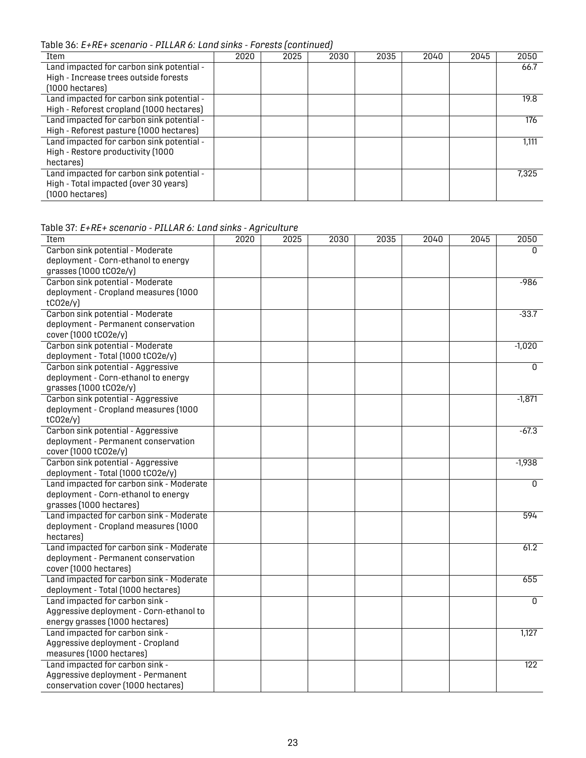Table 36: *E+RE+ scenario - PILLAR 6: Land sinks - Forests (continued)*

| Item                                      | 2020 | 2025 | 2030 | 2035 | 2040 | 2045 | 2050  |
|-------------------------------------------|------|------|------|------|------|------|-------|
| Land impacted for carbon sink potential - |      |      |      |      |      |      | 66.7  |
| High - Increase trees outside forests     |      |      |      |      |      |      |       |
| $(1000)$ hectares)                        |      |      |      |      |      |      |       |
| Land impacted for carbon sink potential - |      |      |      |      |      |      | 19.8  |
| High - Reforest cropland (1000 hectares)  |      |      |      |      |      |      |       |
| Land impacted for carbon sink potential - |      |      |      |      |      |      | 176   |
| High - Reforest pasture (1000 hectares)   |      |      |      |      |      |      |       |
| Land impacted for carbon sink potential - |      |      |      |      |      |      | 1,111 |
| High - Restore productivity (1000         |      |      |      |      |      |      |       |
| hectares)                                 |      |      |      |      |      |      |       |
| Land impacted for carbon sink potential - |      |      |      |      |      |      | 7.325 |
| High - Total impacted (over 30 years)     |      |      |      |      |      |      |       |
| $(1000$ hectares)                         |      |      |      |      |      |      |       |

| Table 3T. E+RE+ Scenario - PILLAR 6: Land Sinks - Agriculture<br>Item | 2020 | 2025 | 2030 | 2035 | 2040 | 2045 | 2050             |
|-----------------------------------------------------------------------|------|------|------|------|------|------|------------------|
| Carbon sink potential - Moderate                                      |      |      |      |      |      |      | 0                |
| deployment - Corn-ethanol to energy                                   |      |      |      |      |      |      |                  |
| grasses (1000 tC02e/y)                                                |      |      |      |      |      |      |                  |
| Carbon sink potential - Moderate                                      |      |      |      |      |      |      | $-986$           |
| deployment - Cropland measures (1000                                  |      |      |      |      |      |      |                  |
| tCO2e/y                                                               |      |      |      |      |      |      |                  |
| Carbon sink potential - Moderate                                      |      |      |      |      |      |      | $-33.7$          |
| deployment - Permanent conservation                                   |      |      |      |      |      |      |                  |
| cover (1000 tCO2e/y)                                                  |      |      |      |      |      |      |                  |
| Carbon sink potential - Moderate                                      |      |      |      |      |      |      | $-1,020$         |
| deployment - Total (1000 tCO2e/y)                                     |      |      |      |      |      |      |                  |
| Carbon sink potential - Aggressive                                    |      |      |      |      |      |      | $\overline{0}$   |
| deployment - Corn-ethanol to energy                                   |      |      |      |      |      |      |                  |
| grasses (1000 tC02e/y)                                                |      |      |      |      |      |      |                  |
| Carbon sink potential - Aggressive                                    |      |      |      |      |      |      | $-1,871$         |
| deployment - Cropland measures (1000                                  |      |      |      |      |      |      |                  |
| tCO2e/y                                                               |      |      |      |      |      |      |                  |
| Carbon sink potential - Aggressive                                    |      |      |      |      |      |      | $-67.3$          |
| deployment - Permanent conservation                                   |      |      |      |      |      |      |                  |
| cover (1000 tCO2e/y)                                                  |      |      |      |      |      |      |                  |
| Carbon sink potential - Aggressive                                    |      |      |      |      |      |      | $-1,938$         |
| deployment - Total (1000 tCO2e/y)                                     |      |      |      |      |      |      |                  |
| Land impacted for carbon sink - Moderate                              |      |      |      |      |      |      | $\mathbf{0}$     |
| deployment - Corn-ethanol to energy                                   |      |      |      |      |      |      |                  |
| grasses (1000 hectares)                                               |      |      |      |      |      |      |                  |
| Land impacted for carbon sink - Moderate                              |      |      |      |      |      |      | 594              |
| deployment - Cropland measures (1000                                  |      |      |      |      |      |      |                  |
| hectares)                                                             |      |      |      |      |      |      |                  |
| Land impacted for carbon sink - Moderate                              |      |      |      |      |      |      | 61.2             |
| deployment - Permanent conservation                                   |      |      |      |      |      |      |                  |
| cover (1000 hectares)                                                 |      |      |      |      |      |      |                  |
| Land impacted for carbon sink - Moderate                              |      |      |      |      |      |      | 655              |
| deployment - Total (1000 hectares)                                    |      |      |      |      |      |      |                  |
| Land impacted for carbon sink -                                       |      |      |      |      |      |      | $\Omega$         |
| Aggressive deployment - Corn-ethanol to                               |      |      |      |      |      |      |                  |
| energy grasses (1000 hectares)                                        |      |      |      |      |      |      |                  |
| Land impacted for carbon sink -                                       |      |      |      |      |      |      | 1,127            |
| Aggressive deployment - Cropland                                      |      |      |      |      |      |      |                  |
| measures (1000 hectares)                                              |      |      |      |      |      |      |                  |
| Land impacted for carbon sink -                                       |      |      |      |      |      |      | $\overline{122}$ |
| Aggressive deployment - Permanent                                     |      |      |      |      |      |      |                  |
| conservation cover (1000 hectares)                                    |      |      |      |      |      |      |                  |

<span id="page-25-0"></span>Table 37: *E+RE+ scenario - PILLAR 6: Land sinks - Agriculture*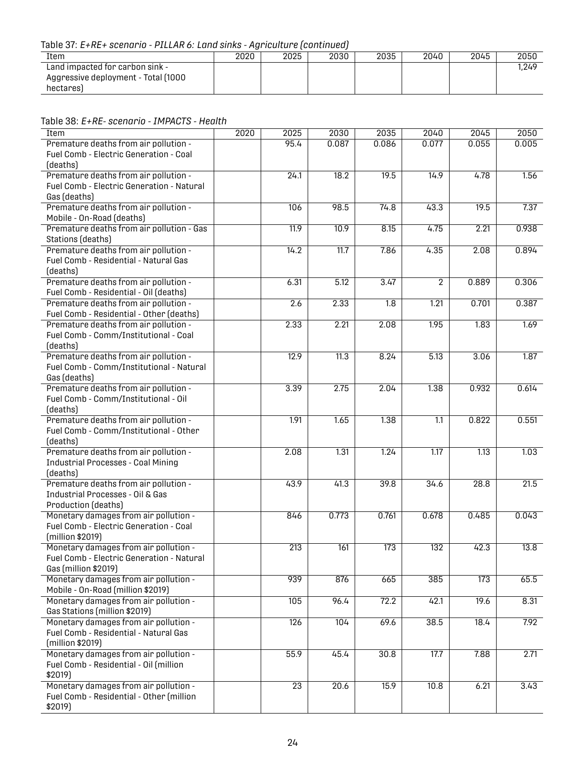Table 37: *E+RE+ scenario - PILLAR 6: Land sinks - Agriculture (continued)*

| Item                                                                                | 2020 | 2025 | 2030 | 2035 | 2040 | 2045 | 2050  |
|-------------------------------------------------------------------------------------|------|------|------|------|------|------|-------|
| Land impacted for carbon sink -<br>Aggressive deployment - Total (1000<br>hectares) |      |      |      |      |      |      | 1.249 |
|                                                                                     |      |      |      |      |      |      |       |

<span id="page-26-0"></span>Table 38: *E+RE- scenario - IMPACTS - Health*

| Item                                                                   | 2020 | 2025             | 2030  | 2035             | 2040             | 2045  | 2050  |
|------------------------------------------------------------------------|------|------------------|-------|------------------|------------------|-------|-------|
| Premature deaths from air pollution -                                  |      | 95.4             | 0.087 | 0.086            | 0.077            | 0.055 | 0.005 |
| Fuel Comb - Electric Generation - Coal                                 |      |                  |       |                  |                  |       |       |
| (deaths)                                                               |      |                  |       |                  |                  |       |       |
| Premature deaths from air pollution -                                  |      | 24.1             | 18.2  | 19.5             | 14.9             | 4.78  | 1.56  |
| <b>Fuel Comb - Electric Generation - Natural</b>                       |      |                  |       |                  |                  |       |       |
| Gas (deaths)                                                           |      |                  |       |                  |                  |       |       |
| Premature deaths from air pollution -                                  |      | 106              | 98.5  | 74.8             | 43.3             | 19.5  | 7.37  |
| Mobile - On-Road (deaths)                                              |      |                  |       |                  |                  |       |       |
| Premature deaths from air pollution - Gas                              |      | 11.9             | 10.9  | 8.15             | 4.75             | 2.21  | 0.938 |
| Stations (deaths)                                                      |      |                  |       |                  |                  |       |       |
| Premature deaths from air pollution -                                  |      | 14.2             | 11.7  | 7.86             | 4.35             | 2.08  | 0.894 |
| Fuel Comb - Residential - Natural Gas                                  |      |                  |       |                  |                  |       |       |
| (deaths)                                                               |      |                  |       |                  |                  |       |       |
| Premature deaths from air pollution -                                  |      | 6.31             | 5.12  | 3.47             | $\overline{2}$   | 0.889 | 0.306 |
| Fuel Comb - Residential - Oil (deaths)                                 |      |                  |       |                  |                  |       |       |
| Premature deaths from air pollution -                                  |      | 2.6              | 2.33  | $\overline{1.8}$ | 1.21             | 0.701 | 0.387 |
| Fuel Comb - Residential - Other (deaths)                               |      |                  |       |                  |                  |       |       |
| Premature deaths from air pollution -                                  |      | 2.33             | 2.21  | 2.08             | 1.95             | 1.83  | 1.69  |
| Fuel Comb - Comm/Institutional - Coal                                  |      |                  |       |                  |                  |       |       |
| (deaths)<br>Premature deaths from air pollution -                      |      | 12.9             | 11.3  | 8.24             | 5.13             | 3.06  | 1.87  |
| Fuel Comb - Comm/Institutional - Natural                               |      |                  |       |                  |                  |       |       |
| Gas (deaths)                                                           |      |                  |       |                  |                  |       |       |
| Premature deaths from air pollution -                                  |      | 3.39             | 2.75  | 2.04             | 1.38             | 0.932 | 0.614 |
| Fuel Comb - Comm/Institutional - Oil                                   |      |                  |       |                  |                  |       |       |
| (deaths)                                                               |      |                  |       |                  |                  |       |       |
| Premature deaths from air pollution -                                  |      | 1.91             | 1.65  | 1.38             | $\overline{1.1}$ | 0.822 | 0.551 |
| Fuel Comb - Comm/Institutional - Other                                 |      |                  |       |                  |                  |       |       |
| (deaths)                                                               |      |                  |       |                  |                  |       |       |
| Premature deaths from air pollution -                                  |      | 2.08             | 1.31  | 1.24             | 1.17             | 1.13  | 1.03  |
| <b>Industrial Processes - Coal Mining</b>                              |      |                  |       |                  |                  |       |       |
| (deaths)                                                               |      |                  |       |                  |                  |       |       |
| Premature deaths from air pollution -                                  |      | 43.9             | 41.3  | 39.8             | 34.6             | 28.8  | 21.5  |
| Industrial Processes - Oil & Gas                                       |      |                  |       |                  |                  |       |       |
| Production (deaths)                                                    |      |                  |       |                  |                  |       |       |
| Monetary damages from air pollution -                                  |      | 846              | 0.773 | 0.761            | 0.678            | 0.485 | 0.043 |
| Fuel Comb - Electric Generation - Coal                                 |      |                  |       |                  |                  |       |       |
| (million \$2019)                                                       |      |                  |       |                  |                  |       |       |
| Monetary damages from air pollution -                                  |      | 213              | 161   | 173              | 132              | 42.3  | 13.8  |
| Fuel Comb - Electric Generation - Natural                              |      |                  |       |                  |                  |       |       |
| Gas (million \$2019)                                                   |      |                  |       |                  |                  |       |       |
| Monetary damages from air pollution -                                  |      | 939              | 876   | 665              | 385              | 173   | 65.5  |
| Mobile - On-Road (million \$2019)                                      |      |                  |       |                  |                  |       |       |
| Monetary damages from air pollution -                                  |      | 105              | 96.4  | 72.2             | 42.1             | 19.6  | 8.31  |
| Gas Stations (million \$2019)<br>Monetary damages from air pollution - |      | $\overline{126}$ | 104   | 69.6             |                  | 18.4  | 7.92  |
| Fuel Comb - Residential - Natural Gas                                  |      |                  |       |                  | 38.5             |       |       |
| (million \$2019)                                                       |      |                  |       |                  |                  |       |       |
| Monetary damages from air pollution -                                  |      | 55.9             | 45.4  | 30.8             | 17.7             | 7.88  | 2.71  |
| Fuel Comb - Residential - Oil (million                                 |      |                  |       |                  |                  |       |       |
| \$2019)                                                                |      |                  |       |                  |                  |       |       |
| Monetary damages from air pollution -                                  |      | $\overline{23}$  | 20.6  | 15.9             | 10.8             | 6.21  | 3.43  |
| Fuel Comb - Residential - Other (million                               |      |                  |       |                  |                  |       |       |
| \$2019)                                                                |      |                  |       |                  |                  |       |       |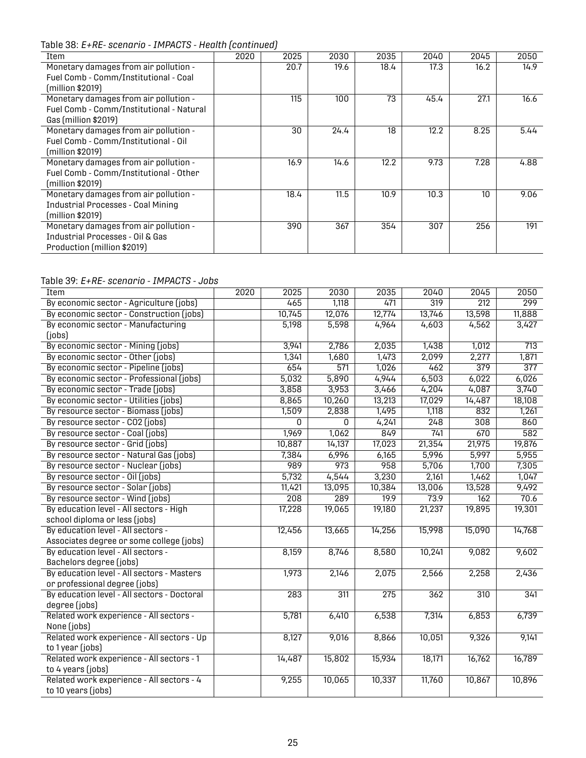Table 38: *E+RE- scenario - IMPACTS - Health (continued)*

| Item                                                                                                      | 2020 | 2025 | 2030 | 2035 | 2040 | 2045 | 2050 |
|-----------------------------------------------------------------------------------------------------------|------|------|------|------|------|------|------|
| Monetary damages from air pollution -<br>Fuel Comb - Comm/Institutional - Coal                            |      | 20.7 | 19.6 | 18.4 | 17.3 | 16.2 | 14.9 |
| (million \$2019)                                                                                          |      |      |      |      |      |      |      |
| Monetary damages from air pollution -<br>Fuel Comb - Comm/Institutional - Natural<br>Gas (million \$2019) |      | 115  | 100  | 73   | 45.4 | 27.1 | 16.6 |
| Monetary damages from air pollution -<br>Fuel Comb - Comm/Institutional - Oil<br>(million \$2019)         |      | 30   | 24.4 | 18   | 12.2 | 8.25 | 5.44 |
| Monetary damages from air pollution -<br>Fuel Comb - Comm/Institutional - Other<br>(million \$2019)       |      | 16.9 | 14.6 | 12.2 | 9.73 | 7.28 | 4.88 |
| Monetary damages from air pollution -<br><b>Industrial Processes - Coal Mining</b><br>(million \$2019)    |      | 18.4 | 11.5 | 10.9 | 10.3 | 10   | 9.06 |
| Monetary damages from air pollution -<br>Industrial Processes - Oil & Gas<br>Production (million \$2019)  |      | 390  | 367  | 354  | 307  | 256  | 191  |

#### <span id="page-27-0"></span>Table 39: *E+RE- scenario - IMPACTS - Jobs*

| Item                                        | 2020 | 2025             | 2030             | 2035             | 2040   | 2045             | 2050             |
|---------------------------------------------|------|------------------|------------------|------------------|--------|------------------|------------------|
| By economic sector - Agriculture (jobs)     |      | 465              | 1,118            | 471              | 319    | $\overline{212}$ | 299              |
| By economic sector - Construction (jobs)    |      | 10,745           | 12,076           | 12,774           | 13,746 | 13,598           | 11,888           |
| By economic sector - Manufacturing          |      | 5,198            | 5,598            | 4,964            | 4,603  | 4,562            | 3,427            |
| (jobs)                                      |      |                  |                  |                  |        |                  |                  |
| By economic sector - Mining (jobs)          |      | 3,941            | 2,786            | 2,035            | 1,438  | 1,012            | 713              |
| By economic sector - Other (jobs)           |      | 1,341            | 1,680            | 1,473            | 2,099  | 2,277            | 1,871            |
| By economic sector - Pipeline (jobs)        |      | 654              | 571              | 1,026            | 462    | 379              | $\overline{377}$ |
| By economic sector - Professional (jobs)    |      | 5,032            | 5,890            | 4,944            | 6,503  | 6,022            | 6,026            |
| By economic sector - Trade (jobs)           |      | 3,858            | 3,953            | 3,466            | 4,204  | 4,087            | 3,740            |
| By economic sector - Utilities (jobs)       |      | 8,865            | 10,260           | 13,213           | 17,029 | 14,487           | 18,108           |
| By resource sector - Biomass (jobs)         |      | 1,509            | 2,838            | 1,495            | 1,118  | 832              | 1,261            |
| By resource sector - CO2 (jobs)             |      | <sup>0</sup>     | <sup>0</sup>     | 4,241            | 248    | $\overline{308}$ | 860              |
| By resource sector - Coal (jobs)            |      | 1,969            | 1,062            | 849              | 741    | 670              | 582              |
| By resource sector - Grid (jobs)            |      | 10,887           | 14,137           | 17,023           | 21,354 | 21,975           | 19,876           |
| By resource sector - Natural Gas (jobs)     |      | 7,384            | 6,996            | 6,165            | 5,996  | 5,997            | 5,955            |
| By resource sector - Nuclear (jobs)         |      | 989              | 973              | $\overline{958}$ | 5,706  | 1,700            | 7,305            |
| By resource sector - Oil (jobs)             |      | 5,732            | 4,544            | 3,230            | 2,161  | 1,462            | 1,047            |
| By resource sector - Solar (jobs)           |      | 11,421           | 13,095           | 10,384           | 13,006 | 13,528           | 9,492            |
| By resource sector - Wind (jobs)            |      | $\overline{208}$ | 289              | 19.9             | 73.9   | 162              | 70.6             |
| By education level - All sectors - High     |      | 17,228           | 19,065           | 19,180           | 21,237 | 19,895           | 19,301           |
| school diploma or less (jobs)               |      |                  |                  |                  |        |                  |                  |
| By education level - All sectors -          |      | 12,456           | 13,665           | 14,256           | 15,998 | 15,090           | 14,768           |
| Associates degree or some college (jobs)    |      |                  |                  |                  |        |                  |                  |
| By education level - All sectors -          |      | 8,159            | 8,746            | 8,580            | 10,241 | 9,082            | 9,602            |
| Bachelors degree (jobs)                     |      |                  |                  |                  |        |                  |                  |
| By education level - All sectors - Masters  |      | 1,973            | 2,146            | 2,075            | 2,566  | 2,258            | 2,436            |
| or professional degree (jobs)               |      |                  |                  |                  |        |                  |                  |
| By education level - All sectors - Doctoral |      | 283              | $\overline{311}$ | $\overline{275}$ | 362    | $\overline{310}$ | 341              |
| degree (jobs)                               |      |                  |                  |                  |        |                  |                  |
| Related work experience - All sectors -     |      | 5,781            | 6,410            | 6,538            | 7,314  | 6,853            | 6,739            |
| None (jobs)                                 |      |                  |                  |                  |        |                  |                  |
| Related work experience - All sectors - Up  |      | 8,127            | 9,016            | 8,866            | 10,051 | 9,326            | 9,141            |
| to 1 year (jobs)                            |      |                  |                  |                  |        |                  |                  |
| Related work experience - All sectors - 1   |      | 14,487           | 15,802           | 15,934           | 18,171 | 16,762           | 16,789           |
| to 4 years (jobs)                           |      |                  |                  |                  |        |                  |                  |
| Related work experience - All sectors - 4   |      | 9,255            | 10,065           | 10,337           | 11,760 | 10,867           | 10,896           |
| to 10 years (jobs)                          |      |                  |                  |                  |        |                  |                  |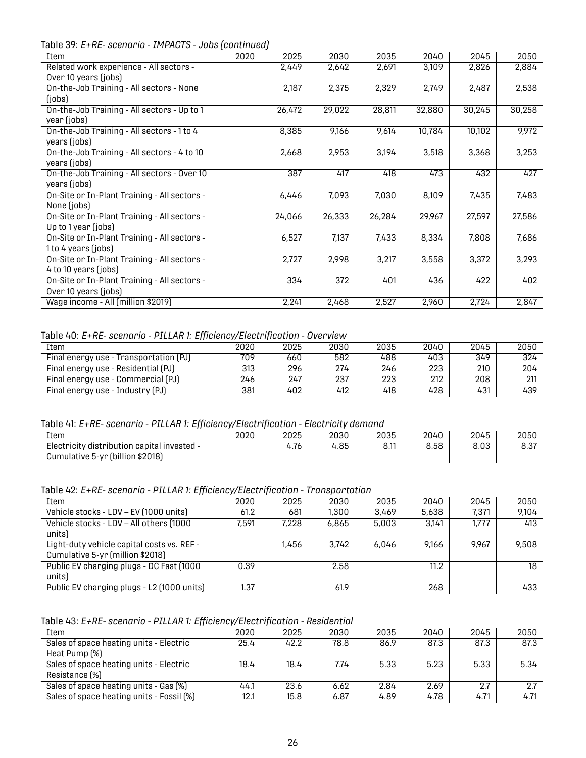Table 39: *E+RE- scenario - IMPACTS - Jobs (continued)*

| Item                                         | 2020 | 2025   | 2030   | 2035   | 2040   | 2045   | 2050   |
|----------------------------------------------|------|--------|--------|--------|--------|--------|--------|
| Related work experience - All sectors -      |      | 2,449  | 2,642  | 2,691  | 3,109  | 2,826  | 2,884  |
| Over 10 years (jobs)                         |      |        |        |        |        |        |        |
| On-the-Job Training - All sectors - None     |      | 2,187  | 2,375  | 2,329  | 2,749  | 2,487  | 2,538  |
| (jobs)                                       |      |        |        |        |        |        |        |
| On-the-Job Training - All sectors - Up to 1  |      | 26,472 | 29,022 | 28,811 | 32,880 | 30,245 | 30,258 |
| year (jobs)                                  |      |        |        |        |        |        |        |
| On-the-Job Training - All sectors - 1 to 4   |      | 8,385  | 9,166  | 9,614  | 10,784 | 10,102 | 9,972  |
| years (jobs)                                 |      |        |        |        |        |        |        |
| On-the-Job Training - All sectors - 4 to 10  |      | 2,668  | 2,953  | 3,194  | 3,518  | 3,368  | 3,253  |
| years (jobs)                                 |      |        |        |        |        |        |        |
| On-the-Job Training - All sectors - Over 10  |      | 387    | 417    | 418    | 473    | 432    | 427    |
| years (jobs)                                 |      |        |        |        |        |        |        |
| On-Site or In-Plant Training - All sectors - |      | 6,446  | 7,093  | 7,030  | 8,109  | 7,435  | 7,483  |
| None (jobs)                                  |      |        |        |        |        |        |        |
| On-Site or In-Plant Training - All sectors - |      | 24,066 | 26,333 | 26,284 | 29,967 | 27,597 | 27,586 |
| Up to 1 year (jobs)                          |      |        |        |        |        |        |        |
| On-Site or In-Plant Training - All sectors - |      | 6,527  | 7,137  | 7,433  | 8,334  | 7,808  | 7,686  |
| 1 to 4 years (jobs)                          |      |        |        |        |        |        |        |
| On-Site or In-Plant Training - All sectors - |      | 2,727  | 2,998  | 3,217  | 3,558  | 3,372  | 3,293  |
| 4 to 10 years (jobs)                         |      |        |        |        |        |        |        |
| On-Site or In-Plant Training - All sectors - |      | 334    | 372    | 401    | 436    | 422    | 402    |
| Over 10 years (jobs)                         |      |        |        |        |        |        |        |
| Wage income - All (million \$2019)           |      | 2,241  | 2,468  | 2,527  | 2,960  | 2,724  | 2,847  |

<span id="page-28-0"></span>Table 40: *E+RE- scenario - PILLAR 1: Efficiency/Electrification - Overview*

| Item                                   | 2020 | 2025 | 2030 | 2035 | 2040 | 2045 | 2050 |
|----------------------------------------|------|------|------|------|------|------|------|
| Final energy use - Transportation (PJ) | 709  | 660  | 582  | 488  | 403  | 349  | 324  |
| Final energy use - Residential (PJ)    | 313  | 296  | 274  | 246  | 223  | 210  | 204  |
| Final energy use - Commercial (PJ)     | 246  | 247  | 237  | 223  | 212  | 208  | 211  |
| Final energy use - Industry (PJ)       | 381  | 402  | 412  | 418  | 428  | 431  | 439  |

<span id="page-28-1"></span>Table 41: *E+RE- scenario - PILLAR 1: Efficiency/Electrification - Electricity demand*

| ____<br>.                                                                       | $   \cdots$ | .    | .    |      |      |      |      |
|---------------------------------------------------------------------------------|-------------|------|------|------|------|------|------|
| Item                                                                            | 2020        | 2025 | 2030 | 2035 | 2040 | 2045 | 2050 |
| Electricity distribution capital invested -<br>Cumulative 5-yr (billion \$2018) |             | 4.76 | 4.85 | 8.11 | 8.58 | 8.03 | 8.37 |
|                                                                                 |             |      |      |      |      |      |      |

<span id="page-28-2"></span>Table 42: *E+RE- scenario - PILLAR 1: Efficiency/Electrification - Transportation*

| .                                          | . .   |       |       |       |       |       |       |
|--------------------------------------------|-------|-------|-------|-------|-------|-------|-------|
| Item                                       | 2020  | 2025  | 2030  | 2035  | 2040  | 2045  | 2050  |
| Vehicle stocks - LDV - EV (1000 units)     | 61.2  | 681   | 1,300 | 3.469 | 5,638 | 7,371 | 9.104 |
| Vehicle stocks - LDV - All others (1000    | 7.591 | 7.228 | 6,865 | 5,003 | 3.141 | 1,777 | 413   |
| units)                                     |       |       |       |       |       |       |       |
| Light-duty vehicle capital costs vs. REF - |       | 1,456 | 3.742 | 6.046 | 9.166 | 9.967 | 9.508 |
| Cumulative 5-yr (million \$2018)           |       |       |       |       |       |       |       |
| Public EV charging plugs - DC Fast (1000   | 0.39  |       | 2.58  |       | 11.2  |       | 18    |
| units)                                     |       |       |       |       |       |       |       |
| Public EV charging plugs - L2 (1000 units) | 1.37  |       | 61.9  |       | 268   |       | 433   |

<span id="page-28-3"></span>Table 43: *E+RE- scenario - PILLAR 1: Efficiency/Electrification - Residential*

| Item                                      | 2020 | 2025 | 2030 | 2035 | 2040 | 2045 | 2050 |
|-------------------------------------------|------|------|------|------|------|------|------|
| Sales of space heating units - Electric   | 25.4 | 42.2 | 78.8 | 86.9 | 87.3 | 87.3 | 87.3 |
| Heat Pump (%)                             |      |      |      |      |      |      |      |
| Sales of space heating units - Electric   | 18.4 | 18.4 | 7.74 | 5.33 | 5.23 | 5.33 | 5.34 |
| Resistance (%)                            |      |      |      |      |      |      |      |
| Sales of space heating units - Gas [%]    | 44.1 | 23.6 | 6.62 | 2.84 | 2.69 | 2.7  | 2.7  |
| Sales of space heating units - Fossil (%) | 12.1 | 15.8 | 6.87 | 4.89 | 4.78 | 4.71 | 4.71 |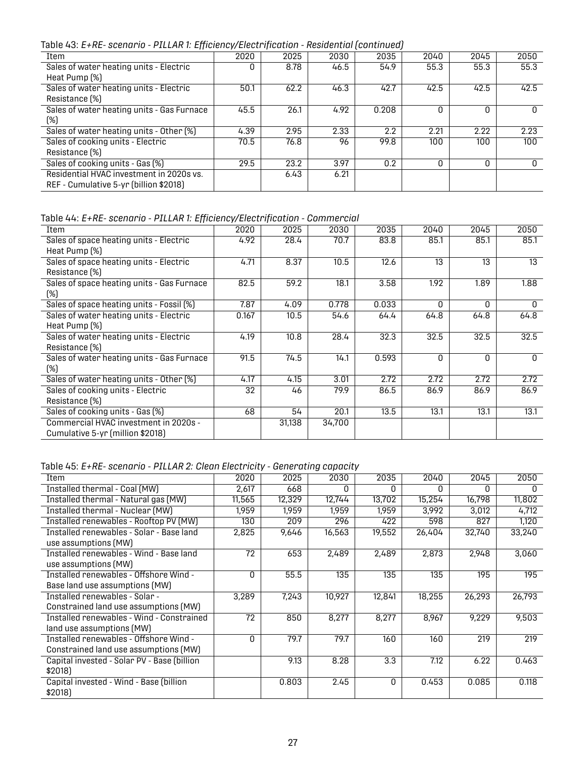Table 43: *E+RE- scenario - PILLAR 1: Efficiency/Electrification - Residential (continued)*

| 2020 | 2025 | 2030 | 2035  | 2040 | 2045 | 2050         |
|------|------|------|-------|------|------|--------------|
|      | 8.78 | 46.5 | 54.9  | 55.3 | 55.3 | 55.3         |
|      |      |      |       |      |      |              |
| 50.1 | 62.2 | 46.3 | 42.7  | 42.5 | 42.5 | 42.5         |
|      |      |      |       |      |      |              |
| 45.5 | 26.1 | 4.92 | 0.208 | O    | O    | $\Omega$     |
|      |      |      |       |      |      |              |
| 4.39 | 2.95 | 2.33 | 2.2   | 2.21 | 2.22 | 2.23         |
| 70.5 | 76.8 | 96   | 99.8  | 100  | 100  | 100          |
|      |      |      |       |      |      |              |
| 29.5 | 23.2 | 3.97 | 0.2   | 0    | 0    | <sup>0</sup> |
|      | 6.43 | 6.21 |       |      |      |              |
|      |      |      |       |      |      |              |
|      |      |      |       |      |      |              |

<span id="page-29-0"></span>Table 44: *E+RE- scenario - PILLAR 1: Efficiency/Electrification - Commercial*

| Item                                       | 2020  | 2025   | 2030   | 2035  | 2040     | 2045     | 2050     |
|--------------------------------------------|-------|--------|--------|-------|----------|----------|----------|
| Sales of space heating units - Electric    | 4.92  | 28.4   | 70.7   | 83.8  | 85.1     | 85.1     | 85.1     |
| Heat Pump (%)                              |       |        |        |       |          |          |          |
| Sales of space heating units - Electric    | 4.71  | 8.37   | 10.5   | 12.6  | 13       | 13       | 13       |
| Resistance (%)                             |       |        |        |       |          |          |          |
| Sales of space heating units - Gas Furnace | 82.5  | 59.2   | 18.1   | 3.58  | 1.92     | 1.89     | 1.88     |
| (%)                                        |       |        |        |       |          |          |          |
| Sales of space heating units - Fossil (%)  | 7.87  | 4.09   | 0.778  | 0.033 | $\Omega$ | $\Omega$ | 0        |
| Sales of water heating units - Electric    | 0.167 | 10.5   | 54.6   | 64.4  | 64.8     | 64.8     | 64.8     |
| Heat Pump (%)                              |       |        |        |       |          |          |          |
| Sales of water heating units - Electric    | 4.19  | 10.8   | 28.4   | 32.3  | 32.5     | 32.5     | 32.5     |
| Resistance (%)                             |       |        |        |       |          |          |          |
| Sales of water heating units - Gas Furnace | 91.5  | 74.5   | 14.1   | 0.593 | O        | $\Omega$ | $\Omega$ |
| (%)                                        |       |        |        |       |          |          |          |
| Sales of water heating units - Other [%]   | 4.17  | 4.15   | 3.01   | 2.72  | 2.72     | 2.72     | 2.72     |
| Sales of cooking units - Electric          | 32    | 46     | 79.9   | 86.5  | 86.9     | 86.9     | 86.9     |
| Resistance (%)                             |       |        |        |       |          |          |          |
| Sales of cooking units - Gas (%)           | 68    | 54     | 20.1   | 13.5  | 13.1     | 13.1     | 13.1     |
| Commercial HVAC investment in 2020s -      |       | 31,138 | 34,700 |       |          |          |          |
| Cumulative 5-yr (million \$2018)           |       |        |        |       |          |          |          |
|                                            |       |        |        |       |          |          |          |

<span id="page-29-1"></span>Table 45: *E+RE- scenario - PILLAR 2: Clean Electricity - Generating capacity*

| Item                                        | 2020         | 2025   | 2030   | 2035         | 2040   | 2045   | 2050   |
|---------------------------------------------|--------------|--------|--------|--------------|--------|--------|--------|
| Installed thermal - Coal (MW)               | 2,617        | 668    | O      | <sup>0</sup> | U      | O      | n      |
| Installed thermal - Natural gas (MW)        | 11,565       | 12,329 | 12,744 | 13,702       | 15,254 | 16,798 | 11,802 |
| Installed thermal - Nuclear (MW)            | 1,959        | 1.959  | 1,959  | 1,959        | 3,992  | 3,012  | 4,712  |
| Installed renewables - Rooftop PV (MW)      | 130          | 209    | 296    | 422          | 598    | 827    | 1,120  |
| Installed renewables - Solar - Base land    | 2,825        | 9,646  | 16,563 | 19,552       | 26,404 | 32.740 | 33,240 |
| use assumptions (MW)                        |              |        |        |              |        |        |        |
| Installed renewables - Wind - Base land     | 72           | 653    | 2,489  | 2,489        | 2,873  | 2,948  | 3,060  |
| use assumptions (MW)                        |              |        |        |              |        |        |        |
| Installed renewables - Offshore Wind -      | <sup>0</sup> | 55.5   | 135    | 135          | 135    | 195    | 195    |
| Base land use assumptions (MW)              |              |        |        |              |        |        |        |
| Installed renewables - Solar -              | 3,289        | 7,243  | 10,927 | 12,841       | 18,255 | 26,293 | 26,793 |
| Constrained land use assumptions (MW)       |              |        |        |              |        |        |        |
| Installed renewables - Wind - Constrained   | 72           | 850    | 8,277  | 8,277        | 8,967  | 9,229  | 9,503  |
| land use assumptions (MW)                   |              |        |        |              |        |        |        |
| Installed renewables - Offshore Wind -      | $\Omega$     | 79.7   | 79.7   | 160          | 160    | 219    | 219    |
| Constrained land use assumptions (MW)       |              |        |        |              |        |        |        |
| Capital invested - Solar PV - Base (billion |              | 9.13   | 8.28   | 3.3          | 7.12   | 6.22   | 0.463  |
| \$2018)                                     |              |        |        |              |        |        |        |
| Capital invested - Wind - Base (billion     |              | 0.803  | 2.45   | 0            | 0.453  | 0.085  | 0.118  |
| \$2018)                                     |              |        |        |              |        |        |        |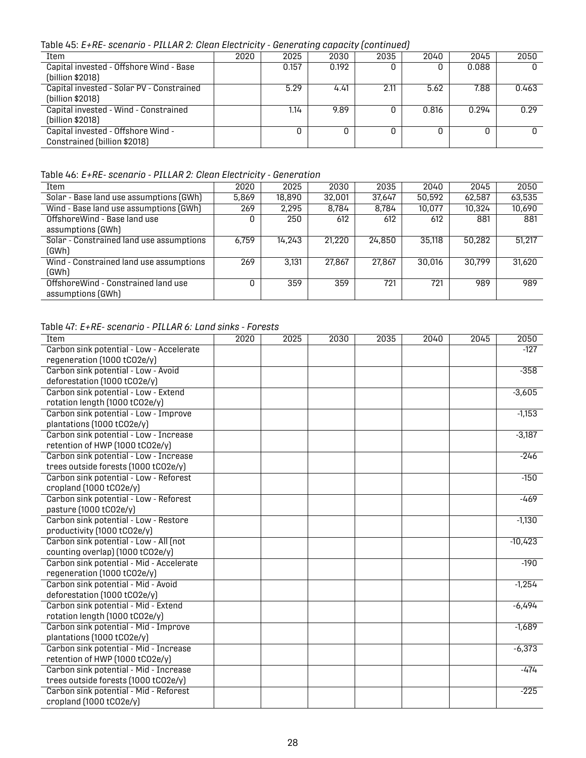Table 45: *E+RE- scenario - PILLAR 2: Clean Electricity - Generating capacity (continued)*

| Item                                                               | 2020 | 2025  | 2030  | 2035 | 2040  | 2045  | 2050  |  |
|--------------------------------------------------------------------|------|-------|-------|------|-------|-------|-------|--|
| Capital invested - Offshore Wind - Base<br>(billion \$2018)        |      | 0.157 | 0.192 |      |       | 0.088 |       |  |
| Capital invested - Solar PV - Constrained<br>(billion \$2018)      |      | 5.29  | 4.41  | 2.11 | 5.62  | 7.88  | 0.463 |  |
| Capital invested - Wind - Constrained<br>(billion \$2018)          |      | 1.14  | 9.89  |      | 0.816 | 0.294 | 0.29  |  |
| Capital invested - Offshore Wind -<br>Constrained (billion \$2018) |      |       |       |      |       |       |       |  |

#### <span id="page-30-0"></span>Table 46: *E+RE- scenario - PILLAR 2: Clean Electricity - Generation*

| Item                                     | 2020  | 2025   | 2030   | 2035   | 2040   | 2045   | 2050   |
|------------------------------------------|-------|--------|--------|--------|--------|--------|--------|
| Solar - Base land use assumptions (GWh)  | 5,869 | 18,890 | 32,001 | 37.647 | 50,592 | 62,587 | 63,535 |
| Wind - Base land use assumptions (GWh)   | 269   | 2,295  | 8.784  | 8.784  | 10,077 | 10.324 | 10,690 |
| Offshore Wind - Base land use            | O     | 250    | 612    | 612    | 612    | 881    | 881    |
| assumptions (GWh)                        |       |        |        |        |        |        |        |
| Solar - Constrained land use assumptions | 6,759 | 14,243 | 21,220 | 24,850 | 35,118 | 50,282 | 51,217 |
| (GWh)                                    |       |        |        |        |        |        |        |
| Wind - Constrained land use assumptions  | 269   | 3.131  | 27,867 | 27,867 | 30,016 | 30.799 | 31,620 |
| (GWh)                                    |       |        |        |        |        |        |        |
| OffshoreWind - Constrained land use      | N     | 359    | 359    | 721    | 721    | 989    | 989    |
| assumptions (GWh)                        |       |        |        |        |        |        |        |

#### <span id="page-30-1"></span>Table 47: *E+RE- scenario - PILLAR 6: Land sinks - Forests*

| Item                                     | 2020 | 2025 | 2030 | 2035 | 2040 | 2045 | 2050      |
|------------------------------------------|------|------|------|------|------|------|-----------|
| Carbon sink potential - Low - Accelerate |      |      |      |      |      |      | $-127$    |
| regeneration (1000 tCO2e/y)              |      |      |      |      |      |      |           |
| Carbon sink potential - Low - Avoid      |      |      |      |      |      |      | $-358$    |
| deforestation (1000 tCO2e/y)             |      |      |      |      |      |      |           |
| Carbon sink potential - Low - Extend     |      |      |      |      |      |      | $-3,605$  |
| rotation length (1000 tCO2e/y)           |      |      |      |      |      |      |           |
| Carbon sink potential - Low - Improve    |      |      |      |      |      |      | $-1,153$  |
| plantations (1000 tCO2e/y)               |      |      |      |      |      |      |           |
| Carbon sink potential - Low - Increase   |      |      |      |      |      |      | $-3,187$  |
| retention of HWP (1000 tCO2e/y)          |      |      |      |      |      |      |           |
| Carbon sink potential - Low - Increase   |      |      |      |      |      |      | $-246$    |
| trees outside forests (1000 tCO2e/y)     |      |      |      |      |      |      |           |
| Carbon sink potential - Low - Reforest   |      |      |      |      |      |      | $-150$    |
| cropland (1000 tCO2e/y)                  |      |      |      |      |      |      |           |
| Carbon sink potential - Low - Reforest   |      |      |      |      |      |      | -469      |
| pasture (1000 tCO2e/y)                   |      |      |      |      |      |      |           |
| Carbon sink potential - Low - Restore    |      |      |      |      |      |      | $-1,130$  |
| productivity (1000 tCO2e/y)              |      |      |      |      |      |      |           |
| Carbon sink potential - Low - All (not   |      |      |      |      |      |      | $-10,423$ |
| counting overlap) (1000 tCO2e/y)         |      |      |      |      |      |      |           |
| Carbon sink potential - Mid - Accelerate |      |      |      |      |      |      | $-190$    |
| regeneration (1000 tCO2e/y)              |      |      |      |      |      |      |           |
| Carbon sink potential - Mid - Avoid      |      |      |      |      |      |      | $-1,254$  |
| deforestation (1000 tCO2e/y)             |      |      |      |      |      |      |           |
| Carbon sink potential - Mid - Extend     |      |      |      |      |      |      | $-6,494$  |
| rotation length (1000 tCO2e/y)           |      |      |      |      |      |      |           |
| Carbon sink potential - Mid - Improve    |      |      |      |      |      |      | $-1,689$  |
| plantations (1000 tCO2e/y)               |      |      |      |      |      |      |           |
| Carbon sink potential - Mid - Increase   |      |      |      |      |      |      | $-6,373$  |
| retention of HWP (1000 tCO2e/y)          |      |      |      |      |      |      |           |
| Carbon sink potential - Mid - Increase   |      |      |      |      |      |      | $-474$    |
| trees outside forests (1000 tCO2e/y)     |      |      |      |      |      |      |           |
| Carbon sink potential - Mid - Reforest   |      |      |      |      |      |      | $-225$    |
| cropland (1000 tCO2e/y)                  |      |      |      |      |      |      |           |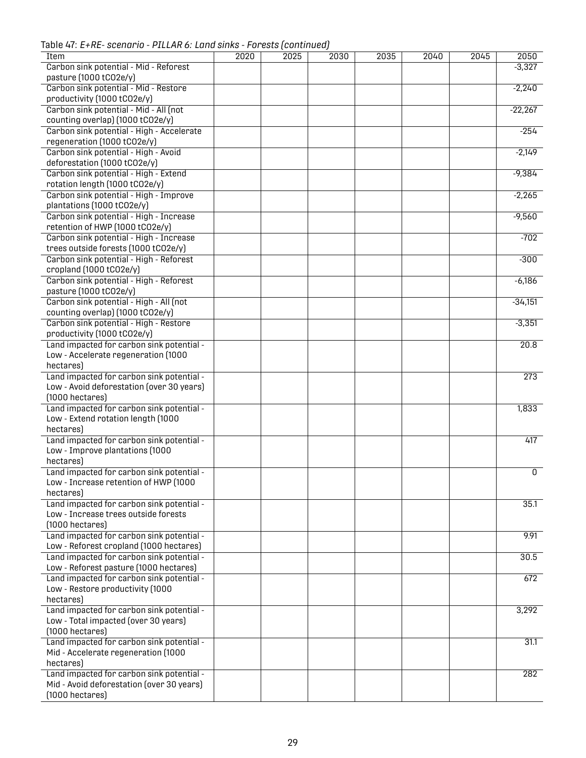Table 47: *E+RE- scenario - PILLAR 6: Land sinks - Forests (continued)*

| Item                                      | 2020 | 2025 | 2030 | 2035 | 2040 | 2045 | 2050             |
|-------------------------------------------|------|------|------|------|------|------|------------------|
| Carbon sink potential - Mid - Reforest    |      |      |      |      |      |      | $-3,327$         |
| pasture (1000 tCO2e/y)                    |      |      |      |      |      |      |                  |
| Carbon sink potential - Mid - Restore     |      |      |      |      |      |      | $-2,240$         |
|                                           |      |      |      |      |      |      |                  |
| productivity (1000 tCO2e/y)               |      |      |      |      |      |      |                  |
| Carbon sink potential - Mid - All (not    |      |      |      |      |      |      | $-22,267$        |
| counting overlap) (1000 tCO2e/y)          |      |      |      |      |      |      |                  |
| Carbon sink potential - High - Accelerate |      |      |      |      |      |      | $-254$           |
| regeneration (1000 tCO2e/y)               |      |      |      |      |      |      |                  |
| Carbon sink potential - High - Avoid      |      |      |      |      |      |      | $-2,149$         |
| deforestation (1000 tCO2e/y)              |      |      |      |      |      |      |                  |
| Carbon sink potential - High - Extend     |      |      |      |      |      |      | $-9,384$         |
| rotation length (1000 tCO2e/y)            |      |      |      |      |      |      |                  |
| Carbon sink potential - High - Improve    |      |      |      |      |      |      | $-2,265$         |
| plantations (1000 tCO2e/y)                |      |      |      |      |      |      |                  |
| Carbon sink potential - High - Increase   |      |      |      |      |      |      | $-9,560$         |
| retention of HWP (1000 tCO2e/y)           |      |      |      |      |      |      |                  |
| Carbon sink potential - High - Increase   |      |      |      |      |      |      | $-702$           |
| trees outside forests (1000 tCO2e/y)      |      |      |      |      |      |      |                  |
| Carbon sink potential - High - Reforest   |      |      |      |      |      |      | $-300$           |
|                                           |      |      |      |      |      |      |                  |
| cropland (1000 tCO2e/y)                   |      |      |      |      |      |      |                  |
| Carbon sink potential - High - Reforest   |      |      |      |      |      |      | $-6,186$         |
| pasture (1000 tCO2e/y)                    |      |      |      |      |      |      |                  |
| Carbon sink potential - High - All (not   |      |      |      |      |      |      | $-34,151$        |
| counting overlap) (1000 tCO2e/y)          |      |      |      |      |      |      |                  |
| Carbon sink potential - High - Restore    |      |      |      |      |      |      | $-3,351$         |
| productivity (1000 tCO2e/y)               |      |      |      |      |      |      |                  |
| Land impacted for carbon sink potential - |      |      |      |      |      |      | 20.8             |
| Low - Accelerate regeneration (1000       |      |      |      |      |      |      |                  |
| hectares)                                 |      |      |      |      |      |      |                  |
| Land impacted for carbon sink potential - |      |      |      |      |      |      | $\overline{273}$ |
| Low - Avoid deforestation (over 30 years) |      |      |      |      |      |      |                  |
| $(1000$ hectares)                         |      |      |      |      |      |      |                  |
| Land impacted for carbon sink potential - |      |      |      |      |      |      | 1,833            |
| Low - Extend rotation length (1000        |      |      |      |      |      |      |                  |
| hectares)                                 |      |      |      |      |      |      |                  |
| Land impacted for carbon sink potential - |      |      |      |      |      |      | 417              |
| Low - Improve plantations (1000           |      |      |      |      |      |      |                  |
| hectares)                                 |      |      |      |      |      |      |                  |
| Land impacted for carbon sink potential - |      |      |      |      |      |      |                  |
|                                           |      |      |      |      |      |      | 0                |
| Low - Increase retention of HWP (1000     |      |      |      |      |      |      |                  |
| hectares)                                 |      |      |      |      |      |      |                  |
| Land impacted for carbon sink potential - |      |      |      |      |      |      | 35.1             |
| Low - Increase trees outside forests      |      |      |      |      |      |      |                  |
| $(1000$ hectares)                         |      |      |      |      |      |      |                  |
| Land impacted for carbon sink potential - |      |      |      |      |      |      | 9.91             |
| Low - Reforest cropland (1000 hectares)   |      |      |      |      |      |      |                  |
| Land impacted for carbon sink potential - |      |      |      |      |      |      | 30.5             |
| Low - Reforest pasture (1000 hectares)    |      |      |      |      |      |      |                  |
| Land impacted for carbon sink potential - |      |      |      |      |      |      | 672              |
| Low - Restore productivity (1000          |      |      |      |      |      |      |                  |
| hectares)                                 |      |      |      |      |      |      |                  |
| Land impacted for carbon sink potential - |      |      |      |      |      |      | 3,292            |
| Low - Total impacted (over 30 years)      |      |      |      |      |      |      |                  |
| $(1000$ hectares)                         |      |      |      |      |      |      |                  |
| Land impacted for carbon sink potential - |      |      |      |      |      |      | 31.1             |
| Mid - Accelerate regeneration (1000       |      |      |      |      |      |      |                  |
| hectares)                                 |      |      |      |      |      |      |                  |
| Land impacted for carbon sink potential - |      |      |      |      |      |      | 282              |
|                                           |      |      |      |      |      |      |                  |
| Mid - Avoid deforestation (over 30 years) |      |      |      |      |      |      |                  |
| $(1000$ hectares)                         |      |      |      |      |      |      |                  |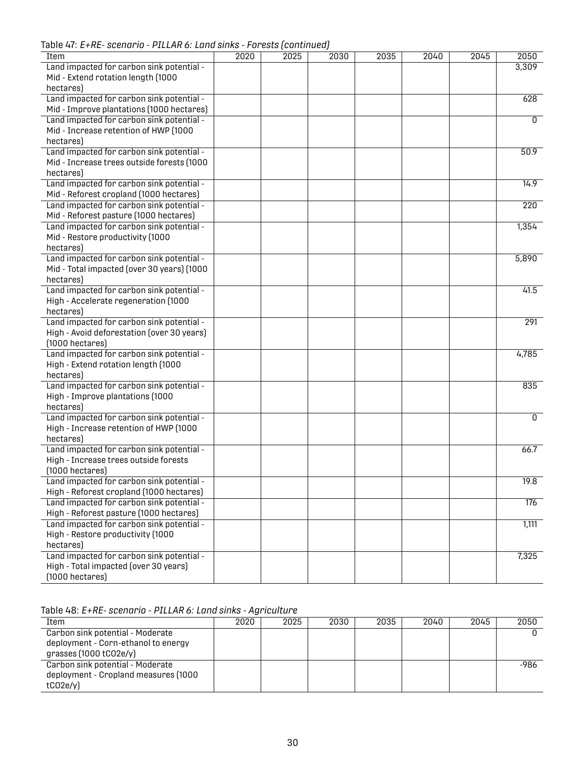Table 47: *E+RE- scenario - PILLAR 6: Land sinks - Forests (continued)*

| abic +i. L The Scenario Treems of Edita Sinks Troncsts (continued) |      |      |      |      |      |      |                |
|--------------------------------------------------------------------|------|------|------|------|------|------|----------------|
| Item                                                               | 2020 | 2025 | 2030 | 2035 | 2040 | 2045 | 2050           |
| Land impacted for carbon sink potential -                          |      |      |      |      |      |      | 3,309          |
| Mid - Extend rotation length (1000                                 |      |      |      |      |      |      |                |
| hectares)                                                          |      |      |      |      |      |      |                |
| Land impacted for carbon sink potential -                          |      |      |      |      |      |      | 628            |
| Mid - Improve plantations (1000 hectares)                          |      |      |      |      |      |      |                |
| Land impacted for carbon sink potential -                          |      |      |      |      |      |      | $\overline{0}$ |
| Mid - Increase retention of HWP (1000                              |      |      |      |      |      |      |                |
| hectares)                                                          |      |      |      |      |      |      |                |
| Land impacted for carbon sink potential -                          |      |      |      |      |      |      | 50.9           |
| Mid - Increase trees outside forests (1000                         |      |      |      |      |      |      |                |
| hectares)                                                          |      |      |      |      |      |      |                |
| Land impacted for carbon sink potential -                          |      |      |      |      |      |      | 14.9           |
| Mid - Reforest cropland (1000 hectares)                            |      |      |      |      |      |      |                |
| Land impacted for carbon sink potential -                          |      |      |      |      |      |      | 220            |
| Mid - Reforest pasture (1000 hectares)                             |      |      |      |      |      |      |                |
| Land impacted for carbon sink potential -                          |      |      |      |      |      |      | 1,354          |
| Mid - Restore productivity (1000                                   |      |      |      |      |      |      |                |
| hectares)                                                          |      |      |      |      |      |      |                |
| Land impacted for carbon sink potential -                          |      |      |      |      |      |      | 5,890          |
| Mid - Total impacted (over 30 years) (1000                         |      |      |      |      |      |      |                |
| hectares)                                                          |      |      |      |      |      |      |                |
| Land impacted for carbon sink potential -                          |      |      |      |      |      |      | 41.5           |
| High - Accelerate regeneration (1000                               |      |      |      |      |      |      |                |
| hectares)                                                          |      |      |      |      |      |      |                |
| Land impacted for carbon sink potential -                          |      |      |      |      |      |      | 291            |
| High - Avoid deforestation (over 30 years)                         |      |      |      |      |      |      |                |
| $(1000$ hectares)                                                  |      |      |      |      |      |      |                |
| Land impacted for carbon sink potential -                          |      |      |      |      |      |      | 4,785          |
| High - Extend rotation length (1000                                |      |      |      |      |      |      |                |
| hectares)                                                          |      |      |      |      |      |      |                |
| Land impacted for carbon sink potential -                          |      |      |      |      |      |      | 835            |
| High - Improve plantations (1000                                   |      |      |      |      |      |      |                |
| hectares)                                                          |      |      |      |      |      |      |                |
| Land impacted for carbon sink potential -                          |      |      |      |      |      |      | 0              |
| High - Increase retention of HWP (1000                             |      |      |      |      |      |      |                |
| hectares)                                                          |      |      |      |      |      |      |                |
| Land impacted for carbon sink potential -                          |      |      |      |      |      |      | 66.7           |
| High - Increase trees outside forests                              |      |      |      |      |      |      |                |
| $(1000$ hectares)                                                  |      |      |      |      |      |      |                |
| Land impacted for carbon sink potential -                          |      |      |      |      |      |      | 19.8           |
| High - Reforest cropland (1000 hectares)                           |      |      |      |      |      |      |                |
| Land impacted for carbon sink potential -                          |      |      |      |      |      |      | 176            |
| High - Reforest pasture (1000 hectares)                            |      |      |      |      |      |      |                |
| Land impacted for carbon sink potential -                          |      |      |      |      |      |      | 1,111          |
| High - Restore productivity (1000                                  |      |      |      |      |      |      |                |
| hectares)                                                          |      |      |      |      |      |      |                |
| Land impacted for carbon sink potential -                          |      |      |      |      |      |      | 7,325          |
| High - Total impacted (over 30 years)                              |      |      |      |      |      |      |                |
| (1000 hectares)                                                    |      |      |      |      |      |      |                |

<span id="page-32-0"></span>Table 48: *E+RE- scenario - PILLAR 6: Land sinks - Agriculture*

| Item                                 | 2020 | 2025 | 2030 | 2035 | 2040 | 2045 | 2050 |
|--------------------------------------|------|------|------|------|------|------|------|
| Carbon sink potential - Moderate     |      |      |      |      |      |      |      |
| deployment - Corn-ethanol to energy  |      |      |      |      |      |      |      |
| grasses (1000 tCO2e/y)               |      |      |      |      |      |      |      |
| Carbon sink potential - Moderate     |      |      |      |      |      |      | -986 |
| deployment - Cropland measures (1000 |      |      |      |      |      |      |      |
| tCO2e/y                              |      |      |      |      |      |      |      |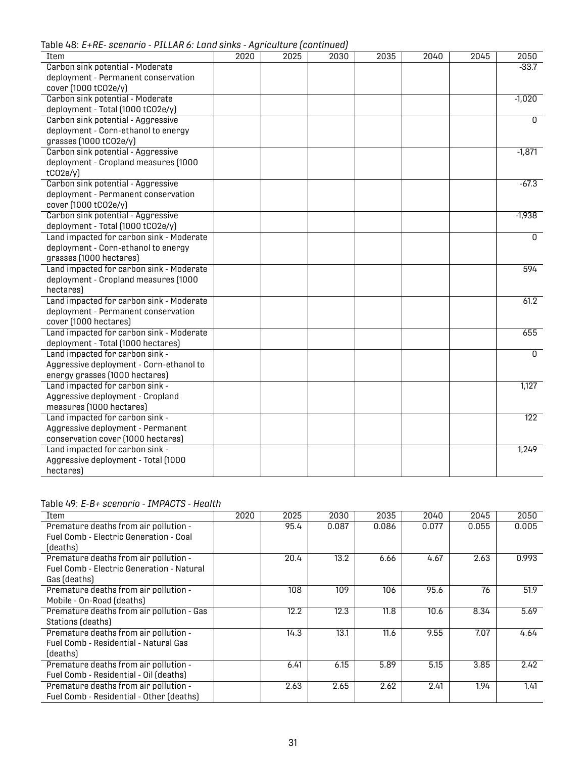Table 48: *E+RE- scenario - PILLAR 6: Land sinks - Agriculture (continued)*

|                                          |      | rightourent of continuour |      |      |      |      |                  |
|------------------------------------------|------|---------------------------|------|------|------|------|------------------|
| Item                                     | 2020 | 2025                      | 2030 | 2035 | 2040 | 2045 | 2050             |
| Carbon sink potential - Moderate         |      |                           |      |      |      |      | $-33.7$          |
| deployment - Permanent conservation      |      |                           |      |      |      |      |                  |
| cover (1000 tCO2e/y)                     |      |                           |      |      |      |      |                  |
| Carbon sink potential - Moderate         |      |                           |      |      |      |      | $-1,020$         |
| deployment - Total (1000 tCO2e/y)        |      |                           |      |      |      |      |                  |
| Carbon sink potential - Aggressive       |      |                           |      |      |      |      | $\overline{0}$   |
| deployment - Corn-ethanol to energy      |      |                           |      |      |      |      |                  |
| grasses (1000 tC02e/y)                   |      |                           |      |      |      |      |                  |
| Carbon sink potential - Aggressive       |      |                           |      |      |      |      | $-1,871$         |
| deployment - Cropland measures (1000     |      |                           |      |      |      |      |                  |
| tCO2e/y                                  |      |                           |      |      |      |      |                  |
| Carbon sink potential - Aggressive       |      |                           |      |      |      |      | $-67.3$          |
| deployment - Permanent conservation      |      |                           |      |      |      |      |                  |
| cover (1000 tCO2e/y)                     |      |                           |      |      |      |      |                  |
| Carbon sink potential - Aggressive       |      |                           |      |      |      |      | $-1,938$         |
| deployment - Total (1000 tCO2e/y)        |      |                           |      |      |      |      |                  |
| Land impacted for carbon sink - Moderate |      |                           |      |      |      |      | $\overline{0}$   |
| deployment - Corn-ethanol to energy      |      |                           |      |      |      |      |                  |
| grasses (1000 hectares)                  |      |                           |      |      |      |      |                  |
| Land impacted for carbon sink - Moderate |      |                           |      |      |      |      | 594              |
| deployment - Cropland measures (1000     |      |                           |      |      |      |      |                  |
| hectares)                                |      |                           |      |      |      |      |                  |
| Land impacted for carbon sink - Moderate |      |                           |      |      |      |      | 61.2             |
| deployment - Permanent conservation      |      |                           |      |      |      |      |                  |
| cover (1000 hectares)                    |      |                           |      |      |      |      |                  |
| Land impacted for carbon sink - Moderate |      |                           |      |      |      |      | 655              |
| deployment - Total (1000 hectares)       |      |                           |      |      |      |      |                  |
| Land impacted for carbon sink -          |      |                           |      |      |      |      | $\overline{0}$   |
| Aggressive deployment - Corn-ethanol to  |      |                           |      |      |      |      |                  |
| energy grasses (1000 hectares)           |      |                           |      |      |      |      |                  |
| Land impacted for carbon sink -          |      |                           |      |      |      |      | 1,127            |
| Aggressive deployment - Cropland         |      |                           |      |      |      |      |                  |
| measures (1000 hectares)                 |      |                           |      |      |      |      |                  |
| Land impacted for carbon sink -          |      |                           |      |      |      |      | $\overline{122}$ |
| Aggressive deployment - Permanent        |      |                           |      |      |      |      |                  |
| conservation cover (1000 hectares)       |      |                           |      |      |      |      |                  |
| Land impacted for carbon sink -          |      |                           |      |      |      |      | 1,249            |
| Aggressive deployment - Total (1000      |      |                           |      |      |      |      |                  |
| hectares)                                |      |                           |      |      |      |      |                  |

#### <span id="page-33-0"></span>Table 49: *E-B+ scenario - IMPACTS - Health*

| Item                                             | 2020 | 2025 | 2030  | 2035  | 2040  | 2045  | 2050  |
|--------------------------------------------------|------|------|-------|-------|-------|-------|-------|
| Premature deaths from air pollution -            |      | 95.4 | 0.087 | 0.086 | 0.077 | 0.055 | 0.005 |
| Fuel Comb - Electric Generation - Coal           |      |      |       |       |       |       |       |
| (deaths)                                         |      |      |       |       |       |       |       |
| Premature deaths from air pollution -            |      | 20.4 | 13.2  | 6.66  | 4.67  | 2.63  | 0.993 |
| <b>Fuel Comb - Electric Generation - Natural</b> |      |      |       |       |       |       |       |
| Gas (deaths)                                     |      |      |       |       |       |       |       |
| Premature deaths from air pollution -            |      | 108  | 109   | 106   | 95.6  | 76    | 51.9  |
| Mobile - On-Road (deaths)                        |      |      |       |       |       |       |       |
| Premature deaths from air pollution - Gas        |      | 12.2 | 12.3  | 11.8  | 10.6  | 8.34  | 5.69  |
| Stations (deaths)                                |      |      |       |       |       |       |       |
| Premature deaths from air pollution -            |      | 14.3 | 13.1  | 11.6  | 9.55  | 7.07  | 4.64  |
| Fuel Comb - Residential - Natural Gas            |      |      |       |       |       |       |       |
| (deaths)                                         |      |      |       |       |       |       |       |
| Premature deaths from air pollution -            |      | 6.41 | 6.15  | 5.89  | 5.15  | 3.85  | 2.42  |
| Fuel Comb - Residential - Oil (deaths)           |      |      |       |       |       |       |       |
| Premature deaths from air pollution -            |      | 2.63 | 2.65  | 2.62  | 2.41  | 1.94  | 1.41  |
| Fuel Comb - Residential - Other (deaths)         |      |      |       |       |       |       |       |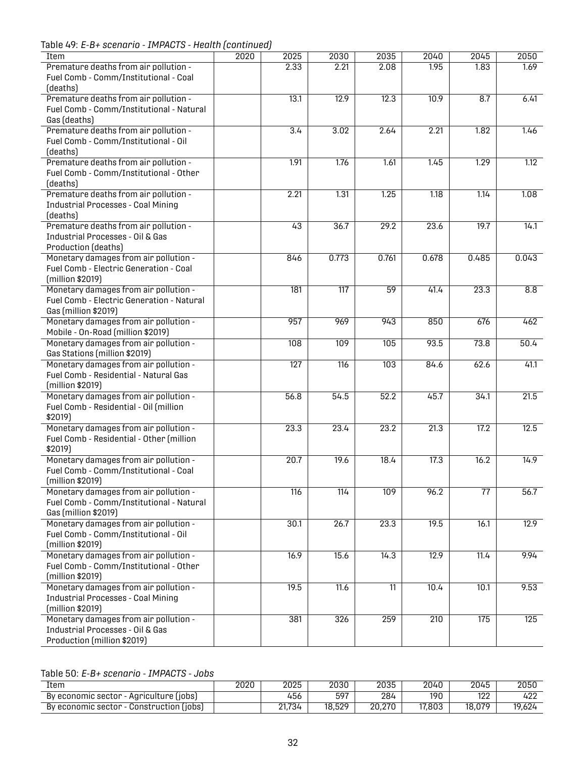Table 49: *E-B+ scenario - IMPACTS - Health (continued)*

| Item                                        | 2020 | 2025             | 2030             | 2035            | 2040  | 2045            | 2050              |
|---------------------------------------------|------|------------------|------------------|-----------------|-------|-----------------|-------------------|
| Premature deaths from air pollution -       |      | 2.33             | 2.21             | 2.08            | 1.95  | 1.83            | 1.69              |
| Fuel Comb - Comm/Institutional - Coal       |      |                  |                  |                 |       |                 |                   |
| (deaths)                                    |      |                  |                  |                 |       |                 |                   |
| Premature deaths from air pollution -       |      | 13.1             | 12.9             | 12.3            | 10.9  | 8.7             | 6.41              |
| Fuel Comb - Comm/Institutional - Natural    |      |                  |                  |                 |       |                 |                   |
| Gas (deaths)                                |      |                  |                  |                 |       |                 |                   |
| Premature deaths from air pollution -       |      | 3.4              | 3.02             | 2.64            | 2.21  | 1.82            | 1.46              |
| Fuel Comb - Comm/Institutional - Oil        |      |                  |                  |                 |       |                 |                   |
|                                             |      |                  |                  |                 |       |                 |                   |
| (deaths)                                    |      |                  |                  |                 |       |                 |                   |
| Premature deaths from air pollution -       |      | 1.91             | 1.76             | 1.61            | 1.45  | 1.29            | 1.12              |
| Fuel Comb - Comm/Institutional - Other      |      |                  |                  |                 |       |                 |                   |
| (deaths)                                    |      |                  |                  |                 |       |                 |                   |
| Premature deaths from air pollution -       |      | 2.21             | 1.31             | 1.25            | 1.18  | 1.14            | 1.08              |
| <b>Industrial Processes - Coal Mining</b>   |      |                  |                  |                 |       |                 |                   |
| (deaths)                                    |      |                  |                  |                 |       |                 |                   |
| Premature deaths from air pollution -       |      | 43               | 36.7             | 29.2            | 23.6  | 19.7            | 14.1              |
| <b>Industrial Processes - Oil &amp; Gas</b> |      |                  |                  |                 |       |                 |                   |
| Production (deaths)                         |      |                  |                  |                 |       |                 |                   |
| Monetary damages from air pollution -       |      | 846              | 0.773            | 0.761           | 0.678 | 0.485           | 0.043             |
| Fuel Comb - Electric Generation - Coal      |      |                  |                  |                 |       |                 |                   |
|                                             |      |                  |                  |                 |       |                 |                   |
| (million \$2019)                            |      |                  |                  |                 |       |                 |                   |
| Monetary damages from air pollution -       |      | 181              | $\overline{117}$ | 59              | 41.4  | 23.3            | 8.8               |
| Fuel Comb - Electric Generation - Natural   |      |                  |                  |                 |       |                 |                   |
| Gas (million \$2019)                        |      |                  |                  |                 |       |                 |                   |
| Monetary damages from air pollution -       |      | 957              | 969              | 943             | 850   | 676             | 462               |
| Mobile - On-Road (million \$2019)           |      |                  |                  |                 |       |                 |                   |
| Monetary damages from air pollution -       |      | 108              | 109              | 105             | 93.5  | 73.8            | 50.4              |
| Gas Stations (million \$2019)               |      |                  |                  |                 |       |                 |                   |
| Monetary damages from air pollution -       |      | 127              | $\overline{116}$ | 103             | 84.6  | 62.6            | 41.1              |
| Fuel Comb - Residential - Natural Gas       |      |                  |                  |                 |       |                 |                   |
| (million \$2019)                            |      |                  |                  |                 |       |                 |                   |
|                                             |      |                  |                  |                 |       |                 |                   |
| Monetary damages from air pollution -       |      | 56.8             | 54.5             | 52.2            | 45.7  | 34.1            | 21.5              |
| Fuel Comb - Residential - Oil (million      |      |                  |                  |                 |       |                 |                   |
| \$2019)                                     |      |                  |                  |                 |       |                 |                   |
| Monetary damages from air pollution -       |      | 23.3             | 23.4             | 23.2            | 21.3  | 17.2            | 12.5              |
| Fuel Comb - Residential - Other (million    |      |                  |                  |                 |       |                 |                   |
| \$2019)                                     |      |                  |                  |                 |       |                 |                   |
| Monetary damages from air pollution -       |      | 20.7             | 19.6             | 18.4            | 17.3  | 16.2            | 14.9              |
| Fuel Comb - Comm/Institutional - Coal       |      |                  |                  |                 |       |                 |                   |
| (million \$2019)                            |      |                  |                  |                 |       |                 |                   |
| Monetary damages from air pollution -       |      | $\overline{116}$ | 114              | 109             | 96.2  | $\overline{77}$ | $\overline{56.7}$ |
| Fuel Comb - Comm/Institutional - Natural    |      |                  |                  |                 |       |                 |                   |
| Gas (million \$2019)                        |      |                  |                  |                 |       |                 |                   |
| Monetary damages from air pollution -       |      |                  |                  | 23.3            |       |                 | 12.9              |
|                                             |      | 30.1             | 26.7             |                 | 19.5  | 16.1            |                   |
| Fuel Comb - Comm/Institutional - Oil        |      |                  |                  |                 |       |                 |                   |
| (million \$2019)                            |      |                  |                  |                 |       |                 |                   |
| Monetary damages from air pollution -       |      | 16.9             | 15.6             | 14.3            | 12.9  | 11.4            | 9.94              |
| Fuel Comb - Comm/Institutional - Other      |      |                  |                  |                 |       |                 |                   |
| (million \$2019)                            |      |                  |                  |                 |       |                 |                   |
| Monetary damages from air pollution -       |      | 19.5             | 11.6             | $\overline{11}$ | 10.4  | 10.1            | 9.53              |
| <b>Industrial Processes - Coal Mining</b>   |      |                  |                  |                 |       |                 |                   |
| (million \$2019)                            |      |                  |                  |                 |       |                 |                   |
| Monetary damages from air pollution -       |      | 381              | 326              | 259             | 210   | 175             | 125               |
| <b>Industrial Processes - Oil &amp; Gas</b> |      |                  |                  |                 |       |                 |                   |
| Production (million \$2019)                 |      |                  |                  |                 |       |                 |                   |
|                                             |      |                  |                  |                 |       |                 |                   |

<span id="page-34-0"></span>Table 50: *E-B+ scenario - IMPACTS - Jobs*

| Item                                                   | 2020 | 2025   | 2030   | 2035   | 2040   | 2045       | 2050   |
|--------------------------------------------------------|------|--------|--------|--------|--------|------------|--------|
| By economic sector<br>· Agriculture (jobs)             |      | 456    | 597    | 284    | 190    | 100<br>IZZ | 422    |
| Construction (jobs)<br>By economic sector <sub>:</sub> |      | 21,734 | 18,529 | 20,270 | 17,803 | 18,079     | 19,624 |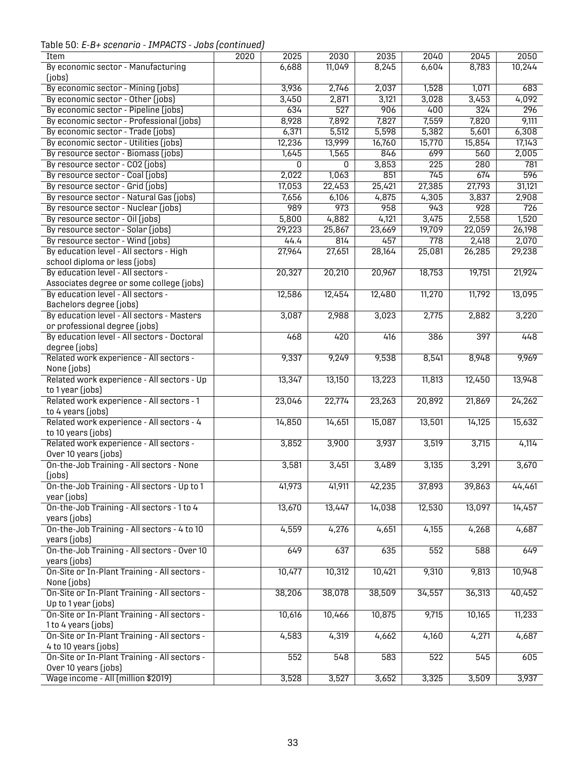Table 50: *E-B+ scenario - IMPACTS - Jobs (continued)*

<span id="page-35-0"></span>

| Item                                                      | 2020 | 2025           | 2030           | 2035             | 2040   | 2045   | 2050             |
|-----------------------------------------------------------|------|----------------|----------------|------------------|--------|--------|------------------|
| By economic sector - Manufacturing                        |      | 6,688          | 11,049         | 8,245            | 6,604  | 8,783  | 10,244           |
| ( jobs)                                                   |      |                |                |                  |        |        |                  |
| By economic sector - Mining (jobs)                        |      | 3,936          | 2,746          | 2,037            | 1,528  | 1,071  | 683              |
| By economic sector - Other (jobs)                         |      | 3,450          | 2,871          | 3,121            | 3,028  | 3,453  | 4,092            |
| By economic sector - Pipeline (jobs)                      |      | 634            | 527            | 906              | 400    | 324    | 296              |
| By economic sector - Professional (jobs)                  |      | 8,928          | 7,892          | 7,827            | 7,559  | 7,820  | 9,111            |
| By economic sector - Trade (jobs)                         |      | 6,371          | 5,512          | 5,598            | 5,382  | 5,601  | 6,308            |
| By economic sector - Utilities (jobs)                     |      | 12,236         | 13,999         | 16,760           | 15,770 | 15,854 | 17,143           |
| By resource sector - Biomass (jobs)                       |      | 1,645          | 1,565          | 846              | 699    | 560    | 2,005            |
| By resource sector - CO2 (jobs)                           |      | $\overline{0}$ | $\overline{0}$ | 3,853            | 225    | 280    | 781              |
| By resource sector - Coal (jobs)                          |      | 2,022          | 1,063          | 851              | 745    | 674    | 596              |
| By resource sector - Grid (jobs)                          |      | 17,053         | 22,453         | 25,421           | 27,385 | 27,793 | 31,121           |
| By resource sector - Natural Gas (jobs)                   |      | 7,656          | 6,106          | 4,875            | 4,305  | 3,837  | 2,908            |
| By resource sector - Nuclear (jobs)                       |      | 989            | 973            | $\overline{958}$ | 943    | 928    | $\overline{726}$ |
| By resource sector - Oil (jobs)                           |      | 5,800          | 4,882          | 4,121            | 3,475  | 2,558  | 1,520            |
| By resource sector - Solar (jobs)                         |      | 29,223         | 25,867         | 23,669           | 19,709 | 22,059 | 26,198           |
| By resource sector - Wind (jobs)                          |      | 44.4           | 814            | 457              | 778    | 2,418  | 2,070            |
| By education level - All sectors - High                   |      | 27,964         | 27,651         | 28,164           | 25,081 | 26,285 | 29,238           |
| school diploma or less (jobs)                             |      |                |                |                  |        |        |                  |
| By education level - All sectors -                        |      | 20,327         | 20,210         | 20,967           | 18,753 | 19,751 | 21,924           |
| Associates degree or some college (jobs)                  |      |                |                |                  |        |        |                  |
| By education level - All sectors -                        |      | 12,586         | 12,454         | 12,480           | 11,270 | 11,792 | 13,095           |
| Bachelors degree (jobs)                                   |      |                |                |                  |        |        |                  |
| By education level - All sectors - Masters                |      | 3,087          | 2,988          | 3,023            | 2,775  | 2,882  | 3,220            |
| or professional degree (jobs)                             |      |                |                |                  |        |        |                  |
| By education level - All sectors - Doctoral               |      | 468            | 420            | 416              | 386    | 397    | 448              |
| degree (jobs)                                             |      |                |                |                  |        |        |                  |
| Related work experience - All sectors -                   |      | 9,337          | 9,249          | 9,538            | 8,541  | 8,948  | 9,969            |
| None (jobs)                                               |      |                |                |                  |        |        |                  |
| Related work experience - All sectors - Up                |      | 13,347         | 13,150         | 13,223           | 11,813 | 12,450 | 13,948           |
| to 1 year (jobs)                                          |      |                |                |                  |        |        |                  |
| Related work experience - All sectors - 1                 |      | 23,046         | 22,774         | 23,263           | 20,892 | 21,869 | 24,262           |
| to 4 years (jobs)                                         |      |                |                |                  |        |        |                  |
| Related work experience - All sectors - 4                 |      | 14,850         | 14,651         | 15,087           | 13,501 | 14,125 | 15,632           |
| to 10 years (jobs)                                        |      |                |                |                  |        |        |                  |
| Related work experience - All sectors -                   |      | 3,852          | 3,900          | 3,937            | 3,519  | 3,715  | 4,114            |
| Over 10 years (jobs)                                      |      |                |                |                  |        |        |                  |
| On-the-Job Training - All sectors - None                  |      | 3,581          | 3,451          | 3,489            | 3,135  | 3,291  | 3,670            |
| (jobs)                                                    |      |                |                |                  |        |        |                  |
| On-the-Job Training - All sectors - Up to 1               |      | 41,973         | 41,911         | 42,235           | 37,893 | 39,863 | 44,461           |
| year (jobs)<br>On-the-Job Training - All sectors - 1 to 4 |      | 13,670         | 13,447         | 14,038           | 12,530 | 13,097 | 14,457           |
| years (jobs)                                              |      |                |                |                  |        |        |                  |
| On-the-Job Training - All sectors - 4 to 10               |      | 4,559          | 4,276          | 4,651            | 4,155  | 4,268  | 4,687            |
| years (jobs)                                              |      |                |                |                  |        |        |                  |
| On-the-Job Training - All sectors - Over 10               |      | 649            | 637            | 635              | 552    | 588    | 649              |
| years (jobs)                                              |      |                |                |                  |        |        |                  |
| On-Site or In-Plant Training - All sectors -              |      | 10,477         | 10,312         | 10,421           | 9,310  | 9,813  | 10,948           |
| None (jobs)                                               |      |                |                |                  |        |        |                  |
| On-Site or In-Plant Training - All sectors -              |      | 38,206         | 38,078         | 38,509           | 34,557 | 36,313 | 40,452           |
| Up to 1 year (jobs)                                       |      |                |                |                  |        |        |                  |
| On-Site or In-Plant Training - All sectors -              |      | 10,616         | 10,466         | 10,875           | 9,715  | 10,165 | 11,233           |
| 1 to 4 years (jobs)                                       |      |                |                |                  |        |        |                  |
| On-Site or In-Plant Training - All sectors -              |      | 4,583          | 4,319          | 4,662            | 4,160  | 4,271  | 4,687            |
| 4 to 10 years (jobs)                                      |      |                |                |                  |        |        |                  |
| On-Site or In-Plant Training - All sectors -              |      | 552            | 548            | 583              | 522    | 545    | 605              |
| Over 10 years (jobs)                                      |      |                |                |                  |        |        |                  |
| Wage income - All (million \$2019)                        |      | 3,528          | 3,527          | 3,652            | 3,325  | 3,509  | 3,937            |
|                                                           |      |                |                |                  |        |        |                  |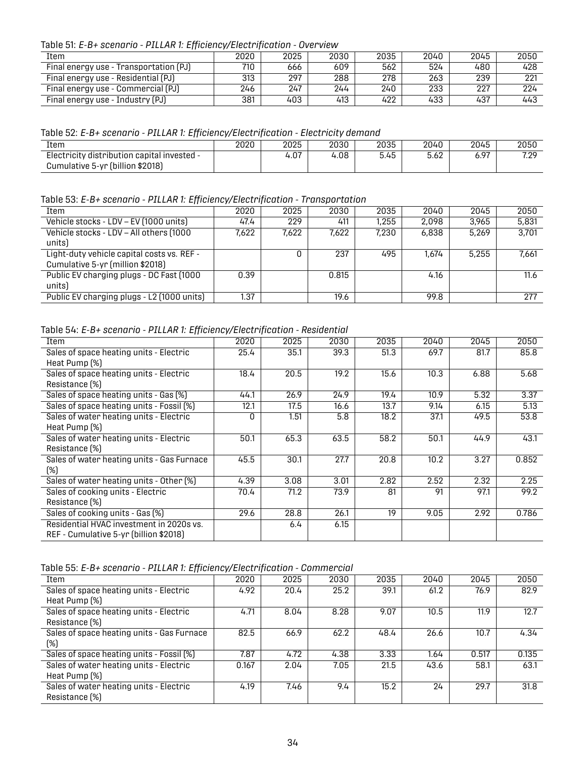Table 51: *E-B+ scenario - PILLAR 1: Efficiency/Electrification - Overview*

| Item                                   | 2020 | 2025 | 2030 | 2035 | 2040 | 2045 | 2050 |
|----------------------------------------|------|------|------|------|------|------|------|
| Final energy use - Transportation (PJ) | 710  | 666  | 609  | 562  | 524  | 480  | 428  |
| Final energy use - Residential (PJ)    | 313  | 297  | 288  | 278  | 263  | 239  | 221  |
| Final energy use - Commercial (PJ)     | 246  | 247  | 244  | 240  | 233  | 227  | 224  |
| Final energy use - Industry (PJ)       | 381  | 403  | 413  | 422  | 433  | 437  | 443  |

<span id="page-36-0"></span>Table 52: *E-B+ scenario - PILLAR 1: Efficiency/Electrification - Electricity demand*

| Item                                        | 2020 | 2025 | 2030 | 2035                 | 2040 | 2045 | 2050                |
|---------------------------------------------|------|------|------|----------------------|------|------|---------------------|
| Electricity distribution capital invested - |      | 4.07 | 4.08 | - <i>'</i> -<br>5.45 | 5.62 | 6.97 | 7 7 0<br>. <i>.</i> |
| Cumulative 5-yr (billion \$2018)            |      |      |      |                      |      |      |                     |

<span id="page-36-1"></span>Table 53: *E-B+ scenario - PILLAR 1: Efficiency/Electrification - Transportation*

| Item                                       | 2020  | 2025  | 2030  | 2035  | 2040  | 2045  | 2050  |
|--------------------------------------------|-------|-------|-------|-------|-------|-------|-------|
| Vehicle stocks - LDV - EV (1000 units)     | 47.4  | 229   | 411   | .255  | 2,098 | 3,965 | 5,831 |
| Vehicle stocks - LDV - All others (1000    | 7,622 | 7,622 | 7,622 | 7.230 | 6,838 | 5.269 | 3.701 |
| units)                                     |       |       |       |       |       |       |       |
| Light-duty vehicle capital costs vs. REF - |       |       | 237   | 495   | 1.674 | 5.255 | 7,661 |
| Cumulative 5-yr (million \$2018)           |       |       |       |       |       |       |       |
| Public EV charging plugs - DC Fast (1000   | 0.39  |       | 0.815 |       | 4.16  |       | 11.6  |
| units)                                     |       |       |       |       |       |       |       |
| Public EV charging plugs - L2 (1000 units) | 1.37  |       | 19.6  |       | 99.8  |       | 277   |

<span id="page-36-2"></span>Table 54: *E-B+ scenario - PILLAR 1: Efficiency/Electrification - Residential*

| Item                                       | 2020 | 2025 | 2030 | 2035 | 2040 | 2045 | 2050  |
|--------------------------------------------|------|------|------|------|------|------|-------|
| Sales of space heating units - Electric    | 25.4 | 35.1 | 39.3 | 51.3 | 69.7 | 81.7 | 85.8  |
| Heat Pump (%)                              |      |      |      |      |      |      |       |
| Sales of space heating units - Electric    | 18.4 | 20.5 | 19.2 | 15.6 | 10.3 | 6.88 | 5.68  |
| Resistance (%)                             |      |      |      |      |      |      |       |
| Sales of space heating units - Gas (%)     | 44.1 | 26.9 | 24.9 | 19.4 | 10.9 | 5.32 | 3.37  |
| Sales of space heating units - Fossil (%)  | 12.1 | 17.5 | 16.6 | 13.7 | 9.14 | 6.15 | 5.13  |
| Sales of water heating units - Electric    | O    | 1.51 | 5.8  | 18.2 | 37.1 | 49.5 | 53.8  |
| Heat Pump (%)                              |      |      |      |      |      |      |       |
| Sales of water heating units - Electric    | 50.1 | 65.3 | 63.5 | 58.2 | 50.1 | 44.9 | 43.1  |
| Resistance [%]                             |      |      |      |      |      |      |       |
| Sales of water heating units - Gas Furnace | 45.5 | 30.1 | 27.7 | 20.8 | 10.2 | 3.27 | 0.852 |
| (%)                                        |      |      |      |      |      |      |       |
| Sales of water heating units - Other [%]   | 4.39 | 3.08 | 3.01 | 2.82 | 2.52 | 2.32 | 2.25  |
| Sales of cooking units - Electric          | 70.4 | 71.2 | 73.9 | 81   | 91   | 97.1 | 99.2  |
| Resistance (%)                             |      |      |      |      |      |      |       |
| Sales of cooking units - Gas (%)           | 29.6 | 28.8 | 26.1 | 19   | 9.05 | 2.92 | 0.786 |
| Residential HVAC investment in 2020s vs.   |      | 6.4  | 6.15 |      |      |      |       |
| REF - Cumulative 5-yr (billion \$2018)     |      |      |      |      |      |      |       |

<span id="page-36-3"></span>Table 55: *E-B+ scenario - PILLAR 1: Efficiency/Electrification - Commercial*

| 2020  | 2025 |      |      | 2040 | 2045  | 2050  |
|-------|------|------|------|------|-------|-------|
| 4.92  | 20.4 | 25.2 | 39.1 | 61.2 | 76.9  | 82.9  |
|       |      |      |      |      |       |       |
| 4.71  | 8.04 | 8.28 | 9.07 | 10.5 | 11.9  | 12.7  |
|       |      |      |      |      |       |       |
| 82.5  | 66.9 | 62.2 | 48.4 | 26.6 | 10.7  | 4.34  |
|       |      |      |      |      |       |       |
| 7.87  | 4.72 | 4.38 | 3.33 | 1.64 | 0.517 | 0.135 |
| 0.167 | 2.04 | 7.05 | 21.5 | 43.6 | 58.1  | 63.1  |
|       |      |      |      |      |       |       |
| 4.19  | 7.46 | 9.4  | 15.2 | 24   | 29.7  | 31.8  |
|       |      |      |      |      |       |       |
|       |      |      | 2030 | 2035 |       |       |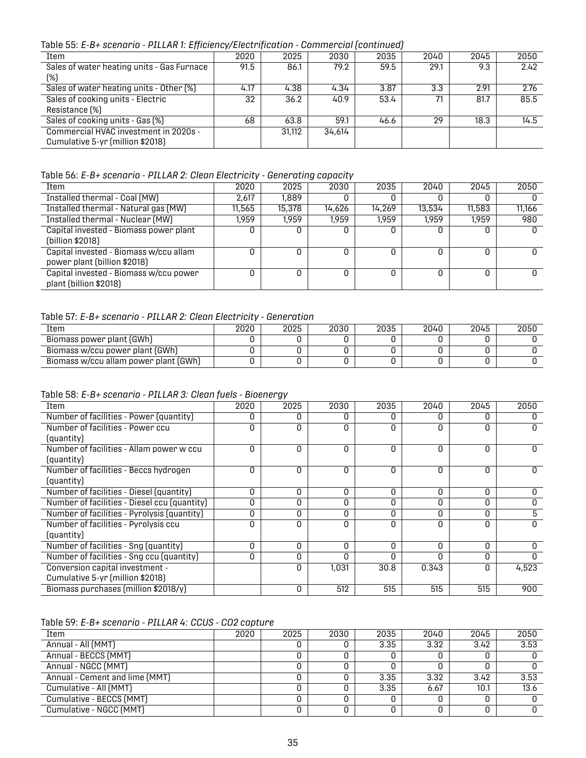Table 55: *E-B+ scenario - PILLAR 1: Efficiency/Electrification - Commercial (continued)*

| Item                                       | 2020 | 2025   | 2030   | 2035 | 2040 | 2045 | 2050 |
|--------------------------------------------|------|--------|--------|------|------|------|------|
| Sales of water heating units - Gas Furnace | 91.5 | 86.1   | 79.2   | 59.5 | 29.1 | 9.3  | 2.42 |
| (%)                                        |      |        |        |      |      |      |      |
| Sales of water heating units - Other [%]   | 4.17 | 4.38   | 4.34   | 3.87 | 3.3  | 2.91 | 2.76 |
| Sales of cooking units - Electric          | 32   | 36.2   | 40.9   | 53.4 |      | 81.7 | 85.5 |
| Resistance (%)                             |      |        |        |      |      |      |      |
| Sales of cooking units - Gas (%)           | 68   | 63.8   | 59.1   | 46.6 | 29   | 18.3 | 14.5 |
| Commercial HVAC investment in 2020s -      |      | 31.112 | 34,614 |      |      |      |      |
| Cumulative 5-yr (million \$2018)           |      |        |        |      |      |      |      |

<span id="page-37-0"></span>Table 56: *E-B+ scenario - PILLAR 2: Clean Electricity - Generating capacity*

| Item                                                                   | 2020   | 2025   | 2030   | 2035   | 2040   | 2045   | 2050   |
|------------------------------------------------------------------------|--------|--------|--------|--------|--------|--------|--------|
| Installed thermal - Coal (MW)                                          | 2,617  | 1.889  |        |        | U      |        |        |
| Installed thermal - Natural gas (MW)                                   | 11,565 | 15,378 | 14,626 | 14.269 | 13,534 | 11,583 | 11.166 |
| Installed thermal - Nuclear (MW)                                       | 1,959  | 1.959  | 1.959  | 1.959  | 1.959  | 1.959  | 980    |
| Capital invested - Biomass power plant                                 |        |        |        |        | 0      |        | 0      |
| (billion \$2018)                                                       |        |        |        |        |        |        |        |
| Capital invested - Biomass w/ccu allam<br>power plant (billion \$2018) |        |        |        |        | 0      | O      | 0      |
| Capital invested - Biomass w/ccu power<br>plant (billion \$2018)       |        |        |        |        |        |        |        |

#### <span id="page-37-1"></span>Table 57: *E-B+ scenario - PILLAR 2: Clean Electricity - Generation*

| Item                                  | 2020 | 2025 | 2030 | 2035 | 2040 | 2045 | 2050 |
|---------------------------------------|------|------|------|------|------|------|------|
| Biomass power plant (GWh)             |      |      |      |      |      |      |      |
| Biomass w/ccu power plant (GWh)       |      |      |      |      |      |      |      |
| Biomass w/ccu allam power plant (GWh) |      |      |      |      |      |      |      |

<span id="page-37-2"></span>Table 58: *E-B+ scenario - PILLAR 3: Clean fuels - Bioenergy*

| Item                                         | 2020     | 2025         | 2030     | 2035     | 2040     | 2045         | 2050         |
|----------------------------------------------|----------|--------------|----------|----------|----------|--------------|--------------|
| Number of facilities - Power (quantity)      | O        | O            | O        | 0        | O        | <sup>0</sup> | <sup>0</sup> |
| Number of facilities - Power ccu             |          | 0            | ი        | $\Omega$ | O        | $\Omega$     | <sup>0</sup> |
| (quantity)                                   |          |              |          |          |          |              |              |
| Number of facilities - Allam power w ccu     | $\Omega$ | 0            | $\Omega$ | $\Omega$ | $\Omega$ | $\Omega$     | 0            |
| (quantity)                                   |          |              |          |          |          |              |              |
| Number of facilities - Beccs hydrogen        | O        | 0            | O        | $\Omega$ | 0        | $\Omega$     | U            |
| (quantity)                                   |          |              |          |          |          |              |              |
| Number of facilities - Diesel (quantity)     | $\Omega$ | $\Omega$     | $\Omega$ | $\Omega$ | $\Omega$ | $\Omega$     | O            |
| Number of facilities - Diesel ccu (quantity) | $\Omega$ | 0            | $\Omega$ | $\Omega$ | $\Omega$ | $\Omega$     | O            |
| Number of facilities - Pyrolysis (quantity)  | 0        | $\mathbf{0}$ | 0        | 0        | 0        | 0            | 5            |
| Number of facilities - Pyrolysis ccu         | O        | $\Omega$     | O        | $\Omega$ | O        | $\Omega$     | <sup>0</sup> |
| (quantity)                                   |          |              |          |          |          |              |              |
| Number of facilities - Sng (quantity)        | 0        | $\mathbf{0}$ | 0        | 0        | 0        | 0            | 0            |
| Number of facilities - Sng ccu (quantity)    | 0        | 0            | O        | $\Omega$ | 0        | $\Omega$     | O            |
| Conversion capital investment -              |          | 0            | 1,031    | 30.8     | 0.343    | $\Omega$     | 4,523        |
| Cumulative 5-yr (million \$2018)             |          |              |          |          |          |              |              |
| Biomass purchases (million \$2018/y)         |          | 0            | 512      | 515      | 515      | 515          | 900          |
|                                              |          |              |          |          |          |              |              |

#### <span id="page-37-3"></span>Table 59: *E-B+ scenario - PILLAR 4: CCUS - CO2 capture*

| Item                           | 2020 | 2025 | 2030 | 2035 | 2040 | 2045 | 2050 |
|--------------------------------|------|------|------|------|------|------|------|
| Annual - All (MMT)             |      |      |      | 3.35 | 3.32 | 3.42 | 3.53 |
| Annual - BECCS (MMT)           |      |      |      |      |      |      |      |
| Annual - NGCC (MMT)            |      |      |      |      |      |      |      |
| Annual - Cement and lime (MMT) |      |      |      | 3.35 | 3.32 | 3.42 | 3.53 |
| Cumulative - All (MMT)         |      |      |      | 3.35 | 6.67 | 10.1 | 13.6 |
| Cumulative - BECCS (MMT)       |      |      |      |      |      |      |      |
| Cumulative - NGCC (MMT)        |      |      |      |      |      |      |      |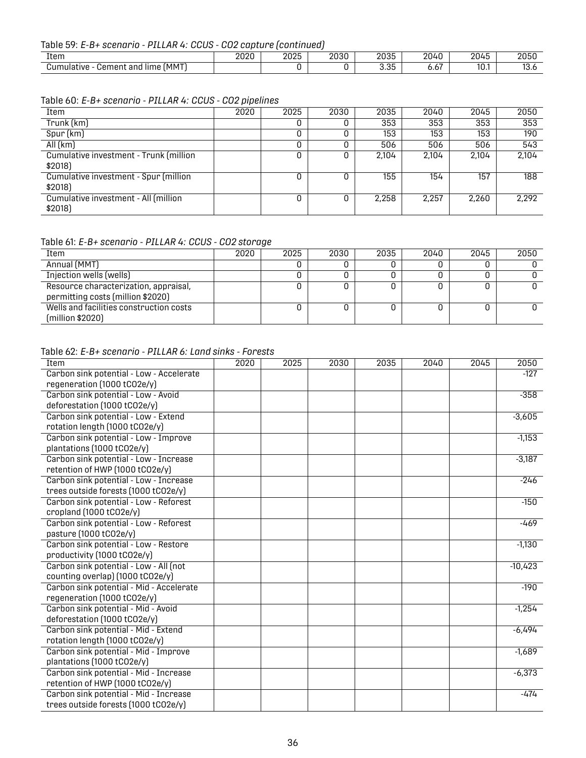#### Table 59: *E-B+ scenario - PILLAR 4: CCUS - CO2 capture (continued)*

| Item                                                             | 2020 | 2025 | 2030 | nnoc<br>zuss        | 2040<br>$\sim$                         | --<br>2045     | 2050       |
|------------------------------------------------------------------|------|------|------|---------------------|----------------------------------------|----------------|------------|
| ímmt<br><br><b>Cement</b><br>.<br>lime<br>and<br>nulative<br>Ju⊪ |      |      |      | っこ<br><b>.</b> ບ. ບ | $\overline{\phantom{a}}$<br>0.01<br>__ | $\sim$<br>IU.I | ט.ט<br>___ |

#### <span id="page-38-0"></span>Table 60: *E-B+ scenario - PILLAR 4: CCUS - CO2 pipelines*

| Item                                   | 2020 | 2025 | 2030 | 2035  | 2040  | 2045  | 2050  |
|----------------------------------------|------|------|------|-------|-------|-------|-------|
| Trunk (km)                             |      |      |      | 353   | 353   | 353   | 353   |
| Spur (km)                              |      |      |      | 153   | 153   | 153   | 190   |
| All(km)                                |      |      |      | 506   | 506   | 506   | 543   |
| Cumulative investment - Trunk (million |      |      |      | 2.104 | 2.104 | 2.104 | 2,104 |
| \$2018]                                |      |      |      |       |       |       |       |
| Cumulative investment - Spur (million  |      |      |      | 155   | 154   | 157   | 188   |
| \$2018)                                |      |      |      |       |       |       |       |
| Cumulative investment - All (million   |      | ٥    |      | 2,258 | 2,257 | 2,260 | 2,292 |
| \$2018)                                |      |      |      |       |       |       |       |

#### <span id="page-38-1"></span>Table 61: *E-B+ scenario - PILLAR 4: CCUS - CO2 storage*

| Item                                                                       | 2020 | 2025 | 2030 | 2035 | 2040 | 2045 | 2050 |
|----------------------------------------------------------------------------|------|------|------|------|------|------|------|
| Annual (MMT)                                                               |      |      |      |      |      |      |      |
| Injection wells (wells)                                                    |      |      |      |      |      |      |      |
| Resource characterization, appraisal,<br>permitting costs (million \$2020) |      |      |      |      |      |      |      |
| Wells and facilities construction costs<br>(million \$2020)                |      |      |      |      |      |      |      |

#### <span id="page-38-2"></span>Table 62: *E-B+ scenario - PILLAR 6: Land sinks - Forests*

| Item                                     | 2020 | 2025 | 2030 | 2035 | 2040 | 2045 | 2050      |
|------------------------------------------|------|------|------|------|------|------|-----------|
| Carbon sink potential - Low - Accelerate |      |      |      |      |      |      | $-127$    |
| regeneration (1000 tCO2e/y)              |      |      |      |      |      |      |           |
| Carbon sink potential - Low - Avoid      |      |      |      |      |      |      | $-358$    |
| deforestation (1000 tCO2e/y)             |      |      |      |      |      |      |           |
| Carbon sink potential - Low - Extend     |      |      |      |      |      |      | $-3,605$  |
| rotation length (1000 tCO2e/y)           |      |      |      |      |      |      |           |
| Carbon sink potential - Low - Improve    |      |      |      |      |      |      | $-1,153$  |
| plantations (1000 tCO2e/y)               |      |      |      |      |      |      |           |
| Carbon sink potential - Low - Increase   |      |      |      |      |      |      | $-3,187$  |
| retention of HWP (1000 tCO2e/y)          |      |      |      |      |      |      |           |
| Carbon sink potential - Low - Increase   |      |      |      |      |      |      | $-246$    |
| trees outside forests (1000 tCO2e/y)     |      |      |      |      |      |      |           |
| Carbon sink potential - Low - Reforest   |      |      |      |      |      |      | $-150$    |
| cropland (1000 tCO2e/y)                  |      |      |      |      |      |      |           |
| Carbon sink potential - Low - Reforest   |      |      |      |      |      |      | $-469$    |
| pasture (1000 tCO2e/y)                   |      |      |      |      |      |      |           |
| Carbon sink potential - Low - Restore    |      |      |      |      |      |      | $-1,130$  |
| productivity (1000 tCO2e/y)              |      |      |      |      |      |      |           |
| Carbon sink potential - Low - All (not   |      |      |      |      |      |      | $-10,423$ |
| counting overlap) (1000 tCO2e/y)         |      |      |      |      |      |      |           |
| Carbon sink potential - Mid - Accelerate |      |      |      |      |      |      | $-190$    |
| regeneration (1000 tCO2e/y)              |      |      |      |      |      |      |           |
| Carbon sink potential - Mid - Avoid      |      |      |      |      |      |      | $-1,254$  |
| deforestation (1000 tCO2e/y)             |      |      |      |      |      |      |           |
| Carbon sink potential - Mid - Extend     |      |      |      |      |      |      | $-6,494$  |
| rotation length (1000 tCO2e/y)           |      |      |      |      |      |      |           |
| Carbon sink potential - Mid - Improve    |      |      |      |      |      |      | $-1,689$  |
| plantations (1000 tCO2e/y)               |      |      |      |      |      |      |           |
| Carbon sink potential - Mid - Increase   |      |      |      |      |      |      | $-6,373$  |
| retention of HWP (1000 tCO2e/y)          |      |      |      |      |      |      |           |
| Carbon sink potential - Mid - Increase   |      |      |      |      |      |      | $-474$    |
| trees outside forests (1000 tCO2e/y)     |      |      |      |      |      |      |           |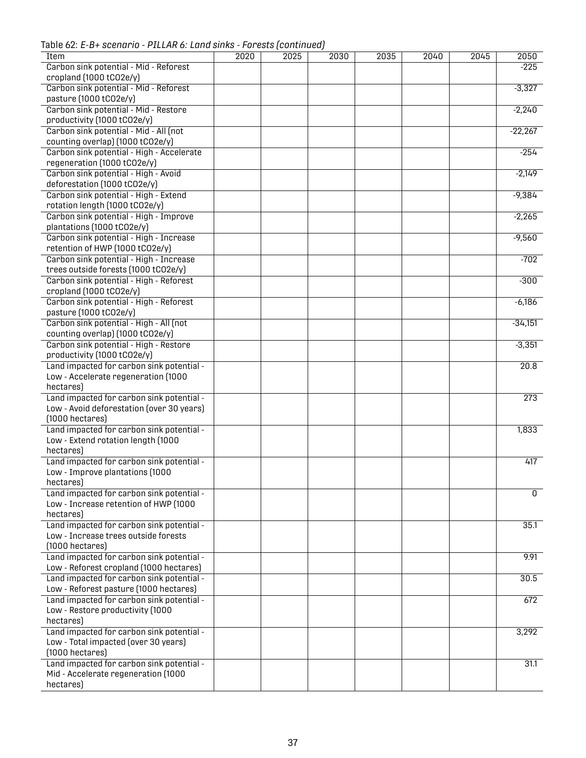Table 62: *E-B+ scenario - PILLAR 6: Land sinks - Forests (continued)*

| Item                                      | 2020 | 2025 | 2030 | 2035 | 2040 | $\overline{2045}$ | 2050             |
|-------------------------------------------|------|------|------|------|------|-------------------|------------------|
|                                           |      |      |      |      |      |                   |                  |
| Carbon sink potential - Mid - Reforest    |      |      |      |      |      |                   | $-225$           |
| cropland (1000 tCO2e/y)                   |      |      |      |      |      |                   |                  |
| Carbon sink potential - Mid - Reforest    |      |      |      |      |      |                   | $-3,327$         |
| pasture (1000 tCO2e/y)                    |      |      |      |      |      |                   |                  |
| Carbon sink potential - Mid - Restore     |      |      |      |      |      |                   | $-2,240$         |
| productivity (1000 tCO2e/y)               |      |      |      |      |      |                   |                  |
| Carbon sink potential - Mid - All (not    |      |      |      |      |      |                   | $-22,267$        |
| counting overlap) (1000 tCO2e/y)          |      |      |      |      |      |                   |                  |
| Carbon sink potential - High - Accelerate |      |      |      |      |      |                   | $-254$           |
|                                           |      |      |      |      |      |                   |                  |
| regeneration (1000 tCO2e/y)               |      |      |      |      |      |                   |                  |
| Carbon sink potential - High - Avoid      |      |      |      |      |      |                   | $-2,149$         |
| deforestation (1000 tCO2e/y)              |      |      |      |      |      |                   |                  |
| Carbon sink potential - High - Extend     |      |      |      |      |      |                   | $-9,384$         |
| rotation length (1000 tCO2e/y)            |      |      |      |      |      |                   |                  |
| Carbon sink potential - High - Improve    |      |      |      |      |      |                   | $-2,265$         |
| plantations (1000 tCO2e/y)                |      |      |      |      |      |                   |                  |
| Carbon sink potential - High - Increase   |      |      |      |      |      |                   | $-9,560$         |
| retention of HWP (1000 tCO2e/y)           |      |      |      |      |      |                   |                  |
|                                           |      |      |      |      |      |                   |                  |
| Carbon sink potential - High - Increase   |      |      |      |      |      |                   | $-702$           |
| trees outside forests (1000 tCO2e/y)      |      |      |      |      |      |                   |                  |
| Carbon sink potential - High - Reforest   |      |      |      |      |      |                   | $-300$           |
| cropland (1000 tCO2e/y)                   |      |      |      |      |      |                   |                  |
| Carbon sink potential - High - Reforest   |      |      |      |      |      |                   | $-6,186$         |
| pasture (1000 tCO2e/y)                    |      |      |      |      |      |                   |                  |
| Carbon sink potential - High - All (not   |      |      |      |      |      |                   | $-34,151$        |
| counting overlap) (1000 tCO2e/y)          |      |      |      |      |      |                   |                  |
| Carbon sink potential - High - Restore    |      |      |      |      |      |                   | $-3,351$         |
|                                           |      |      |      |      |      |                   |                  |
| productivity (1000 tCO2e/y)               |      |      |      |      |      |                   |                  |
| Land impacted for carbon sink potential - |      |      |      |      |      |                   | 20.8             |
| Low - Accelerate regeneration (1000       |      |      |      |      |      |                   |                  |
| hectares)                                 |      |      |      |      |      |                   |                  |
| Land impacted for carbon sink potential - |      |      |      |      |      |                   | $\overline{273}$ |
| Low - Avoid deforestation (over 30 years) |      |      |      |      |      |                   |                  |
| $(1000$ hectares)                         |      |      |      |      |      |                   |                  |
| Land impacted for carbon sink potential - |      |      |      |      |      |                   | 1,833            |
| Low - Extend rotation length (1000        |      |      |      |      |      |                   |                  |
|                                           |      |      |      |      |      |                   |                  |
| hectares)                                 |      |      |      |      |      |                   |                  |
| Land impacted for carbon sink potential - |      |      |      |      |      |                   | 417              |
| Low - Improve plantations (1000           |      |      |      |      |      |                   |                  |
| hectares)                                 |      |      |      |      |      |                   |                  |
| Land impacted for carbon sink potential - |      |      |      |      |      |                   | $\overline{0}$   |
| Low - Increase retention of HWP (1000     |      |      |      |      |      |                   |                  |
| hectares)                                 |      |      |      |      |      |                   |                  |
| Land impacted for carbon sink potential - |      |      |      |      |      |                   | 35.1             |
| Low - Increase trees outside forests      |      |      |      |      |      |                   |                  |
| $(1000$ hectares)                         |      |      |      |      |      |                   |                  |
|                                           |      |      |      |      |      |                   |                  |
| Land impacted for carbon sink potential - |      |      |      |      |      |                   | 9.91             |
| Low - Reforest cropland (1000 hectares)   |      |      |      |      |      |                   |                  |
| Land impacted for carbon sink potential - |      |      |      |      |      |                   | 30.5             |
| Low - Reforest pasture (1000 hectares)    |      |      |      |      |      |                   |                  |
| Land impacted for carbon sink potential - |      |      |      |      |      |                   | 672              |
| Low - Restore productivity (1000          |      |      |      |      |      |                   |                  |
| hectares)                                 |      |      |      |      |      |                   |                  |
| Land impacted for carbon sink potential - |      |      |      |      |      |                   | 3,292            |
| Low - Total impacted (over 30 years)      |      |      |      |      |      |                   |                  |
|                                           |      |      |      |      |      |                   |                  |
| $(1000$ hectares)                         |      |      |      |      |      |                   |                  |
| Land impacted for carbon sink potential - |      |      |      |      |      |                   | 31.1             |
| Mid - Accelerate regeneration (1000       |      |      |      |      |      |                   |                  |
| hectares)                                 |      |      |      |      |      |                   |                  |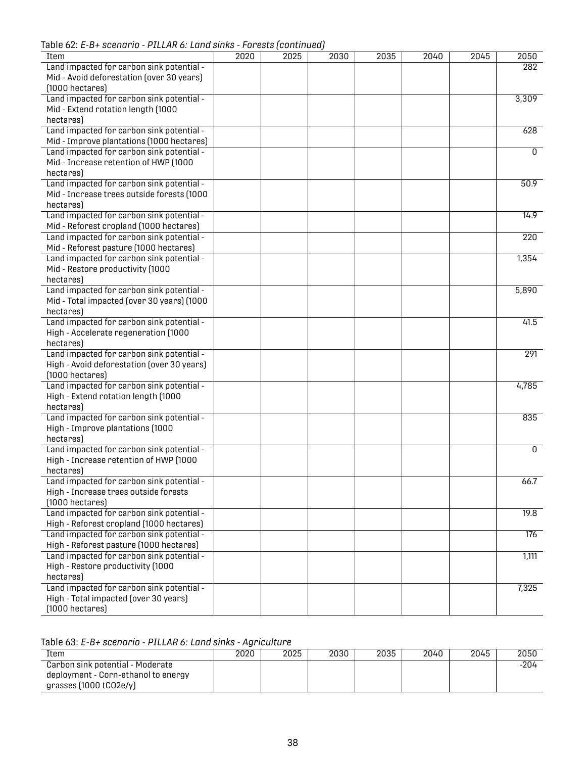Table 62: *E-B+ scenario - PILLAR 6: Land sinks - Forests (continued)*

|                                            |      | , or outo <sub>l</sub> oommuuu |      |      |      |      |                  |
|--------------------------------------------|------|--------------------------------|------|------|------|------|------------------|
| Item                                       | 2020 | 2025                           | 2030 | 2035 | 2040 | 2045 | 2050             |
| Land impacted for carbon sink potential -  |      |                                |      |      |      |      | 282              |
| Mid - Avoid deforestation (over 30 years)  |      |                                |      |      |      |      |                  |
| $(1000$ hectares)                          |      |                                |      |      |      |      |                  |
| Land impacted for carbon sink potential -  |      |                                |      |      |      |      | 3,309            |
| Mid - Extend rotation length (1000         |      |                                |      |      |      |      |                  |
| hectares)                                  |      |                                |      |      |      |      |                  |
| Land impacted for carbon sink potential -  |      |                                |      |      |      |      | 628              |
| Mid - Improve plantations (1000 hectares)  |      |                                |      |      |      |      |                  |
| Land impacted for carbon sink potential -  |      |                                |      |      |      |      | 0                |
| Mid - Increase retention of HWP (1000      |      |                                |      |      |      |      |                  |
| hectares)                                  |      |                                |      |      |      |      |                  |
| Land impacted for carbon sink potential -  |      |                                |      |      |      |      | 50.9             |
| Mid - Increase trees outside forests (1000 |      |                                |      |      |      |      |                  |
| hectares)                                  |      |                                |      |      |      |      |                  |
| Land impacted for carbon sink potential -  |      |                                |      |      |      |      | 14.9             |
| Mid - Reforest cropland (1000 hectares)    |      |                                |      |      |      |      |                  |
| Land impacted for carbon sink potential -  |      |                                |      |      |      |      | $\overline{220}$ |
| Mid - Reforest pasture (1000 hectares)     |      |                                |      |      |      |      |                  |
| Land impacted for carbon sink potential -  |      |                                |      |      |      |      | 1,354            |
| Mid - Restore productivity (1000           |      |                                |      |      |      |      |                  |
| hectares)                                  |      |                                |      |      |      |      |                  |
| Land impacted for carbon sink potential -  |      |                                |      |      |      |      | 5,890            |
| Mid - Total impacted (over 30 years) (1000 |      |                                |      |      |      |      |                  |
| hectares)                                  |      |                                |      |      |      |      |                  |
| Land impacted for carbon sink potential -  |      |                                |      |      |      |      | 41.5             |
| High - Accelerate regeneration (1000       |      |                                |      |      |      |      |                  |
| hectares)                                  |      |                                |      |      |      |      |                  |
| Land impacted for carbon sink potential -  |      |                                |      |      |      |      | 291              |
| High - Avoid deforestation (over 30 years) |      |                                |      |      |      |      |                  |
| $(1000$ hectares)                          |      |                                |      |      |      |      |                  |
| Land impacted for carbon sink potential -  |      |                                |      |      |      |      | 4,785            |
| High - Extend rotation length (1000        |      |                                |      |      |      |      |                  |
| hectares)                                  |      |                                |      |      |      |      |                  |
| Land impacted for carbon sink potential -  |      |                                |      |      |      |      | 835              |
| High - Improve plantations (1000           |      |                                |      |      |      |      |                  |
| hectares)                                  |      |                                |      |      |      |      |                  |
| Land impacted for carbon sink potential -  |      |                                |      |      |      |      | $\overline{0}$   |
| High - Increase retention of HWP (1000     |      |                                |      |      |      |      |                  |
| hectares)                                  |      |                                |      |      |      |      |                  |
| Land impacted for carbon sink potential -  |      |                                |      |      |      |      | 66.7             |
| High - Increase trees outside forests      |      |                                |      |      |      |      |                  |
| $(1000$ hectares)                          |      |                                |      |      |      |      |                  |
| Land impacted for carbon sink potential -  |      |                                |      |      |      |      | 19.8             |
| High - Reforest cropland (1000 hectares)   |      |                                |      |      |      |      |                  |
| Land impacted for carbon sink potential -  |      |                                |      |      |      |      | 176              |
| High - Reforest pasture (1000 hectares)    |      |                                |      |      |      |      |                  |
| Land impacted for carbon sink potential -  |      |                                |      |      |      |      | 1,111            |
| High - Restore productivity (1000          |      |                                |      |      |      |      |                  |
| hectares)                                  |      |                                |      |      |      |      |                  |
| Land impacted for carbon sink potential -  |      |                                |      |      |      |      | 7,325            |
| High - Total impacted (over 30 years)      |      |                                |      |      |      |      |                  |
| $(1000$ hectares $)$                       |      |                                |      |      |      |      |                  |

<span id="page-40-0"></span>Table 63: *E-B+ scenario - PILLAR 6: Land sinks - Agriculture*

| Item                                | 2020 | 2025 | 2030 | 2035 | 2040 | 2045 | 2050 |
|-------------------------------------|------|------|------|------|------|------|------|
| Carbon sink potential - Moderate    |      |      |      |      |      |      | -204 |
| deployment - Corn-ethanol to energy |      |      |      |      |      |      |      |
| grasses $(1000$ tCO2e/y)            |      |      |      |      |      |      |      |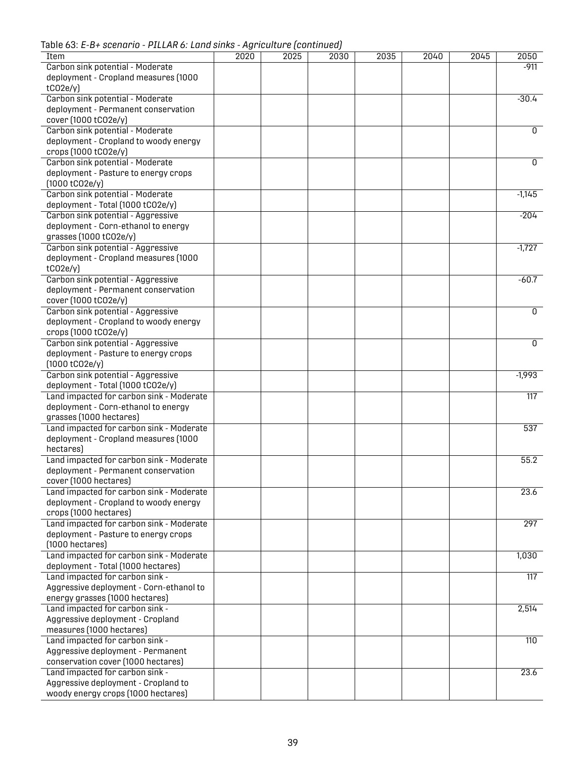Table 63: *E-B+ scenario - PILLAR 6: Land sinks - Agriculture (continued)*

| Item                                               | 2020 | 2025 | 2030 | 2035 | 2040 | 2045 | 2050             |
|----------------------------------------------------|------|------|------|------|------|------|------------------|
| Carbon sink potential - Moderate                   |      |      |      |      |      |      | $-911$           |
| deployment - Cropland measures (1000               |      |      |      |      |      |      |                  |
| tCO2e/y                                            |      |      |      |      |      |      |                  |
| Carbon sink potential - Moderate                   |      |      |      |      |      |      | $-30.4$          |
| deployment - Permanent conservation                |      |      |      |      |      |      |                  |
| cover (1000 tCO2e/y)                               |      |      |      |      |      |      |                  |
| Carbon sink potential - Moderate                   |      |      |      |      |      |      | 0                |
| deployment - Cropland to woody energy              |      |      |      |      |      |      |                  |
| crops (1000 tCO2e/y)                               |      |      |      |      |      |      | 0                |
| Carbon sink potential - Moderate                   |      |      |      |      |      |      |                  |
| deployment - Pasture to energy crops               |      |      |      |      |      |      |                  |
| (1000 tC02e/y)<br>Carbon sink potential - Moderate |      |      |      |      |      |      | $-1,145$         |
| deployment - Total (1000 tCO2e/y)                  |      |      |      |      |      |      |                  |
| Carbon sink potential - Aggressive                 |      |      |      |      |      |      | $-204$           |
| deployment - Corn-ethanol to energy                |      |      |      |      |      |      |                  |
| grasses (1000 tC02e/y)                             |      |      |      |      |      |      |                  |
| Carbon sink potential - Aggressive                 |      |      |      |      |      |      | $-1,727$         |
| deployment - Cropland measures (1000               |      |      |      |      |      |      |                  |
| tCO2e/y                                            |      |      |      |      |      |      |                  |
| Carbon sink potential - Aggressive                 |      |      |      |      |      |      | $-60.7$          |
| deployment - Permanent conservation                |      |      |      |      |      |      |                  |
| cover (1000 tCO2e/y)                               |      |      |      |      |      |      |                  |
| Carbon sink potential - Aggressive                 |      |      |      |      |      |      | $\overline{0}$   |
| deployment - Cropland to woody energy              |      |      |      |      |      |      |                  |
| crops (1000 tCO2e/y)                               |      |      |      |      |      |      |                  |
| Carbon sink potential - Aggressive                 |      |      |      |      |      |      | 0                |
| deployment - Pasture to energy crops               |      |      |      |      |      |      |                  |
| (1000 tC02e/y)                                     |      |      |      |      |      |      |                  |
| Carbon sink potential - Aggressive                 |      |      |      |      |      |      | $-1,993$         |
| deployment - Total (1000 tCO2e/y)                  |      |      |      |      |      |      |                  |
| Land impacted for carbon sink - Moderate           |      |      |      |      |      |      | $\overline{117}$ |
| deployment - Corn-ethanol to energy                |      |      |      |      |      |      |                  |
| grasses (1000 hectares)                            |      |      |      |      |      |      |                  |
| Land impacted for carbon sink - Moderate           |      |      |      |      |      |      | 537              |
| deployment - Cropland measures (1000               |      |      |      |      |      |      |                  |
| hectares)                                          |      |      |      |      |      |      |                  |
| Land impacted for carbon sink - Moderate           |      |      |      |      |      |      | 55.2             |
| deployment - Permanent conservation                |      |      |      |      |      |      |                  |
| cover (1000 hectares)                              |      |      |      |      |      |      |                  |
| Land impacted for carbon sink - Moderate           |      |      |      |      |      |      | 23.6             |
| deployment - Cropland to woody energy              |      |      |      |      |      |      |                  |
| crops (1000 hectares)                              |      |      |      |      |      |      |                  |
| Land impacted for carbon sink - Moderate           |      |      |      |      |      |      | 297              |
| deployment - Pasture to energy crops               |      |      |      |      |      |      |                  |
| $(1000$ hectares)                                  |      |      |      |      |      |      |                  |
| Land impacted for carbon sink - Moderate           |      |      |      |      |      |      | 1,030            |
| deployment - Total (1000 hectares)                 |      |      |      |      |      |      |                  |
| Land impacted for carbon sink -                    |      |      |      |      |      |      | $\overline{117}$ |
| Aggressive deployment - Corn-ethanol to            |      |      |      |      |      |      |                  |
| energy grasses (1000 hectares)                     |      |      |      |      |      |      |                  |
| Land impacted for carbon sink -                    |      |      |      |      |      |      | 2,514            |
| Aggressive deployment - Cropland                   |      |      |      |      |      |      |                  |
| measures (1000 hectares)                           |      |      |      |      |      |      |                  |
| Land impacted for carbon sink -                    |      |      |      |      |      |      | 110              |
| Aggressive deployment - Permanent                  |      |      |      |      |      |      |                  |
| conservation cover (1000 hectares)                 |      |      |      |      |      |      |                  |
| Land impacted for carbon sink -                    |      |      |      |      |      |      | 23.6             |
| Aggressive deployment - Cropland to                |      |      |      |      |      |      |                  |
| woody energy crops (1000 hectares)                 |      |      |      |      |      |      |                  |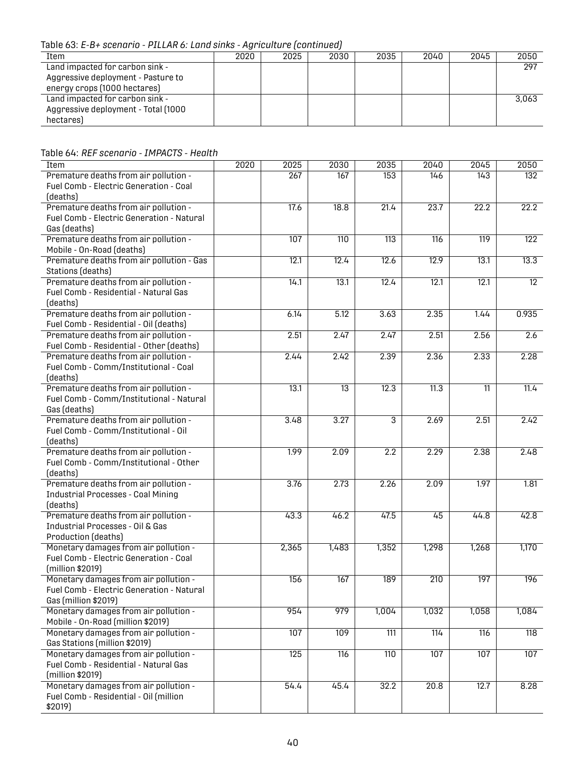Table 63: *E-B+ scenario - PILLAR 6: Land sinks - Agriculture (continued)*

| Item                                 | 2020 | 2025 | 2030 | 2035 | 2040 | 2045 | 2050  |
|--------------------------------------|------|------|------|------|------|------|-------|
| Land impacted for carbon sink -      |      |      |      |      |      |      | 297   |
| Aggressive deployment - Pasture to   |      |      |      |      |      |      |       |
| energy crops (1000 hectares)         |      |      |      |      |      |      |       |
| Land impacted for carbon sink -      |      |      |      |      |      |      | 3.063 |
| Aggressive deployment - Total (1000) |      |      |      |      |      |      |       |
| hectares)                            |      |      |      |      |      |      |       |

<span id="page-42-0"></span>Table 64: *REF scenario - IMPACTS - Health*

| Item                                             | 2020 | 2025  | 2030            | 2035             | 2040  | 2045             | 2050             |
|--------------------------------------------------|------|-------|-----------------|------------------|-------|------------------|------------------|
| Premature deaths from air pollution -            |      | 267   | 167             | 153              | 146   | 143              | 132              |
| Fuel Comb - Electric Generation - Coal           |      |       |                 |                  |       |                  |                  |
| (deaths)                                         |      |       |                 |                  |       |                  |                  |
| Premature deaths from air pollution -            |      | 17.6  | 18.8            | 21.4             | 23.7  | 22.2             | 22.2             |
| Fuel Comb - Electric Generation - Natural        |      |       |                 |                  |       |                  |                  |
| Gas (deaths)                                     |      |       |                 |                  |       |                  |                  |
| Premature deaths from air pollution -            |      | 107   | 110             | $\overline{113}$ | 116   | $\overline{119}$ | $\overline{122}$ |
| Mobile - On-Road (deaths)                        |      |       |                 |                  |       |                  |                  |
| Premature deaths from air pollution - Gas        |      | 12.1  | 12.4            | 12.6             | 12.9  | 13.1             | 13.3             |
| Stations (deaths)                                |      |       |                 |                  |       |                  |                  |
| Premature deaths from air pollution -            |      | 14.1  | 13.1            | 12.4             | 12.1  | 12.1             | $\overline{12}$  |
| Fuel Comb - Residential - Natural Gas            |      |       |                 |                  |       |                  |                  |
| (deaths)                                         |      |       |                 |                  |       |                  |                  |
| Premature deaths from air pollution -            |      | 6.14  | 5.12            | 3.63             | 2.35  | 1.44             | 0.935            |
| Fuel Comb - Residential - Oil (deaths)           |      |       |                 |                  |       |                  |                  |
| Premature deaths from air pollution -            |      | 2.51  | 2.47            | 2.47             | 2.51  | 2.56             | 2.6              |
| Fuel Comb - Residential - Other (deaths)         |      |       |                 |                  |       |                  |                  |
| Premature deaths from air pollution -            |      | 2.44  | 2.42            | 2.39             | 2.36  | 2.33             | 2.28             |
| Fuel Comb - Comm/Institutional - Coal            |      |       |                 |                  |       |                  |                  |
| (deaths)                                         |      |       |                 |                  |       |                  |                  |
| Premature deaths from air pollution -            |      | 13.1  | $\overline{13}$ | 12.3             | 11.3  | $\overline{11}$  | 11.4             |
| Fuel Comb - Comm/Institutional - Natural         |      |       |                 |                  |       |                  |                  |
| Gas (deaths)                                     |      |       |                 |                  |       |                  |                  |
| Premature deaths from air pollution -            |      | 3.48  | 3.27            | 3                | 2.69  | 2.51             | 2.42             |
| Fuel Comb - Comm/Institutional - Oil             |      |       |                 |                  |       |                  |                  |
| (deaths)                                         |      |       |                 |                  |       |                  |                  |
| Premature deaths from air pollution -            |      | 1.99  | 2.09            | 2.2              | 2.29  | 2.38             | 2.48             |
| Fuel Comb - Comm/Institutional - Other           |      |       |                 |                  |       |                  |                  |
| (deaths)                                         |      |       |                 |                  |       |                  |                  |
| Premature deaths from air pollution -            |      | 3.76  | 2.73            | 2.26             | 2.09  | 1.97             | 1.81             |
| <b>Industrial Processes - Coal Mining</b>        |      |       |                 |                  |       |                  |                  |
| (deaths)                                         |      |       |                 |                  |       |                  |                  |
| Premature deaths from air pollution -            |      | 43.3  | 46.2            | 47.5             | 45    | 44.8             | 42.8             |
| Industrial Processes - Oil & Gas                 |      |       |                 |                  |       |                  |                  |
| <b>Production (deaths)</b>                       |      |       |                 |                  |       |                  |                  |
| Monetary damages from air pollution -            |      | 2,365 | 1,483           | 1,352            | 1,298 | 1,268            | 1,170            |
| Fuel Comb - Electric Generation - Coal           |      |       |                 |                  |       |                  |                  |
| (million \$2019)                                 |      |       |                 |                  |       |                  |                  |
| Monetary damages from air pollution -            |      | 156   | 167             | 189              | 210   | 197              | 196              |
| <b>Fuel Comb - Electric Generation - Natural</b> |      |       |                 |                  |       |                  |                  |
| Gas (million \$2019)                             |      |       |                 |                  |       |                  |                  |
| Monetary damages from air pollution -            |      | 954   | 979             | 1,004            | 1,032 | 1,058            | 1,084            |
| Mobile - On-Road (million \$2019)                |      |       |                 |                  |       |                  |                  |
| Monetary damages from air pollution -            |      | 107   | 109             | 111              | 114   | 116              | 118              |
| Gas Stations (million \$2019)                    |      |       |                 |                  |       |                  |                  |
| Monetary damages from air pollution -            |      | 125   | 116             | 110              | 107   | 107              | 107              |
| Fuel Comb - Residential - Natural Gas            |      |       |                 |                  |       |                  |                  |
| (million \$2019)                                 |      |       |                 |                  |       |                  |                  |
| Monetary damages from air pollution -            |      | 54.4  | 45.4            | 32.2             | 20.8  | 12.7             | 8.28             |
| Fuel Comb - Residential - Oil (million           |      |       |                 |                  |       |                  |                  |
| \$2019)                                          |      |       |                 |                  |       |                  |                  |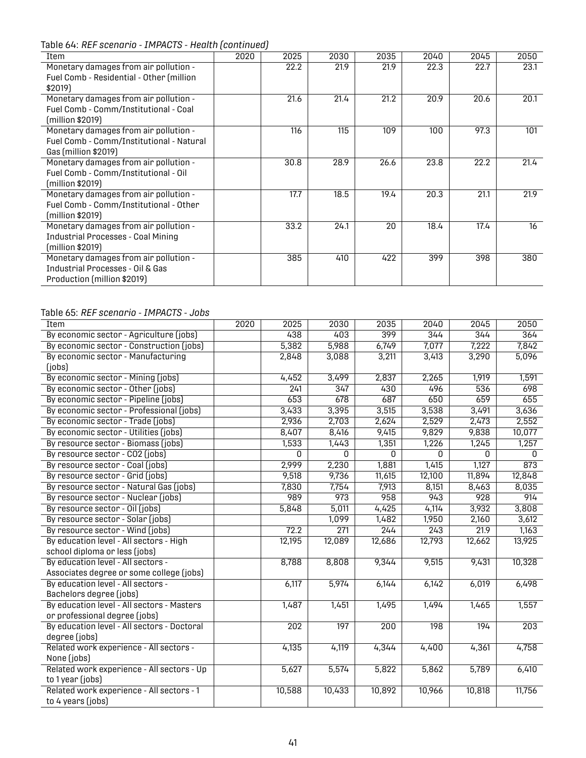Table 64: *REF scenario - IMPACTS - Health (continued)*

| Item                                                                                                      | 2020 | 2025 | 2030 | 2035 | 2040 | 2045 | 2050 |
|-----------------------------------------------------------------------------------------------------------|------|------|------|------|------|------|------|
| Monetary damages from air pollution -<br>Fuel Comb - Residential - Other (million<br>\$2019)              |      | 22.2 | 21.9 | 21.9 | 22.3 | 22.7 | 23.1 |
| Monetary damages from air pollution -<br>Fuel Comb - Comm/Institutional - Coal<br>(million \$2019)        |      | 21.6 | 21.4 | 21.2 | 20.9 | 20.6 | 20.1 |
| Monetary damages from air pollution -<br>Fuel Comb - Comm/Institutional - Natural<br>Gas (million \$2019) |      | 116  | 115  | 109  | 100  | 97.3 | 101  |
| Monetary damages from air pollution -<br>Fuel Comb - Comm/Institutional - Oil<br>(million \$2019)         |      | 30.8 | 28.9 | 26.6 | 23.8 | 22.2 | 21.4 |
| Monetary damages from air pollution -<br>Fuel Comb - Comm/Institutional - Other<br>(million \$2019)       |      | 17.7 | 18.5 | 19.4 | 20.3 | 21.1 | 21.9 |
| Monetary damages from air pollution -<br><b>Industrial Processes - Coal Mining</b><br>(million \$2019)    |      | 33.2 | 24.1 | 20   | 18.4 | 17.4 | 16   |
| Monetary damages from air pollution -<br>Industrial Processes - Oil & Gas<br>Production (million \$2019)  |      | 385  | 410  | 422  | 399  | 398  | 380  |

#### <span id="page-43-0"></span>Table 65: *REF scenario - IMPACTS - Jobs*

| Item                                        | 2020 | 2025   | 2030             | 2035   | 2040             | 2045             | 2050             |
|---------------------------------------------|------|--------|------------------|--------|------------------|------------------|------------------|
| By economic sector - Agriculture (jobs)     |      | 438    | 403              | 399    | 344              | 344              | 364              |
| By economic sector - Construction (jobs)    |      | 5,382  | 5,988            | 6,749  | 7,077            | 7,222            | 7,842            |
| By economic sector - Manufacturing          |      | 2,848  | 3,088            | 3,211  | 3,413            | 3,290            | 5,096            |
| (jobs)                                      |      |        |                  |        |                  |                  |                  |
| By economic sector - Mining (jobs)          |      | 4,452  | 3,499            | 2,837  | 2,265            | 1,919            | 1,591            |
| By economic sector - Other (jobs)           |      | 241    | 347              | 430    | 496              | 536              | 698              |
| By economic sector - Pipeline (jobs)        |      | 653    | 678              | 687    | 650              | 659              | 655              |
| By economic sector - Professional (jobs)    |      | 3,433  | 3,395            | 3,515  | 3,538            | 3,491            | 3,636            |
| By economic sector - Trade (jobs)           |      | 2,936  | 2,703            | 2,624  | 2,529            | 2,473            | 2,552            |
| By economic sector - Utilities (jobs)       |      | 8,407  | 8,416            | 9,415  | 9,829            | 9,838            | 10,077           |
| By resource sector - Biomass (jobs)         |      | 1,533  | 1,443            | 1,351  | 1,226            | 1,245            | 1,257            |
| By resource sector - CO2 (jobs)             |      | 0      | 0                | 0      | 0                | 0                | $\mathbf{0}$     |
| By resource sector - Coal (jobs)            |      | 2,999  | 2,230            | 1,881  | 1,415            | 1,127            | $\overline{873}$ |
| By resource sector - Grid (jobs)            |      | 9,518  | 9,736            | 11,615 | 12,100           | 11,894           | 12,848           |
| By resource sector - Natural Gas (jobs)     |      | 7,830  | 7,754            | 7,913  | 8,151            | 8,463            | 8,035            |
| By resource sector - Nuclear (jobs)         |      | 989    | $\overline{973}$ | 958    | 943              | $\overline{928}$ | 914              |
| By resource sector - Oil (jobs)             |      | 5,848  | 5,011            | 4,425  | 4,114            | 3,932            | 3,808            |
| By resource sector - Solar (jobs)           |      |        | 1,099            | 1,482  | 1,950            | 2,160            | 3,612            |
| By resource sector - Wind (jobs)            |      | 72.2   | $\overline{271}$ | 244    | 243              | 21.9             | 1,163            |
| By education level - All sectors - High     |      | 12,195 | 12,089           | 12,686 | 12,793           | 12,662           | 13,925           |
| school diploma or less (jobs)               |      |        |                  |        |                  |                  |                  |
| By education level - All sectors -          |      | 8,788  | 8,808            | 9,344  | 9,515            | 9,431            | 10,328           |
| Associates degree or some college (jobs)    |      |        |                  |        |                  |                  |                  |
| By education level - All sectors -          |      | 6,117  | 5,974            | 6,144  | 6,142            | 6,019            | 6,498            |
| Bachelors degree (jobs)                     |      |        |                  |        |                  |                  |                  |
| By education level - All sectors - Masters  |      | 1,487  | 1,451            | 1,495  | 1,494            | 1,465            | 1,557            |
| or professional degree (jobs)               |      |        |                  |        |                  |                  |                  |
| By education level - All sectors - Doctoral |      | 202    | $\overline{197}$ | 200    | $\overline{198}$ | 194              | $\overline{203}$ |
| degree (jobs)                               |      |        |                  |        |                  |                  |                  |
| Related work experience - All sectors -     |      | 4,135  | 4,119            | 4,344  | 4,400            | 4,361            | 4,758            |
| None (jobs)                                 |      |        |                  |        |                  |                  |                  |
| Related work experience - All sectors - Up  |      | 5,627  | 5,574            | 5,822  | 5,862            | 5,789            | 6,410            |
| to 1 year (jobs)                            |      |        |                  |        |                  |                  |                  |
| Related work experience - All sectors - 1   |      | 10,588 | 10,433           | 10,892 | 10,966           | 10,818           | 11,756           |
| to 4 years (jobs)                           |      |        |                  |        |                  |                  |                  |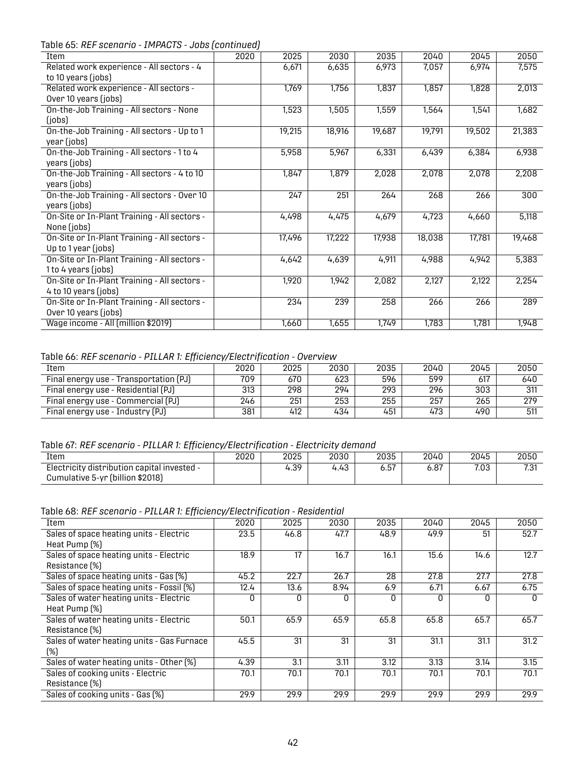Table 65: *REF scenario - IMPACTS - Jobs (continued)*

| Item                                                                 | 2020 | 2025   | 2030   | 2035   | 2040   | 2045   | 2050   |
|----------------------------------------------------------------------|------|--------|--------|--------|--------|--------|--------|
| Related work experience - All sectors - 4<br>to 10 years (jobs)      |      | 6,671  | 6,635  | 6,973  | 7,057  | 6,974  | 7,575  |
| Related work experience - All sectors -<br>Over 10 years (jobs)      |      | 1,769  | 1,756  | 1,837  | 1,857  | 1,828  | 2,013  |
| On-the-Job Training - All sectors - None<br>(jobs)                   |      | 1,523  | 1,505  | 1,559  | 1,564  | 1,541  | 1,682  |
| On-the-Job Training - All sectors - Up to 1<br>year (jobs)           |      | 19,215 | 18,916 | 19,687 | 19,791 | 19,502 | 21,383 |
| On-the-Job Training - All sectors - 1 to 4<br>years (jobs)           |      | 5,958  | 5,967  | 6,331  | 6,439  | 6,384  | 6,938  |
| On-the-Job Training - All sectors - 4 to 10<br>years (jobs)          |      | 1,847  | 1,879  | 2,028  | 2,078  | 2,078  | 2,208  |
| On-the-Job Training - All sectors - Over 10<br>years (jobs)          |      | 247    | 251    | 264    | 268    | 266    | 300    |
| On-Site or In-Plant Training - All sectors -<br>None (jobs)          |      | 4,498  | 4,475  | 4,679  | 4,723  | 4,660  | 5,118  |
| On-Site or In-Plant Training - All sectors -<br>Up to 1 year (jobs)  |      | 17,496 | 17,222 | 17,938 | 18,038 | 17,781 | 19,468 |
| On-Site or In-Plant Training - All sectors -<br>1 to 4 years (jobs)  |      | 4,642  | 4,639  | 4,911  | 4,988  | 4,942  | 5,383  |
| On-Site or In-Plant Training - All sectors -<br>4 to 10 years (jobs) |      | 1,920  | 1,942  | 2,082  | 2,127  | 2,122  | 2,254  |
| On-Site or In-Plant Training - All sectors -<br>Over 10 years (jobs) |      | 234    | 239    | 258    | 266    | 266    | 289    |
| Wage income - All (million \$2019)                                   |      | 1,660  | 1,655  | 1,749  | 1,783  | 1,781  | 1,948  |

<span id="page-44-0"></span>Table 66: *REF scenario - PILLAR 1: Efficiency/Electrification - Overview*

| Item                                   | 2020 | 2025 | 2030 | 2035 | 2040 | 2045 | 2050 |
|----------------------------------------|------|------|------|------|------|------|------|
| Final energy use - Transportation (PJ) | 709  | 670  | 623  | 596  | 599  | 617  | 640  |
| Final energy use - Residential (PJ)    | 313  | 298  | 294  | 293  | 296  | 303  | 311  |
| Final energy use - Commercial (PJ)     | 246  | 251  | 253  | 255  | 257  | 265  | 279  |
| Final energy use - Industry (PJ)       | 381  | 412  | 434  | 451  | 473  | 490  | 511  |

<span id="page-44-1"></span>Table 67: *REF scenario - PILLAR 1: Efficiency/Electrification - Electricity demand*

| -------------                               |      |      |      |      |      |      |      |  |  |
|---------------------------------------------|------|------|------|------|------|------|------|--|--|
| Item                                        | 2020 | 2025 | 2030 | 2035 | 2040 | 2045 | 2050 |  |  |
| Electricity distribution capital invested - |      | 4.39 | 4.43 | 5.57 | 87.ه | 7.03 | 7.01 |  |  |
| Cumulative 5-yr (billion \$2018)            |      |      |      |      |      |      |      |  |  |

<span id="page-44-2"></span>Table 68: *REF scenario - PILLAR 1: Efficiency/Electrification - Residential*

| Item                                       | 2020 | 2025 | 2030 | 2035 | 2040 | 2045 | 2050         |
|--------------------------------------------|------|------|------|------|------|------|--------------|
| Sales of space heating units - Electric    | 23.5 | 46.8 | 47.7 | 48.9 | 49.9 | 51   | 52.7         |
| Heat Pump (%)                              |      |      |      |      |      |      |              |
| Sales of space heating units - Electric    | 18.9 | 17   | 16.7 | 16.1 | 15.6 | 14.6 | 12.7         |
| Resistance [%]                             |      |      |      |      |      |      |              |
| Sales of space heating units - Gas (%)     | 45.2 | 22.7 | 26.7 | 28   | 27.8 | 27.7 | 27.8         |
| Sales of space heating units - Fossil (%)  | 12.4 | 13.6 | 8.94 | 6.9  | 6.71 | 6.67 | 6.75         |
| Sales of water heating units - Electric    | O    | O    | U    | O    | O    | n    | <sup>0</sup> |
| Heat Pump (%)                              |      |      |      |      |      |      |              |
| Sales of water heating units - Electric    | 50.1 | 65.9 | 65.9 | 65.8 | 65.8 | 65.7 | 65.7         |
| Resistance [%]                             |      |      |      |      |      |      |              |
| Sales of water heating units - Gas Furnace | 45.5 | 31   | 31   | 31   | 31.1 | 31.1 | 31.2         |
| (%)                                        |      |      |      |      |      |      |              |
| Sales of water heating units - Other [%]   | 4.39 | 3.1  | 3.11 | 3.12 | 3.13 | 3.14 | 3.15         |
| Sales of cooking units - Electric          | 70.1 | 70.1 | 70.1 | 70.1 | 70.1 | 70.1 | 70.1         |
| Resistance [%]                             |      |      |      |      |      |      |              |
| Sales of cooking units - Gas (%)           | 29.9 | 29.9 | 29.9 | 29.9 | 29.9 | 29.9 | 29.9         |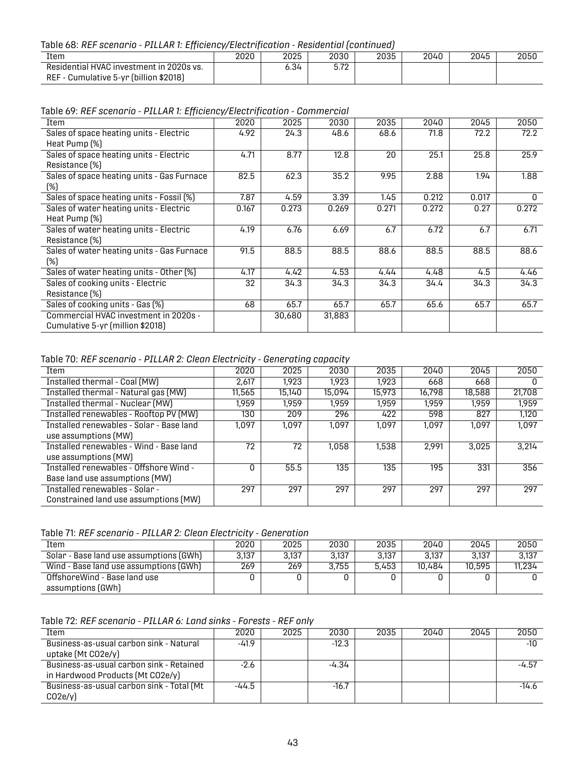#### Table 68: *REF scenario - PILLAR 1: Efficiency/Electrification - Residential (continued)*

| Item                                                                               | 2020 | 2025  | 2030            | 2035 | 2040 | 2045 | 2050 |
|------------------------------------------------------------------------------------|------|-------|-----------------|------|------|------|------|
| Residential HVAC investment in 2020s vs.<br>REF - Cumulative 5-yr (billion \$2018) |      | - 34ه | E 70<br>ے ، ، ب |      |      |      |      |

<span id="page-45-0"></span>Table 69: *REF scenario - PILLAR 1: Efficiency/Electrification - Commercial*

| Item                                       | 2020  | 2025   | 2030   | 2035  | 2040  | 2045  | 2050  |
|--------------------------------------------|-------|--------|--------|-------|-------|-------|-------|
| Sales of space heating units - Electric    | 4.92  | 24.3   | 48.6   | 68.6  | 71.8  | 72.2  | 72.2  |
| Heat Pump (%)                              |       |        |        |       |       |       |       |
| Sales of space heating units - Electric    | 4.71  | 8.77   | 12.8   | 20    | 25.1  | 25.8  | 25.9  |
| Resistance (%)                             |       |        |        |       |       |       |       |
| Sales of space heating units - Gas Furnace | 82.5  | 62.3   | 35.2   | 9.95  | 2.88  | 1.94  | 1.88  |
| (%)                                        |       |        |        |       |       |       |       |
| Sales of space heating units - Fossil (%)  | 7.87  | 4.59   | 3.39   | 1.45  | 0.212 | 0.017 | 0     |
| Sales of water heating units - Electric    | 0.167 | 0.273  | 0.269  | 0.271 | 0.272 | 0.27  | 0.272 |
| Heat Pump (%)                              |       |        |        |       |       |       |       |
| Sales of water heating units - Electric    | 4.19  | 6.76   | 6.69   | 6.7   | 6.72  | 6.7   | 6.71  |
| Resistance (%)                             |       |        |        |       |       |       |       |
| Sales of water heating units - Gas Furnace | 91.5  | 88.5   | 88.5   | 88.6  | 88.5  | 88.5  | 88.6  |
| (%)                                        |       |        |        |       |       |       |       |
| Sales of water heating units - Other [%]   | 4.17  | 4.42   | 4.53   | 4.44  | 4.48  | 4.5   | 4.46  |
| Sales of cooking units - Electric          | 32    | 34.3   | 34.3   | 34.3  | 34.4  | 34.3  | 34.3  |
| Resistance (%)                             |       |        |        |       |       |       |       |
| Sales of cooking units - Gas (%)           | 68    | 65.7   | 65.7   | 65.7  | 65.6  | 65.7  | 65.7  |
| Commercial HVAC investment in 2020s -      |       | 30,680 | 31,883 |       |       |       |       |
| Cumulative 5-yr (million \$2018)           |       |        |        |       |       |       |       |

<span id="page-45-1"></span>Table 70: *REF scenario - PILLAR 2: Clean Electricity - Generating capacity*

| Item                                     | 2020   | 2025   | 2030   | 2035   | 2040   | 2045   | 2050   |
|------------------------------------------|--------|--------|--------|--------|--------|--------|--------|
| Installed thermal - Coal (MW)            | 2,617  | 1.923  | 1,923  | 1.923  | 668    | 668    |        |
| Installed thermal - Natural gas (MW)     | 11,565 | 15,140 | 15,094 | 15,973 | 16,798 | 18,588 | 21,708 |
| <b>Installed thermal - Nuclear (MW)</b>  | 1.959  | 1.959  | 1.959  | 1.959  | 1.959  | 1.959  | 1,959  |
| Installed renewables - Rooftop PV (MW)   | 130    | 209    | 296    | 422    | 598    | 827    | 1,120  |
| Installed renewables - Solar - Base land | 1.097  | 1.097  | 1.097  | 1.097  | 1.097  | 1.097  | 1.097  |
| use assumptions (MW)                     |        |        |        |        |        |        |        |
| Installed renewables - Wind - Base land  | 72     | 72     | 1,058  | 1,538  | 2.991  | 3,025  | 3.214  |
| use assumptions (MW)                     |        |        |        |        |        |        |        |
| Installed renewables - Offshore Wind -   |        | 55.5   | 135    | 135    | 195    | 331    | 356    |
| Base land use assumptions (MW)           |        |        |        |        |        |        |        |
| Installed renewables - Solar -           | 297    | 297    | 297    | 297    | 297    | 297    | 297    |
| Constrained land use assumptions (MW)    |        |        |        |        |        |        |        |

<span id="page-45-2"></span>

| Table 71: REF scenario - PILLAR 2: Clean Electricity - Generation |  |  |  |
|-------------------------------------------------------------------|--|--|--|
|-------------------------------------------------------------------|--|--|--|

| Item                                    | 2020  | 2025  | 2030  | 2035  | 2040   | 2045   | 2050   |
|-----------------------------------------|-------|-------|-------|-------|--------|--------|--------|
| Solar - Base land use assumptions (GWh) | 3,137 | 3.137 | 3,137 | 3.137 | 3.137  | 3.137  | 3,137  |
| Wind - Base land use assumptions (GWh)  | 269   | 269   | 3.755 | 5.453 | 10.484 | 10.595 | 11.234 |
| OffshoreWind - Base land use            |       |       |       |       |        |        |        |
| assumptions (GWh)                       |       |       |       |       |        |        |        |

<span id="page-45-3"></span>Table 72: *REF scenario - PILLAR 6: Land sinks - Forests - REF only*

| Item                                      | 2020    | 2025 | 2030    | 2035 | 2040 | 2045 | 2050    |
|-------------------------------------------|---------|------|---------|------|------|------|---------|
| Business-as-usual carbon sink - Natural   | $-41.9$ |      | $-12.3$ |      |      |      | -10     |
| uptake (Mt CO2e/y)                        |         |      |         |      |      |      |         |
| Business-as-usual carbon sink - Retained  | $-2.6$  |      | -4.34   |      |      |      | -4.57   |
| in Hardwood Products (Mt CO2e/y)          |         |      |         |      |      |      |         |
| Business-as-usual carbon sink - Total (Mt | -44.5   |      | $-16.7$ |      |      |      | $-14.6$ |
| CO2e/v                                    |         |      |         |      |      |      |         |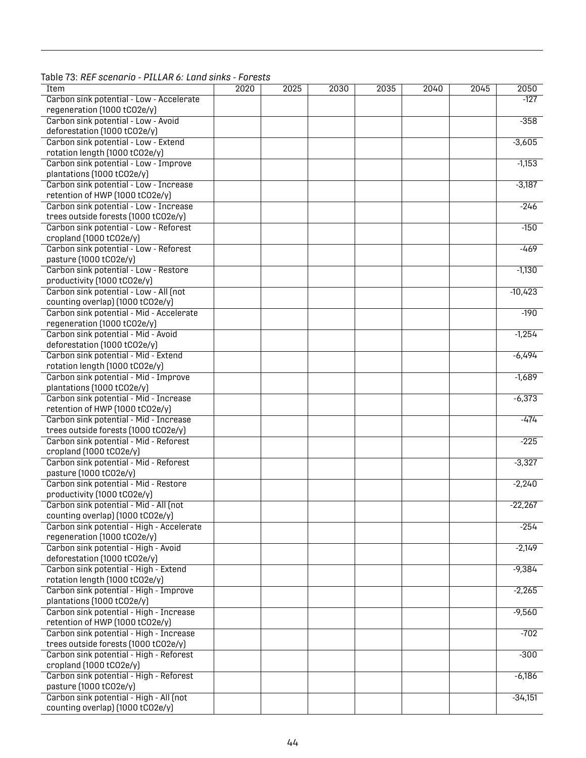| Item                                      | 2020 | 2025 | 2030 | 2035 | 2040 | 2045 | 2050      |
|-------------------------------------------|------|------|------|------|------|------|-----------|
| Carbon sink potential - Low - Accelerate  |      |      |      |      |      |      | $-127$    |
| regeneration (1000 tCO2e/y)               |      |      |      |      |      |      |           |
| Carbon sink potential - Low - Avoid       |      |      |      |      |      |      | $-358$    |
| deforestation (1000 tCO2e/y)              |      |      |      |      |      |      |           |
| Carbon sink potential - Low - Extend      |      |      |      |      |      |      | $-3,605$  |
|                                           |      |      |      |      |      |      |           |
| rotation length (1000 tCO2e/y)            |      |      |      |      |      |      |           |
| Carbon sink potential - Low - Improve     |      |      |      |      |      |      | $-1,153$  |
| plantations (1000 tCO2e/y)                |      |      |      |      |      |      |           |
| Carbon sink potential - Low - Increase    |      |      |      |      |      |      | $-3,187$  |
| retention of HWP (1000 tCO2e/y)           |      |      |      |      |      |      |           |
| Carbon sink potential - Low - Increase    |      |      |      |      |      |      | $-246$    |
| trees outside forests (1000 tCO2e/y)      |      |      |      |      |      |      |           |
| Carbon sink potential - Low - Reforest    |      |      |      |      |      |      | $-150$    |
| cropland (1000 tCO2e/y)                   |      |      |      |      |      |      |           |
| Carbon sink potential - Low - Reforest    |      |      |      |      |      |      | $-469$    |
| pasture (1000 tCO2e/y)                    |      |      |      |      |      |      |           |
| Carbon sink potential - Low - Restore     |      |      |      |      |      |      |           |
|                                           |      |      |      |      |      |      | $-1,130$  |
| productivity (1000 tCO2e/y)               |      |      |      |      |      |      |           |
| Carbon sink potential - Low - All (not    |      |      |      |      |      |      | $-10,423$ |
| counting overlap) (1000 tCO2e/y)          |      |      |      |      |      |      |           |
| Carbon sink potential - Mid - Accelerate  |      |      |      |      |      |      | $-190$    |
| regeneration (1000 tCO2e/y)               |      |      |      |      |      |      |           |
| Carbon sink potential - Mid - Avoid       |      |      |      |      |      |      | $-1,254$  |
| deforestation (1000 tCO2e/y)              |      |      |      |      |      |      |           |
| Carbon sink potential - Mid - Extend      |      |      |      |      |      |      | $-6,494$  |
| rotation length (1000 tCO2e/y)            |      |      |      |      |      |      |           |
| Carbon sink potential - Mid - Improve     |      |      |      |      |      |      | $-1,689$  |
| plantations (1000 tCO2e/y)                |      |      |      |      |      |      |           |
| Carbon sink potential - Mid - Increase    |      |      |      |      |      |      | $-6,373$  |
| retention of HWP (1000 tCO2e/y)           |      |      |      |      |      |      |           |
|                                           |      |      |      |      |      |      |           |
| Carbon sink potential - Mid - Increase    |      |      |      |      |      |      | $-474$    |
| trees outside forests (1000 tCO2e/y)      |      |      |      |      |      |      |           |
| Carbon sink potential - Mid - Reforest    |      |      |      |      |      |      | $-225$    |
| cropland (1000 tCO2e/y)                   |      |      |      |      |      |      |           |
| Carbon sink potential - Mid - Reforest    |      |      |      |      |      |      | $-3,327$  |
| pasture (1000 tCO2e/y)                    |      |      |      |      |      |      |           |
| Carbon sink potential - Mid - Restore     |      |      |      |      |      |      | $-2,240$  |
| productivity (1000 tCO2e/y)               |      |      |      |      |      |      |           |
| Carbon sink potential - Mid - All (not    |      |      |      |      |      |      | $-22,267$ |
| counting overlap) (1000 tCO2e/y)          |      |      |      |      |      |      |           |
| Carbon sink potential - High - Accelerate |      |      |      |      |      |      | $-254$    |
| regeneration (1000 tCO2e/y)               |      |      |      |      |      |      |           |
|                                           |      |      |      |      |      |      |           |
| Carbon sink potential - High - Avoid      |      |      |      |      |      |      | $-2,149$  |
| deforestation (1000 tCO2e/y)              |      |      |      |      |      |      |           |
| Carbon sink potential - High - Extend     |      |      |      |      |      |      | $-9,384$  |
| rotation length (1000 tCO2e/y)            |      |      |      |      |      |      |           |
| Carbon sink potential - High - Improve    |      |      |      |      |      |      | $-2,265$  |
| plantations (1000 tCO2e/y)                |      |      |      |      |      |      |           |
| Carbon sink potential - High - Increase   |      |      |      |      |      |      | $-9,560$  |
| retention of HWP (1000 tCO2e/y)           |      |      |      |      |      |      |           |
| Carbon sink potential - High - Increase   |      |      |      |      |      |      | $-702$    |
| trees outside forests (1000 tCO2e/y)      |      |      |      |      |      |      |           |
| Carbon sink potential - High - Reforest   |      |      |      |      |      |      | $-300$    |
| cropland (1000 tCO2e/y)                   |      |      |      |      |      |      |           |
|                                           |      |      |      |      |      |      |           |
| Carbon sink potential - High - Reforest   |      |      |      |      |      |      | $-6,186$  |
| pasture (1000 tCO2e/y)                    |      |      |      |      |      |      |           |
| Carbon sink potential - High - All (not   |      |      |      |      |      |      | $-34,151$ |
| counting overlap) (1000 tCO2e/y)          |      |      |      |      |      |      |           |

<span id="page-46-0"></span>Table 73: *REF scenario - PILLAR 6: Land sinks - Forests*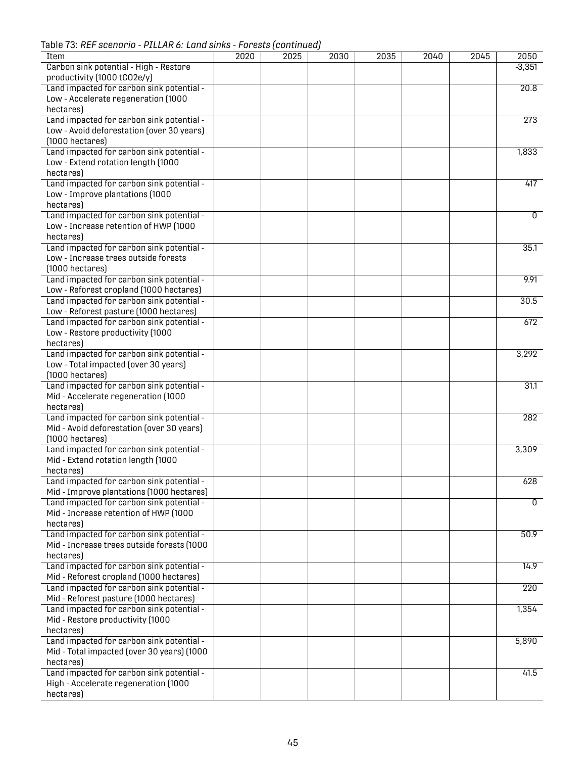Table 73: *REF scenario - PILLAR 6: Land sinks - Forests (continued)*

| Item                                       | 2020 | 2025 | 2030 | 2035 | 2040 | $\overline{2045}$ | 2050             |
|--------------------------------------------|------|------|------|------|------|-------------------|------------------|
| Carbon sink potential - High - Restore     |      |      |      |      |      |                   | $-3,351$         |
| productivity (1000 tCO2e/y)                |      |      |      |      |      |                   |                  |
| Land impacted for carbon sink potential -  |      |      |      |      |      |                   | 20.8             |
| Low - Accelerate regeneration (1000        |      |      |      |      |      |                   |                  |
| hectares)                                  |      |      |      |      |      |                   |                  |
| Land impacted for carbon sink potential -  |      |      |      |      |      |                   | 273              |
| Low - Avoid deforestation (over 30 years)  |      |      |      |      |      |                   |                  |
| $(1000$ hectares)                          |      |      |      |      |      |                   |                  |
| Land impacted for carbon sink potential -  |      |      |      |      |      |                   | 1,833            |
| Low - Extend rotation length (1000         |      |      |      |      |      |                   |                  |
| hectares)                                  |      |      |      |      |      |                   |                  |
| Land impacted for carbon sink potential -  |      |      |      |      |      |                   | 417              |
| Low - Improve plantations (1000            |      |      |      |      |      |                   |                  |
| hectares)                                  |      |      |      |      |      |                   |                  |
|                                            |      |      |      |      |      |                   | $\overline{0}$   |
| Land impacted for carbon sink potential -  |      |      |      |      |      |                   |                  |
| Low - Increase retention of HWP (1000      |      |      |      |      |      |                   |                  |
| hectares                                   |      |      |      |      |      |                   |                  |
| Land impacted for carbon sink potential -  |      |      |      |      |      |                   | 35.1             |
| Low - Increase trees outside forests       |      |      |      |      |      |                   |                  |
| $(1000$ hectares)                          |      |      |      |      |      |                   |                  |
| Land impacted for carbon sink potential -  |      |      |      |      |      |                   | 9.91             |
| Low - Reforest cropland (1000 hectares)    |      |      |      |      |      |                   |                  |
| Land impacted for carbon sink potential -  |      |      |      |      |      |                   | 30.5             |
| Low - Reforest pasture (1000 hectares)     |      |      |      |      |      |                   |                  |
| Land impacted for carbon sink potential -  |      |      |      |      |      |                   | 672              |
| Low - Restore productivity (1000           |      |      |      |      |      |                   |                  |
| hectares)                                  |      |      |      |      |      |                   |                  |
| Land impacted for carbon sink potential -  |      |      |      |      |      |                   | 3,292            |
| Low - Total impacted (over 30 years)       |      |      |      |      |      |                   |                  |
| (1000 hectares)                            |      |      |      |      |      |                   |                  |
| Land impacted for carbon sink potential -  |      |      |      |      |      |                   | 31.1             |
| Mid - Accelerate regeneration (1000        |      |      |      |      |      |                   |                  |
| hectares)                                  |      |      |      |      |      |                   |                  |
| Land impacted for carbon sink potential -  |      |      |      |      |      |                   | 282              |
| Mid - Avoid deforestation (over 30 years)  |      |      |      |      |      |                   |                  |
| $(1000$ hectares)                          |      |      |      |      |      |                   |                  |
| Land impacted for carbon sink potential -  |      |      |      |      |      |                   | 3,309            |
| Mid - Extend rotation length (1000         |      |      |      |      |      |                   |                  |
|                                            |      |      |      |      |      |                   |                  |
| hectares)                                  |      |      |      |      |      |                   |                  |
| Land impacted for carbon sink potential -  |      |      |      |      |      |                   | 628              |
| Mid - Improve plantations (1000 hectares)  |      |      |      |      |      |                   |                  |
| Land impacted for carbon sink potential -  |      |      |      |      |      |                   | 0                |
| Mid - Increase retention of HWP (1000      |      |      |      |      |      |                   |                  |
| hectares)                                  |      |      |      |      |      |                   |                  |
| Land impacted for carbon sink potential -  |      |      |      |      |      |                   | 50.9             |
| Mid - Increase trees outside forests (1000 |      |      |      |      |      |                   |                  |
| hectares)                                  |      |      |      |      |      |                   |                  |
| Land impacted for carbon sink potential -  |      |      |      |      |      |                   | 14.9             |
| Mid - Reforest cropland (1000 hectares)    |      |      |      |      |      |                   |                  |
| Land impacted for carbon sink potential -  |      |      |      |      |      |                   | $\overline{220}$ |
| Mid - Reforest pasture (1000 hectares)     |      |      |      |      |      |                   |                  |
| Land impacted for carbon sink potential -  |      |      |      |      |      |                   | 1,354            |
| Mid - Restore productivity (1000           |      |      |      |      |      |                   |                  |
| hectares)                                  |      |      |      |      |      |                   |                  |
| Land impacted for carbon sink potential -  |      |      |      |      |      |                   | 5,890            |
| Mid - Total impacted (over 30 years) (1000 |      |      |      |      |      |                   |                  |
| hectares)                                  |      |      |      |      |      |                   |                  |
| Land impacted for carbon sink potential -  |      |      |      |      |      |                   | 41.5             |
|                                            |      |      |      |      |      |                   |                  |
| High - Accelerate regeneration (1000       |      |      |      |      |      |                   |                  |
| hectares)                                  |      |      |      |      |      |                   |                  |